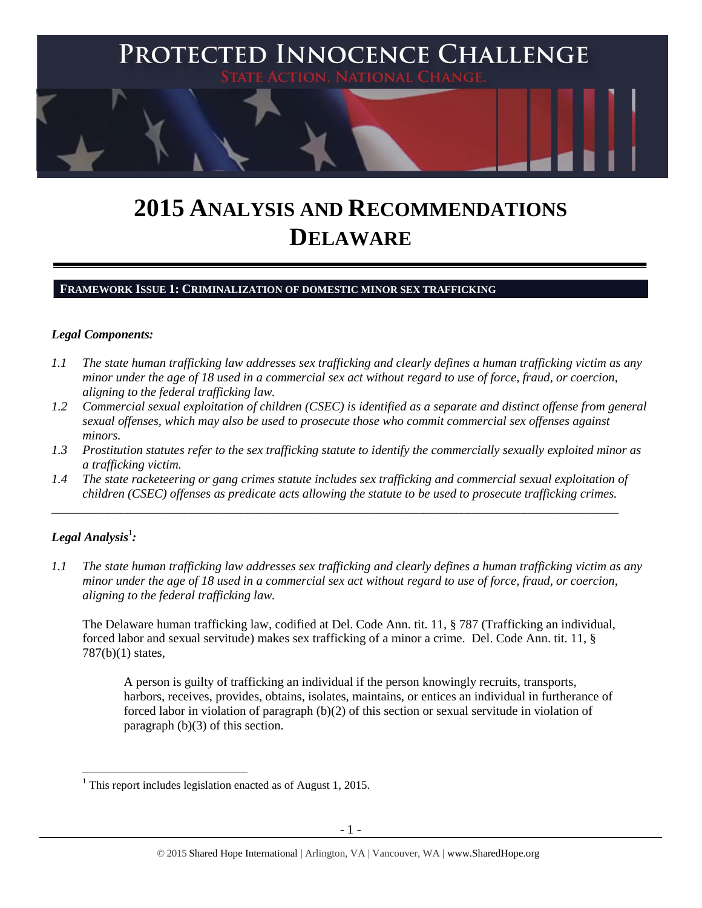

# **2015 ANALYSIS AND RECOMMENDATIONS DELAWARE**

### **FRAMEWORK ISSUE 1: CRIMINALIZATION OF DOMESTIC MINOR SEX TRAFFICKING**

### *Legal Components:*

- *1.1 The state human trafficking law addresses sex trafficking and clearly defines a human trafficking victim as any minor under the age of 18 used in a commercial sex act without regard to use of force, fraud, or coercion, aligning to the federal trafficking law.*
- *1.2 Commercial sexual exploitation of children (CSEC) is identified as a separate and distinct offense from general sexual offenses, which may also be used to prosecute those who commit commercial sex offenses against minors.*
- *1.3 Prostitution statutes refer to the sex trafficking statute to identify the commercially sexually exploited minor as a trafficking victim.*
- *1.4 The state racketeering or gang crimes statute includes sex trafficking and commercial sexual exploitation of children (CSEC) offenses as predicate acts allowing the statute to be used to prosecute trafficking crimes.*

\_\_\_\_\_\_\_\_\_\_\_\_\_\_\_\_\_\_\_\_\_\_\_\_\_\_\_\_\_\_\_\_\_\_\_\_\_\_\_\_\_\_\_\_\_\_\_\_\_\_\_\_\_\_\_\_\_\_\_\_\_\_\_\_\_\_\_\_\_\_\_\_\_\_\_\_\_\_\_\_\_\_\_\_\_\_\_\_\_\_

# $\bm{L}$ egal Analysis $^1$ :

*1.1 The state human trafficking law addresses sex trafficking and clearly defines a human trafficking victim as any minor under the age of 18 used in a commercial sex act without regard to use of force, fraud, or coercion, aligning to the federal trafficking law.*

The Delaware human trafficking law, codified at Del. Code Ann. tit. 11, § 787 (Trafficking an individual, forced labor and sexual servitude) makes sex trafficking of a minor a crime. Del. Code Ann. tit. 11, § 787(b)(1) states,

A person is guilty of trafficking an individual if the person knowingly recruits, transports, harbors, receives, provides, obtains, isolates, maintains, or entices an individual in furtherance of forced labor in violation of paragraph (b)(2) of this section or sexual servitude in violation of paragraph (b)(3) of this section.

 $\overline{\phantom{a}}$  $1$  This report includes legislation enacted as of August 1, 2015.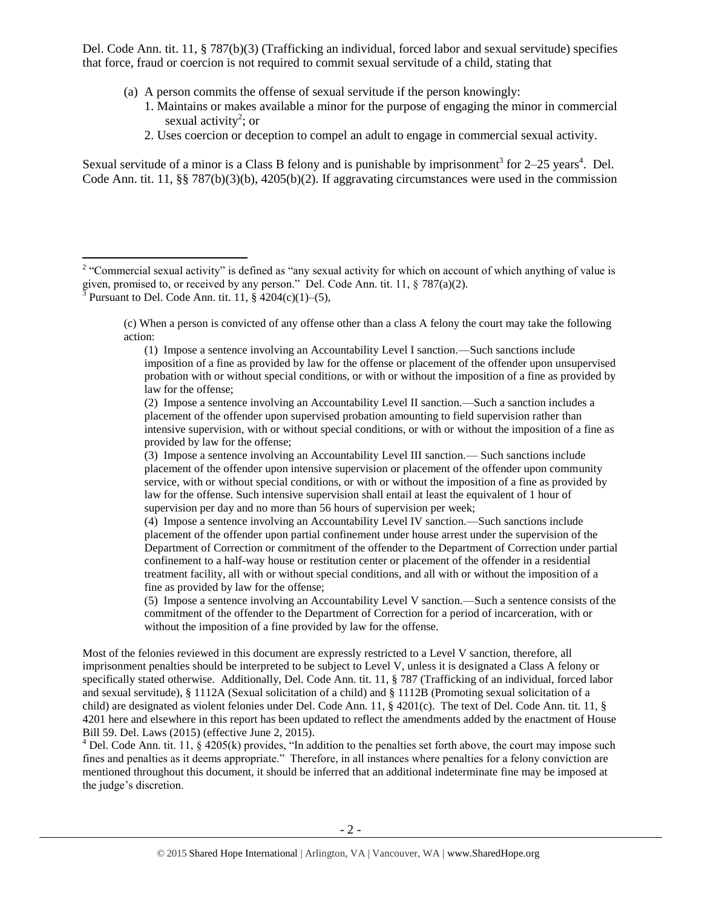Del. Code Ann. tit. 11, § 787(b)(3) (Trafficking an individual, forced labor and sexual servitude) specifies that force, fraud or coercion is not required to commit sexual servitude of a child, stating that

- (a) A person commits the offense of sexual servitude if the person knowingly:
	- 1. Maintains or makes available a minor for the purpose of engaging the minor in commercial sexual activity<sup>2</sup>; or
	- 2. Uses coercion or deception to compel an adult to engage in commercial sexual activity.

Sexual servitude of a minor is a Class B felony and is punishable by imprisonment<sup>3</sup> for  $2-25$  years<sup>4</sup>. Del. Code Ann. tit. 11, §§ 787(b)(3)(b), 4205(b)(2). If aggravating circumstances were used in the commission

(c) When a person is convicted of any offense other than a class A felony the court may take the following action:

(1) Impose a sentence involving an Accountability Level I sanction.—Such sanctions include imposition of a fine as provided by law for the offense or placement of the offender upon unsupervised probation with or without special conditions, or with or without the imposition of a fine as provided by law for the offense;

(2) Impose a sentence involving an Accountability Level II sanction.—Such a sanction includes a placement of the offender upon supervised probation amounting to field supervision rather than intensive supervision, with or without special conditions, or with or without the imposition of a fine as provided by law for the offense;

(3) Impose a sentence involving an Accountability Level III sanction.— Such sanctions include placement of the offender upon intensive supervision or placement of the offender upon community service, with or without special conditions, or with or without the imposition of a fine as provided by law for the offense. Such intensive supervision shall entail at least the equivalent of 1 hour of supervision per day and no more than 56 hours of supervision per week;

(4) Impose a sentence involving an Accountability Level IV sanction.—Such sanctions include placement of the offender upon partial confinement under house arrest under the supervision of the Department of Correction or commitment of the offender to the Department of Correction under partial confinement to a half-way house or restitution center or placement of the offender in a residential treatment facility, all with or without special conditions, and all with or without the imposition of a fine as provided by law for the offense;

(5) Impose a sentence involving an Accountability Level V sanction.—Such a sentence consists of the commitment of the offender to the Department of Correction for a period of incarceration, with or without the imposition of a fine provided by law for the offense.

Most of the felonies reviewed in this document are expressly restricted to a Level V sanction, therefore, all imprisonment penalties should be interpreted to be subject to Level V, unless it is designated a Class A felony or specifically stated otherwise. Additionally, Del. Code Ann. tit. 11, § 787 (Trafficking of an individual, forced labor and sexual servitude), § 1112A (Sexual solicitation of a child) and § 1112B (Promoting sexual solicitation of a child) are designated as violent felonies under Del. Code Ann. 11, § 4201(c). The text of Del. Code Ann. tit. 11, § 4201 here and elsewhere in this report has been updated to reflect the amendments added by the enactment of House Bill 59. Del. Laws (2015) (effective June 2, 2015).

 $4$  Del. Code Ann. tit. 11,  $\hat{g}$  4205(k) provides, "In addition to the penalties set forth above, the court may impose such fines and penalties as it deems appropriate." Therefore, in all instances where penalties for a felony conviction are mentioned throughout this document, it should be inferred that an additional indeterminate fine may be imposed at the judge's discretion.

<sup>&</sup>lt;sup>2</sup> "Commercial sexual activity" is defined as "any sexual activity for which on account of which anything of value is given, promised to, or received by any person." Del. Code Ann. tit. 11, § 787(a)(2).  ${}^{3}$  Pursuant to Del. Code Ann. tit. 11, § 4204(c)(1)–(5),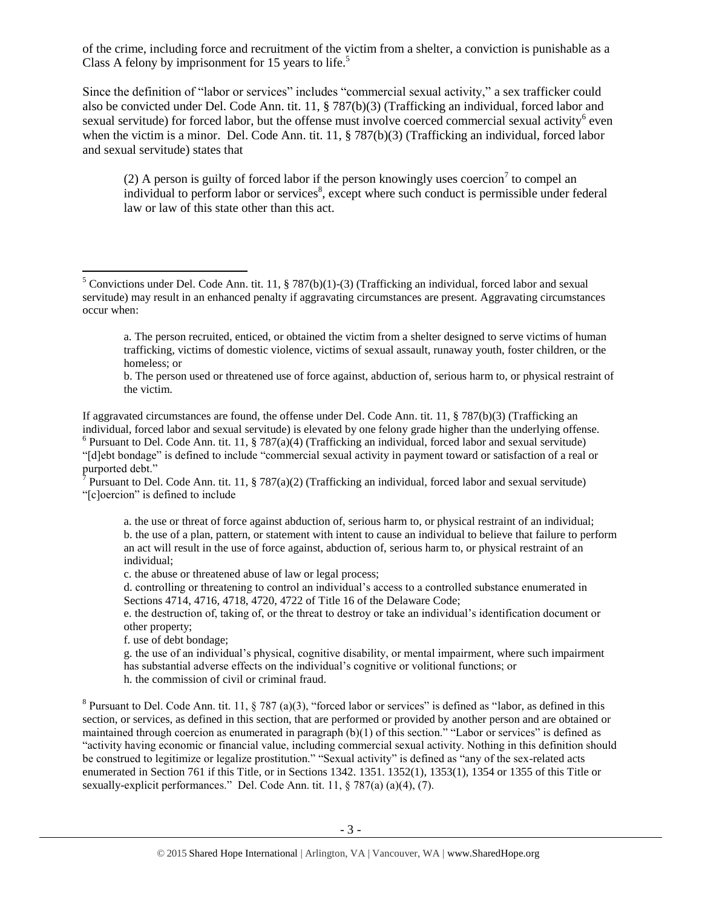of the crime, including force and recruitment of the victim from a shelter, a conviction is punishable as a Class A felony by imprisonment for 15 years to life.<sup>5</sup>

Since the definition of "labor or services" includes "commercial sexual activity," a sex trafficker could also be convicted under Del. Code Ann. tit. 11, § 787(b)(3) (Trafficking an individual, forced labor and sexual servitude) for forced labor, but the offense must involve coerced commercial sexual activity<sup>6</sup> even when the victim is a minor. Del. Code Ann. tit. 11, § 787(b)(3) (Trafficking an individual, forced labor and sexual servitude) states that

<span id="page-2-0"></span>(2) A person is guilty of forced labor if the person knowingly uses coercion<sup>7</sup> to compel an individual to perform labor or services<sup>8</sup>, except where such conduct is permissible under federal law or law of this state other than this act.

If aggravated circumstances are found, the offense under Del. Code Ann. tit. 11, § 787(b)(3) (Trafficking an individual, forced labor and sexual servitude) is elevated by one felony grade higher than the underlying offense. <sup>6</sup> Pursuant to Del. Code Ann. tit. 11, § 787(a)(4) (Trafficking an individual, forced labor and sexual servitude)

"[d]ebt bondage" is defined to include "commercial sexual activity in payment toward or satisfaction of a real or purported debt."

<sup>7</sup> Pursuant to Del. Code Ann. tit. 11, § 787(a)(2) (Trafficking an individual, forced labor and sexual servitude) "[c]oercion" is defined to include

a. the use or threat of force against abduction of, serious harm to, or physical restraint of an individual; b. the use of a plan, pattern, or statement with intent to cause an individual to believe that failure to perform an act will result in the use of force against, abduction of, serious harm to, or physical restraint of an individual;

c. the abuse or threatened abuse of law or legal process;

d. controlling or threatening to control an individual's access to a controlled substance enumerated in Sections 4714, 4716, 4718, 4720, 4722 of Title 16 of the Delaware Code;

e. the destruction of, taking of, or the threat to destroy or take an individual's identification document or other property;

f. use of debt bondage;

 $\overline{\phantom{a}}$ 

g. the use of an individual's physical, cognitive disability, or mental impairment, where such impairment has substantial adverse effects on the individual's cognitive or volitional functions; or h. the commission of civil or criminal fraud.

<sup>8</sup> Pursuant to Del. Code Ann. tit. 11, § 787 (a)(3), "forced labor or services" is defined as "labor, as defined in this section, or services, as defined in this section, that are performed or provided by another person and are obtained or maintained through coercion as enumerated in paragraph (b)(1) of this section." "Labor or services" is defined as "activity having economic or financial value, including commercial sexual activity. Nothing in this definition should be construed to legitimize or legalize prostitution." "Sexual activity" is defined as "any of the sex-related acts enumerated in Section 761 if this Title, or in Sections 1342. 1351. 1352(1), 1353(1), 1354 or 1355 of this Title or sexually-explicit performances." Del. Code Ann. tit. 11, § 787(a) (a)(4), (7).

<sup>&</sup>lt;sup>5</sup> Convictions under Del. Code Ann. tit. 11, § 787(b)(1)-(3) (Trafficking an individual, forced labor and sexual servitude) may result in an enhanced penalty if aggravating circumstances are present. Aggravating circumstances occur when:

a. The person recruited, enticed, or obtained the victim from a shelter designed to serve victims of human trafficking, victims of domestic violence, victims of sexual assault, runaway youth, foster children, or the homeless; or

b. The person used or threatened use of force against, abduction of, serious harm to, or physical restraint of the victim.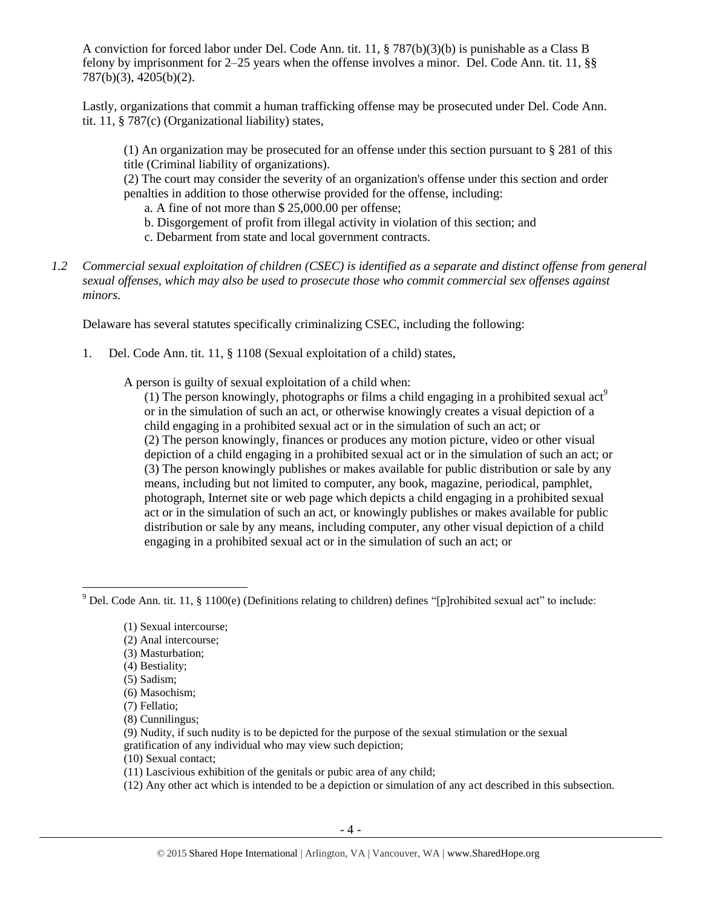A conviction for forced labor under Del. Code Ann. tit. 11, § 787(b)(3)(b) is punishable as a Class B felony by imprisonment for 2–25 years when the offense involves a minor. Del. Code Ann. tit. 11, §§ 787(b)(3), 4205(b)(2).

Lastly, organizations that commit a human trafficking offense may be prosecuted under Del. Code Ann. tit. 11, § 787(c) (Organizational liability) states,

(1) An organization may be prosecuted for an offense under this section pursuant to § 281 of this title (Criminal liability of organizations).

(2) The court may consider the severity of an organization's offense under this section and order penalties in addition to those otherwise provided for the offense, including:

a. A fine of not more than \$ 25,000.00 per offense;

- b. Disgorgement of profit from illegal activity in violation of this section; and
- c. Debarment from state and local government contracts.
- *1.2 Commercial sexual exploitation of children (CSEC) is identified as a separate and distinct offense from general sexual offenses, which may also be used to prosecute those who commit commercial sex offenses against minors.*

Delaware has several statutes specifically criminalizing CSEC, including the following:

1. Del. Code Ann. tit. 11, § 1108 (Sexual exploitation of a child) states,

A person is guilty of sexual exploitation of a child when:

(1) The person knowingly, photographs or films a child engaging in a prohibited sexual act<sup>9</sup> or in the simulation of such an act, or otherwise knowingly creates a visual depiction of a child engaging in a prohibited sexual act or in the simulation of such an act; or (2) The person knowingly, finances or produces any motion picture, video or other visual depiction of a child engaging in a prohibited sexual act or in the simulation of such an act; or (3) The person knowingly publishes or makes available for public distribution or sale by any means, including but not limited to computer, any book, magazine, periodical, pamphlet, photograph, Internet site or web page which depicts a child engaging in a prohibited sexual act or in the simulation of such an act, or knowingly publishes or makes available for public distribution or sale by any means, including computer, any other visual depiction of a child engaging in a prohibited sexual act or in the simulation of such an act; or

- (2) Anal intercourse;
- (3) Masturbation;
- (4) Bestiality;
- (5) Sadism;

l

- (6) Masochism;
- (7) Fellatio;
- (8) Cunnilingus;
- (9) Nudity, if such nudity is to be depicted for the purpose of the sexual stimulation or the sexual gratification of any individual who may view such depiction;
- (10) Sexual contact;
- (11) Lascivious exhibition of the genitals or pubic area of any child;
- (12) Any other act which is intended to be a depiction or simulation of any act described in this subsection.

<sup>&</sup>lt;sup>9</sup> Del. Code Ann. tit. 11, § 1100(e) (Definitions relating to children) defines "[p]rohibited sexual act" to include:

<sup>(1)</sup> Sexual intercourse;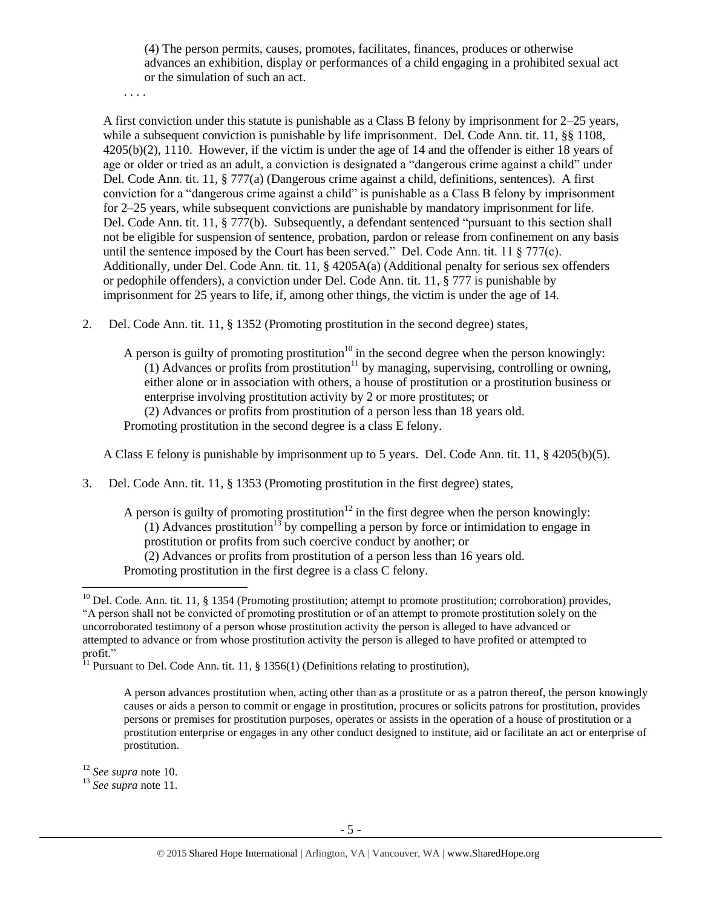(4) The person permits, causes, promotes, facilitates, finances, produces or otherwise advances an exhibition, display or performances of a child engaging in a prohibited sexual act or the simulation of such an act.

. . . .

A first conviction under this statute is punishable as a Class B felony by imprisonment for 2–25 years, while a subsequent conviction is punishable by life imprisonment. Del. Code Ann. tit. 11, §§ 1108, 4205(b)(2), 1110. However, if the victim is under the age of 14 and the offender is either 18 years of age or older or tried as an adult, a conviction is designated a "dangerous crime against a child" under Del. Code Ann. tit. 11, § 777(a) (Dangerous crime against a child, definitions, sentences). A first conviction for a "dangerous crime against a child" is punishable as a Class B felony by imprisonment for 2–25 years, while subsequent convictions are punishable by mandatory imprisonment for life. Del. Code Ann. tit. 11, § 777(b). Subsequently, a defendant sentenced "pursuant to this section shall not be eligible for suspension of sentence, probation, pardon or release from confinement on any basis until the sentence imposed by the Court has been served." Del. Code Ann. tit. 11  $\S$  777(c). Additionally, under Del. Code Ann. tit. 11, § 4205A(a) (Additional penalty for serious sex offenders or pedophile offenders), a conviction under Del. Code Ann. tit. 11, § 777 is punishable by imprisonment for 25 years to life, if, among other things, the victim is under the age of 14.

2. Del. Code Ann. tit. 11, § 1352 (Promoting prostitution in the second degree) states,

<span id="page-4-1"></span><span id="page-4-0"></span>A person is guilty of promoting prostitution<sup>10</sup> in the second degree when the person knowingly: (1) Advances or profits from prostitution<sup>11</sup> by managing, supervising, controlling or owning, either alone or in association with others, a house of prostitution or a prostitution business or enterprise involving prostitution activity by 2 or more prostitutes; or (2) Advances or profits from prostitution of a person less than 18 years old. Promoting prostitution in the second degree is a class E felony.

A Class E felony is punishable by imprisonment up to 5 years. Del. Code Ann. tit. 11, § 4205(b)(5).

3. Del. Code Ann. tit. 11, § 1353 (Promoting prostitution in the first degree) states,

A person is guilty of promoting prostitution<sup>12</sup> in the first degree when the person knowingly: (1) Advances prostitution<sup>13</sup> by compelling a person by force or intimidation to engage in prostitution or profits from such coercive conduct by another; or (2) Advances or profits from prostitution of a person less than 16 years old. Promoting prostitution in the first degree is a class C felony.

<sup>12</sup> *See supra* note [10.](#page-4-0) 

l

<sup>13</sup> *See supra* note [11.](#page-4-1) 

 $10$  Del. Code. Ann. tit. 11, § 1354 (Promoting prostitution; attempt to promote prostitution; corroboration) provides, "A person shall not be convicted of promoting prostitution or of an attempt to promote prostitution solely on the uncorroborated testimony of a person whose prostitution activity the person is alleged to have advanced or attempted to advance or from whose prostitution activity the person is alleged to have profited or attempted to profit."

<sup>&</sup>lt;sup>11</sup> Pursuant to Del. Code Ann. tit. 11, § 1356(1) (Definitions relating to prostitution),

A person advances prostitution when, acting other than as a prostitute or as a patron thereof, the person knowingly causes or aids a person to commit or engage in prostitution, procures or solicits patrons for prostitution, provides persons or premises for prostitution purposes, operates or assists in the operation of a house of prostitution or a prostitution enterprise or engages in any other conduct designed to institute, aid or facilitate an act or enterprise of prostitution.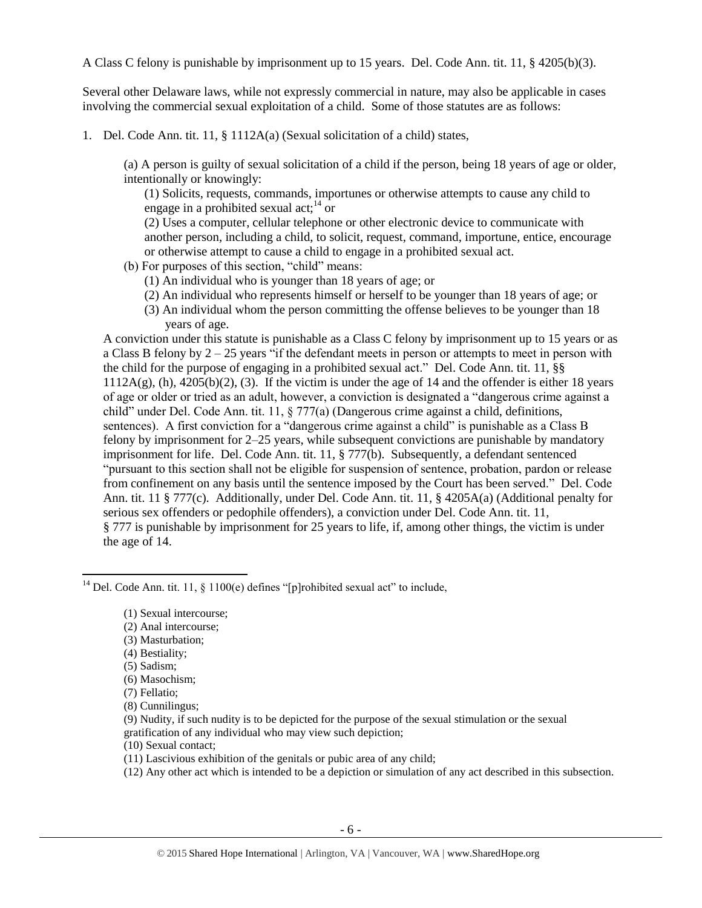A Class C felony is punishable by imprisonment up to 15 years. Del. Code Ann. tit. 11, § 4205(b)(3).

Several other Delaware laws, while not expressly commercial in nature, may also be applicable in cases involving the commercial sexual exploitation of a child. Some of those statutes are as follows:

1. Del. Code Ann. tit. 11, § 1112A(a) (Sexual solicitation of a child) states,

(a) A person is guilty of sexual solicitation of a child if the person, being 18 years of age or older, intentionally or knowingly:

(1) Solicits, requests, commands, importunes or otherwise attempts to cause any child to engage in a prohibited sexual act;  $14$  or

(2) Uses a computer, cellular telephone or other electronic device to communicate with another person, including a child, to solicit, request, command, importune, entice, encourage or otherwise attempt to cause a child to engage in a prohibited sexual act.

- (b) For purposes of this section, "child" means:
	- (1) An individual who is younger than 18 years of age; or
	- (2) An individual who represents himself or herself to be younger than 18 years of age; or
	- (3) An individual whom the person committing the offense believes to be younger than 18 years of age.

A conviction under this statute is punishable as a Class C felony by imprisonment up to 15 years or as a Class B felony by  $2 - 25$  years "if the defendant meets in person or attempts to meet in person with the child for the purpose of engaging in a prohibited sexual act." Del. Code Ann. tit. 11, §§  $1112A(g)$ , (h),  $4205(b)(2)$ , (3). If the victim is under the age of 14 and the offender is either 18 years of age or older or tried as an adult, however, a conviction is designated a "dangerous crime against a child" under Del. Code Ann. tit. 11, § 777(a) (Dangerous crime against a child, definitions, sentences). A first conviction for a "dangerous crime against a child" is punishable as a Class B felony by imprisonment for 2–25 years, while subsequent convictions are punishable by mandatory imprisonment for life. Del. Code Ann. tit. 11, § 777(b). Subsequently, a defendant sentenced "pursuant to this section shall not be eligible for suspension of sentence, probation, pardon or release from confinement on any basis until the sentence imposed by the Court has been served." Del. Code Ann. tit. 11 § 777(c). Additionally, under Del. Code Ann. tit. 11, § 4205A(a) (Additional penalty for serious sex offenders or pedophile offenders), a conviction under Del. Code Ann. tit. 11, § 777 is punishable by imprisonment for 25 years to life, if, among other things, the victim is under the age of 14.

- (2) Anal intercourse;
- (3) Masturbation;
- (4) Bestiality;
- (5) Sadism;
- (6) Masochism;
- (7) Fellatio;
- (8) Cunnilingus;
- (9) Nudity, if such nudity is to be depicted for the purpose of the sexual stimulation or the sexual gratification of any individual who may view such depiction;
- (10) Sexual contact;
- (11) Lascivious exhibition of the genitals or pubic area of any child;
- (12) Any other act which is intended to be a depiction or simulation of any act described in this subsection.

 $\overline{\phantom{a}}$ <sup>14</sup> Del. Code Ann. tit. 11, § 1100(e) defines "[p]rohibited sexual act" to include,

<sup>(1)</sup> Sexual intercourse;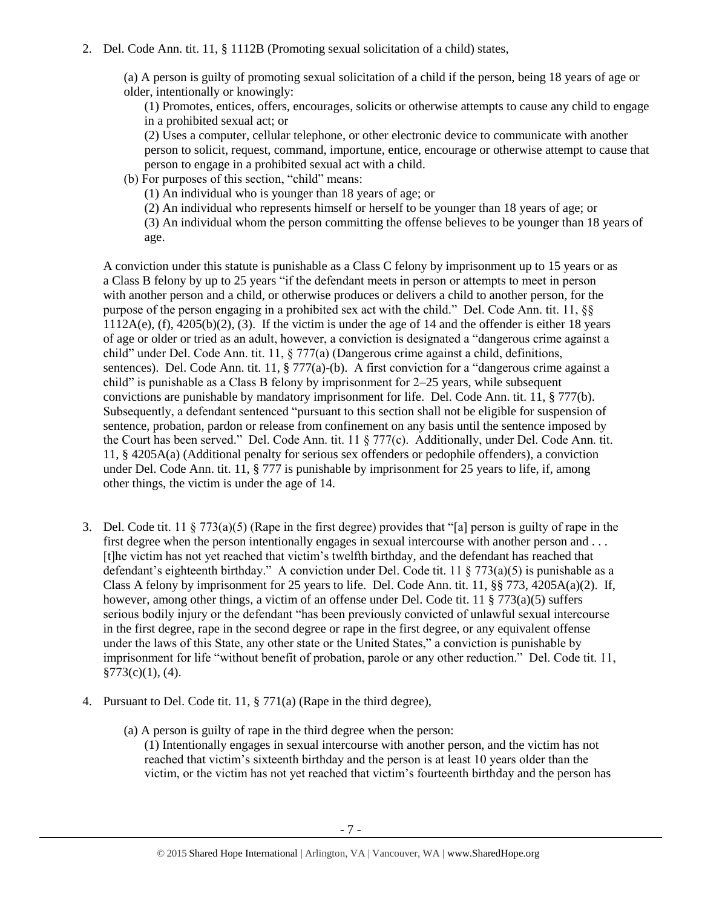(a) A person is guilty of promoting sexual solicitation of a child if the person, being 18 years of age or older, intentionally or knowingly:

(1) Promotes, entices, offers, encourages, solicits or otherwise attempts to cause any child to engage in a prohibited sexual act; or

(2) Uses a computer, cellular telephone, or other electronic device to communicate with another person to solicit, request, command, importune, entice, encourage or otherwise attempt to cause that person to engage in a prohibited sexual act with a child.

(b) For purposes of this section, "child" means:

(1) An individual who is younger than 18 years of age; or

(2) An individual who represents himself or herself to be younger than 18 years of age; or

(3) An individual whom the person committing the offense believes to be younger than 18 years of age.

A conviction under this statute is punishable as a Class C felony by imprisonment up to 15 years or as a Class B felony by up to 25 years "if the defendant meets in person or attempts to meet in person with another person and a child, or otherwise produces or delivers a child to another person, for the purpose of the person engaging in a prohibited sex act with the child." Del. Code Ann. tit. 11, §§ 1112A(e), (f), 4205(b)(2), (3). If the victim is under the age of 14 and the offender is either 18 years of age or older or tried as an adult, however, a conviction is designated a "dangerous crime against a child" under Del. Code Ann. tit. 11, § 777(a) (Dangerous crime against a child, definitions, sentences). Del. Code Ann. tit. 11, § 777(a)-(b). A first conviction for a "dangerous crime against a child" is punishable as a Class B felony by imprisonment for 2–25 years, while subsequent convictions are punishable by mandatory imprisonment for life. Del. Code Ann. tit. 11, § 777(b). Subsequently, a defendant sentenced "pursuant to this section shall not be eligible for suspension of sentence, probation, pardon or release from confinement on any basis until the sentence imposed by the Court has been served." Del. Code Ann. tit. 11 § 777(c). Additionally, under Del. Code Ann. tit. 11, § 4205A(a) (Additional penalty for serious sex offenders or pedophile offenders), a conviction under Del. Code Ann. tit. 11,  $\S 777$  is punishable by imprisonment for 25 years to life, if, among other things, the victim is under the age of 14.

- 3. Del. Code tit. 11 § 773(a)(5) (Rape in the first degree) provides that "[a] person is guilty of rape in the first degree when the person intentionally engages in sexual intercourse with another person and . . . [t]he victim has not yet reached that victim's twelfth birthday, and the defendant has reached that defendant's eighteenth birthday." A conviction under Del. Code tit. 11 § 773(a)(5) is punishable as a Class A felony by imprisonment for 25 years to life. Del. Code Ann. tit. 11,  $\S$ § 773, 4205A(a)(2). If, however, among other things, a victim of an offense under Del. Code tit. 11 § 773(a)(5) suffers serious bodily injury or the defendant "has been previously convicted of unlawful sexual intercourse in the first degree, rape in the second degree or rape in the first degree, or any equivalent offense under the laws of this State, any other state or the United States," a conviction is punishable by imprisonment for life "without benefit of probation, parole or any other reduction." Del. Code tit. 11,  $§773(c)(1), (4).$
- 4. Pursuant to Del. Code tit. 11, § 771(a) (Rape in the third degree),
	- (a) A person is guilty of rape in the third degree when the person: (1) Intentionally engages in sexual intercourse with another person, and the victim has not reached that victim's sixteenth birthday and the person is at least 10 years older than the victim, or the victim has not yet reached that victim's fourteenth birthday and the person has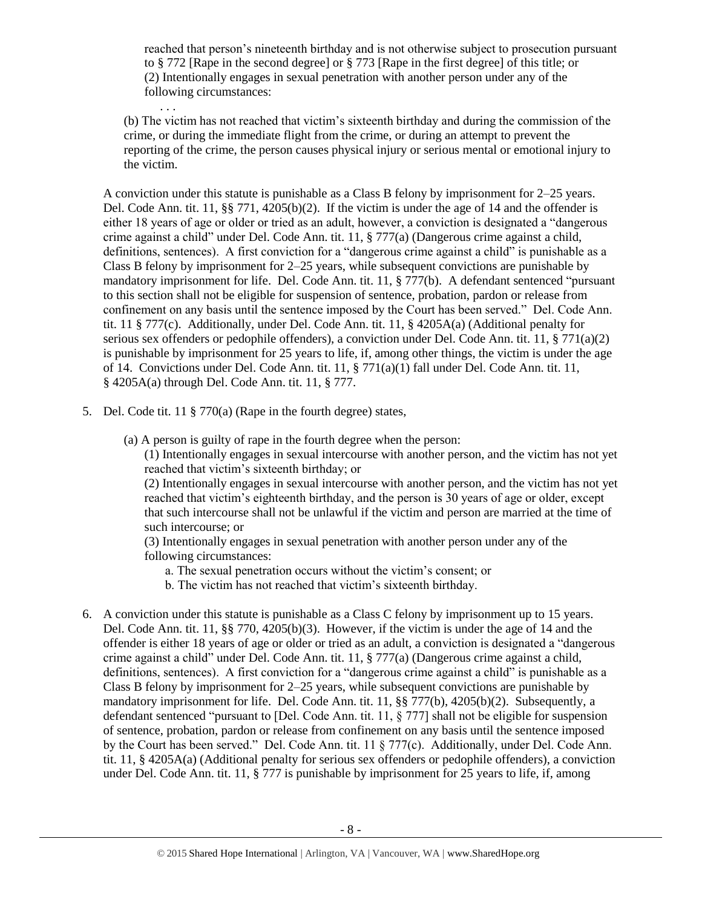reached that person's nineteenth birthday and is not otherwise subject to prosecution pursuant to § 772 [Rape in the second degree] or § 773 [Rape in the first degree] of this title; or (2) Intentionally engages in sexual penetration with another person under any of the following circumstances:

(b) The victim has not reached that victim's sixteenth birthday and during the commission of the crime, or during the immediate flight from the crime, or during an attempt to prevent the reporting of the crime, the person causes physical injury or serious mental or emotional injury to the victim.

A conviction under this statute is punishable as a Class B felony by imprisonment for 2–25 years. Del. Code Ann. tit. 11, §§ 771, 4205(b)(2). If the victim is under the age of 14 and the offender is either 18 years of age or older or tried as an adult, however, a conviction is designated a "dangerous crime against a child" under Del. Code Ann. tit. 11, § 777(a) (Dangerous crime against a child, definitions, sentences). A first conviction for a "dangerous crime against a child" is punishable as a Class B felony by imprisonment for 2–25 years, while subsequent convictions are punishable by mandatory imprisonment for life. Del. Code Ann. tit. 11, § 777(b). A defendant sentenced "pursuant to this section shall not be eligible for suspension of sentence, probation, pardon or release from confinement on any basis until the sentence imposed by the Court has been served." Del. Code Ann. tit. 11 § 777(c). Additionally, under Del. Code Ann. tit. 11, § 4205A(a) (Additional penalty for serious sex offenders or pedophile offenders), a conviction under Del. Code Ann. tit. 11, § 771(a)(2) is punishable by imprisonment for 25 years to life, if, among other things, the victim is under the age of 14. Convictions under Del. Code Ann. tit. 11, § 771(a)(1) fall under Del. Code Ann. tit. 11, § 4205A(a) through Del. Code Ann. tit. 11, § 777.

5. Del. Code tit. 11 § 770(a) (Rape in the fourth degree) states,

. . .

(a) A person is guilty of rape in the fourth degree when the person:

(1) Intentionally engages in sexual intercourse with another person, and the victim has not yet reached that victim's sixteenth birthday; or

(2) Intentionally engages in sexual intercourse with another person, and the victim has not yet reached that victim's eighteenth birthday, and the person is 30 years of age or older, except that such intercourse shall not be unlawful if the victim and person are married at the time of such intercourse; or

(3) Intentionally engages in sexual penetration with another person under any of the following circumstances:

- a. The sexual penetration occurs without the victim's consent; or
- b. The victim has not reached that victim's sixteenth birthday.
- 6. A conviction under this statute is punishable as a Class C felony by imprisonment up to 15 years. Del. Code Ann. tit. 11, §§ 770, 4205(b)(3). However, if the victim is under the age of 14 and the offender is either 18 years of age or older or tried as an adult, a conviction is designated a "dangerous crime against a child" under Del. Code Ann. tit. 11, § 777(a) (Dangerous crime against a child, definitions, sentences). A first conviction for a "dangerous crime against a child" is punishable as a Class B felony by imprisonment for 2–25 years, while subsequent convictions are punishable by mandatory imprisonment for life. Del. Code Ann. tit. 11, §§ 777(b), 4205(b)(2). Subsequently, a defendant sentenced "pursuant to [Del. Code Ann. tit. 11, § 777] shall not be eligible for suspension of sentence, probation, pardon or release from confinement on any basis until the sentence imposed by the Court has been served." Del. Code Ann. tit. 11 § 777(c). Additionally, under Del. Code Ann. tit. 11, § 4205A(a) (Additional penalty for serious sex offenders or pedophile offenders), a conviction under Del. Code Ann. tit. 11, § 777 is punishable by imprisonment for 25 years to life, if, among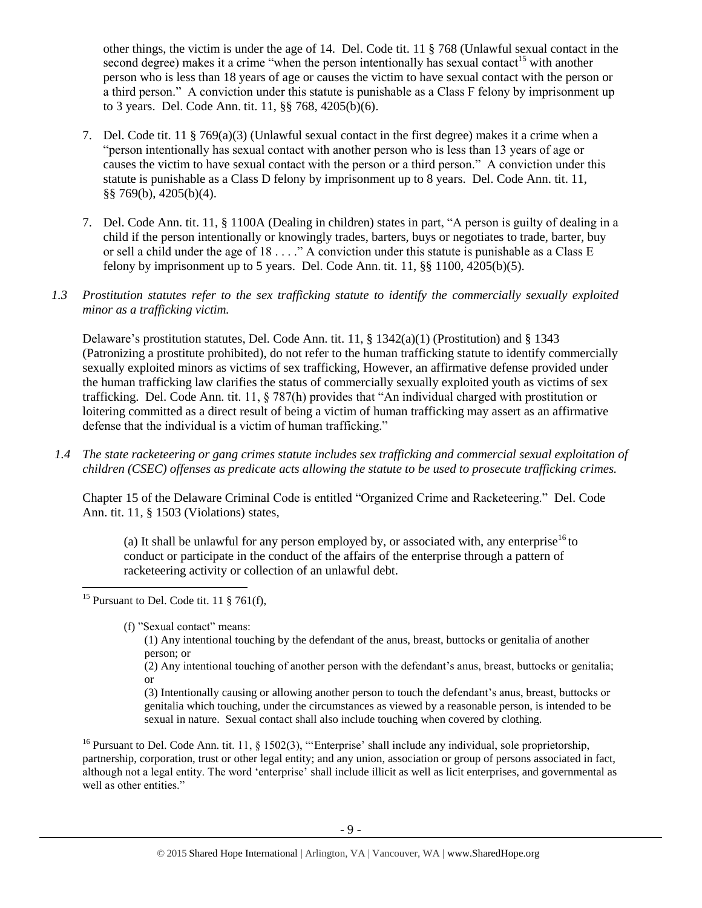other things, the victim is under the age of 14. Del. Code tit. 11 § 768 (Unlawful sexual contact in the second degree) makes it a crime "when the person intentionally has sexual contact<sup>15</sup> with another person who is less than 18 years of age or causes the victim to have sexual contact with the person or a third person." A conviction under this statute is punishable as a Class F felony by imprisonment up to 3 years. Del. Code Ann. tit. 11, §§ 768, 4205(b)(6).

- 7. Del. Code tit. 11 § 769(a)(3) (Unlawful sexual contact in the first degree) makes it a crime when a "person intentionally has sexual contact with another person who is less than 13 years of age or causes the victim to have sexual contact with the person or a third person." A conviction under this statute is punishable as a Class D felony by imprisonment up to 8 years. Del. Code Ann. tit. 11, §§ 769(b), 4205(b)(4).
- 7. Del. Code Ann. tit. 11, § 1100A (Dealing in children) states in part, "A person is guilty of dealing in a child if the person intentionally or knowingly trades, barters, buys or negotiates to trade, barter, buy or sell a child under the age of  $18 \ldots$ ." A conviction under this statute is punishable as a Class E felony by imprisonment up to 5 years. Del. Code Ann. tit. 11,  $\S$ § 1100,  $\frac{4205(b)}{5}$ .
- *1.3 Prostitution statutes refer to the sex trafficking statute to identify the commercially sexually exploited minor as a trafficking victim.*

Delaware's prostitution statutes, Del. Code Ann. tit. 11,  $\S$  1342(a)(1) (Prostitution) and  $\S$  1343 (Patronizing a prostitute prohibited), do not refer to the human trafficking statute to identify commercially sexually exploited minors as victims of sex trafficking, However, an affirmative defense provided under the human trafficking law clarifies the status of commercially sexually exploited youth as victims of sex trafficking. Del. Code Ann. tit. 11, § 787(h) provides that "An individual charged with prostitution or loitering committed as a direct result of being a victim of human trafficking may assert as an affirmative defense that the individual is a victim of human trafficking."

*1.4 The state racketeering or gang crimes statute includes sex trafficking and commercial sexual exploitation of children (CSEC) offenses as predicate acts allowing the statute to be used to prosecute trafficking crimes.* 

Chapter 15 of the Delaware Criminal Code is entitled "Organized Crime and Racketeering." Del. Code Ann. tit. 11, § 1503 (Violations) states,

(a) It shall be unlawful for any person employed by, or associated with, any enterprise<sup>16</sup> to conduct or participate in the conduct of the affairs of the enterprise through a pattern of racketeering activity or collection of an unlawful debt.

(2) Any intentional touching of another person with the defendant's anus, breast, buttocks or genitalia; or

(3) Intentionally causing or allowing another person to touch the defendant's anus, breast, buttocks or genitalia which touching, under the circumstances as viewed by a reasonable person, is intended to be sexual in nature. Sexual contact shall also include touching when covered by clothing.

<sup>16</sup> Pursuant to Del. Code Ann. tit. 11, § 1502(3), "'Enterprise' shall include any individual, sole proprietorship, partnership, corporation, trust or other legal entity; and any union, association or group of persons associated in fact, although not a legal entity. The word 'enterprise' shall include illicit as well as licit enterprises, and governmental as well as other entities."

l <sup>15</sup> Pursuant to Del. Code tit. 11  $\S$  761(f),

<sup>(</sup>f) "Sexual contact" means:

<sup>(1)</sup> Any intentional touching by the defendant of the anus, breast, buttocks or genitalia of another person; or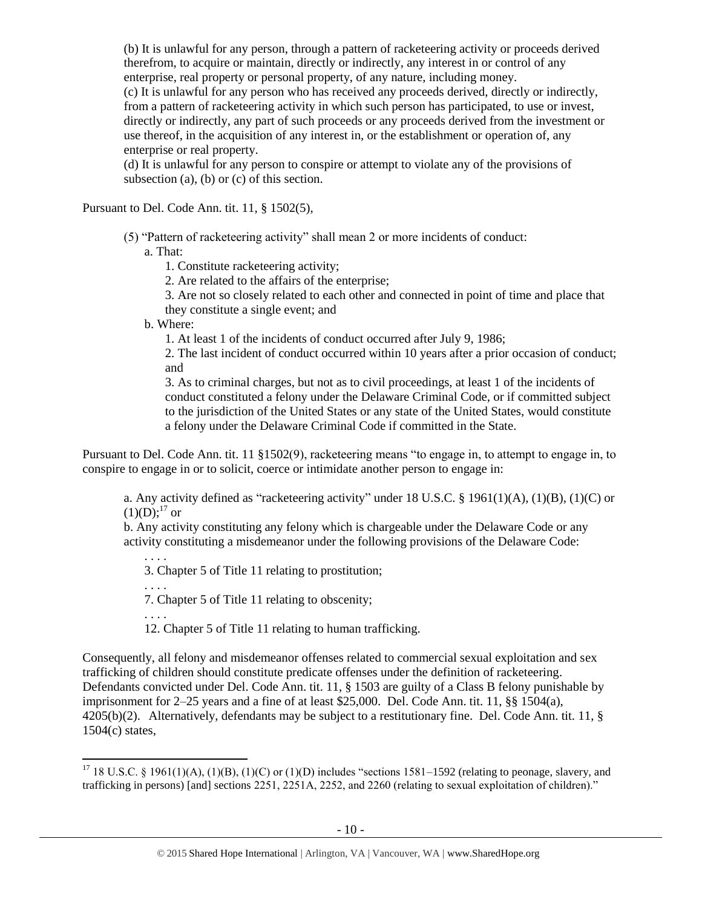(b) It is unlawful for any person, through a pattern of racketeering activity or proceeds derived therefrom, to acquire or maintain, directly or indirectly, any interest in or control of any enterprise, real property or personal property, of any nature, including money.

(c) It is unlawful for any person who has received any proceeds derived, directly or indirectly, from a pattern of racketeering activity in which such person has participated, to use or invest, directly or indirectly, any part of such proceeds or any proceeds derived from the investment or use thereof, in the acquisition of any interest in, or the establishment or operation of, any enterprise or real property.

(d) It is unlawful for any person to conspire or attempt to violate any of the provisions of subsection (a), (b) or (c) of this section.

Pursuant to Del. Code Ann. tit. 11, § 1502(5),

(5) "Pattern of racketeering activity" shall mean 2 or more incidents of conduct: a. That:

1. Constitute racketeering activity;

2. Are related to the affairs of the enterprise;

3. Are not so closely related to each other and connected in point of time and place that they constitute a single event; and

b. Where:

1. At least 1 of the incidents of conduct occurred after July 9, 1986;

2. The last incident of conduct occurred within 10 years after a prior occasion of conduct; and

3. As to criminal charges, but not as to civil proceedings, at least 1 of the incidents of conduct constituted a felony under the Delaware Criminal Code, or if committed subject to the jurisdiction of the United States or any state of the United States, would constitute a felony under the Delaware Criminal Code if committed in the State.

Pursuant to Del. Code Ann. tit. 11 §1502(9), racketeering means "to engage in, to attempt to engage in, to conspire to engage in or to solicit, coerce or intimidate another person to engage in:

a. Any activity defined as "racketeering activity" under 18 U.S.C. § 1961(1)(A), (1)(B), (1)(C) or  $(1)(D):^{17}$  or

b. Any activity constituting any felony which is chargeable under the Delaware Code or any activity constituting a misdemeanor under the following provisions of the Delaware Code:

. . . . 3. Chapter 5 of Title 11 relating to prostitution;

. . . . 7. Chapter 5 of Title 11 relating to obscenity;

. . . .

 $\overline{a}$ 

12. Chapter 5 of Title 11 relating to human trafficking.

Consequently, all felony and misdemeanor offenses related to commercial sexual exploitation and sex trafficking of children should constitute predicate offenses under the definition of racketeering. Defendants convicted under Del. Code Ann. tit. 11, § 1503 are guilty of a Class B felony punishable by imprisonment for 2–25 years and a fine of at least \$25,000. Del. Code Ann. tit. 11, §§ 1504(a), 4205(b)(2). Alternatively, defendants may be subject to a restitutionary fine. Del. Code Ann. tit. 11, § 1504(c) states,

<sup>&</sup>lt;sup>17</sup> 18 U.S.C. § 1961(1)(A), (1)(B), (1)(C) or (1)(D) includes "sections 1581–1592 (relating to peonage, slavery, and trafficking in persons) [and] sections 2251, 2251A, 2252, and 2260 (relating to sexual exploitation of children)."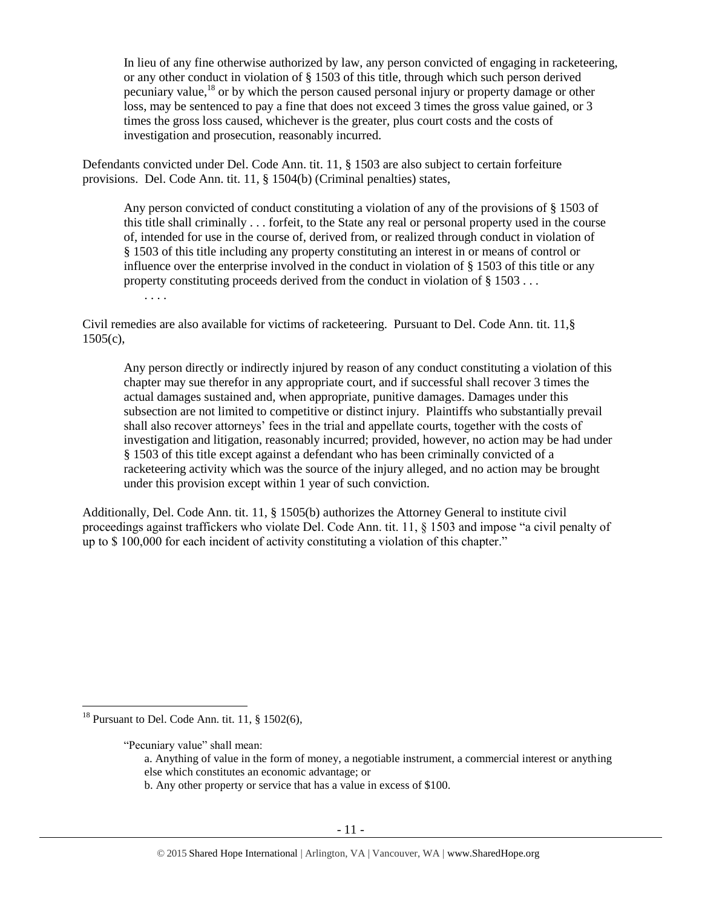In lieu of any fine otherwise authorized by law, any person convicted of engaging in racketeering, or any other conduct in violation of § 1503 of this title, through which such person derived pecuniary value,<sup>18</sup> or by which the person caused personal injury or property damage or other loss, may be sentenced to pay a fine that does not exceed 3 times the gross value gained, or 3 times the gross loss caused, whichever is the greater, plus court costs and the costs of investigation and prosecution, reasonably incurred.

Defendants convicted under Del. Code Ann. tit. 11, § 1503 are also subject to certain forfeiture provisions. Del. Code Ann. tit. 11, § 1504(b) (Criminal penalties) states,

Any person convicted of conduct constituting a violation of any of the provisions of § 1503 of this title shall criminally . . . forfeit, to the State any real or personal property used in the course of, intended for use in the course of, derived from, or realized through conduct in violation of § 1503 of this title including any property constituting an interest in or means of control or influence over the enterprise involved in the conduct in violation of § 1503 of this title or any property constituting proceeds derived from the conduct in violation of § 1503 . . .

. . . .

Civil remedies are also available for victims of racketeering. Pursuant to Del. Code Ann. tit. 11,§  $1505(c)$ ,

Any person directly or indirectly injured by reason of any conduct constituting a violation of this chapter may sue therefor in any appropriate court, and if successful shall recover 3 times the actual damages sustained and, when appropriate, punitive damages. Damages under this subsection are not limited to competitive or distinct injury. Plaintiffs who substantially prevail shall also recover attorneys' fees in the trial and appellate courts, together with the costs of investigation and litigation, reasonably incurred; provided, however, no action may be had under § 1503 of this title except against a defendant who has been criminally convicted of a racketeering activity which was the source of the injury alleged, and no action may be brought under this provision except within 1 year of such conviction.

Additionally, Del. Code Ann. tit. 11, § 1505(b) authorizes the Attorney General to institute civil proceedings against traffickers who violate Del. Code Ann. tit. 11, § 1503 and impose "a civil penalty of up to \$ 100,000 for each incident of activity constituting a violation of this chapter."

 $\overline{\phantom{a}}$ 

b. Any other property or service that has a value in excess of \$100.

<sup>&</sup>lt;sup>18</sup> Pursuant to Del. Code Ann. tit. 11,  $\S$  1502(6),

<sup>&</sup>quot;Pecuniary value" shall mean:

a. Anything of value in the form of money, a negotiable instrument, a commercial interest or anything else which constitutes an economic advantage; or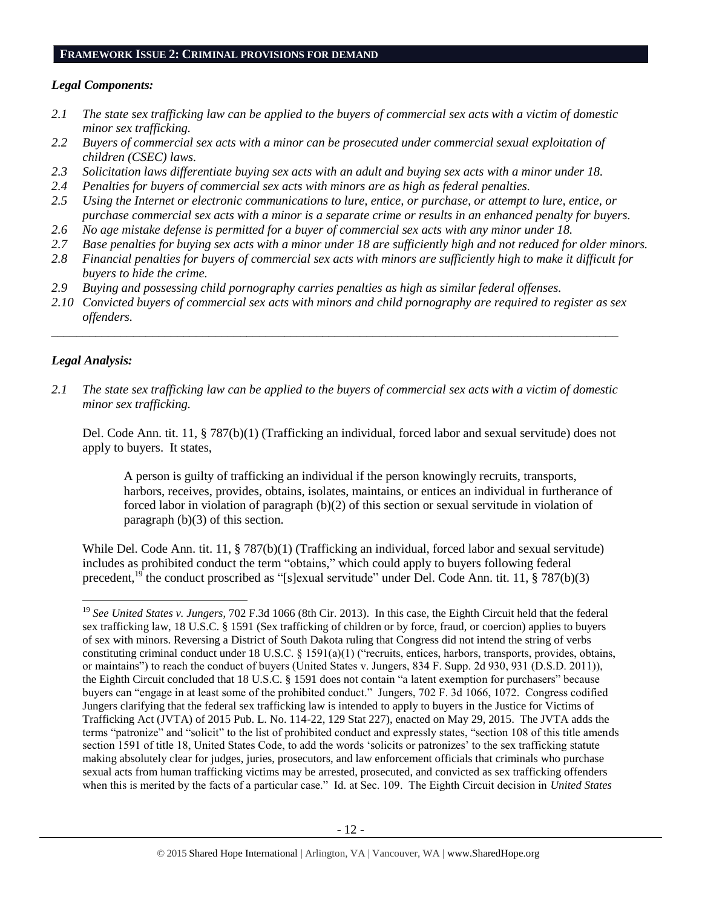#### **FRAMEWORK ISSUE 2: CRIMINAL PROVISIONS FOR DEMAND**

## *Legal Components:*

- *2.1 The state sex trafficking law can be applied to the buyers of commercial sex acts with a victim of domestic minor sex trafficking.*
- *2.2 Buyers of commercial sex acts with a minor can be prosecuted under commercial sexual exploitation of children (CSEC) laws.*
- *2.3 Solicitation laws differentiate buying sex acts with an adult and buying sex acts with a minor under 18.*
- *2.4 Penalties for buyers of commercial sex acts with minors are as high as federal penalties.*
- *2.5 Using the Internet or electronic communications to lure, entice, or purchase, or attempt to lure, entice, or purchase commercial sex acts with a minor is a separate crime or results in an enhanced penalty for buyers.*
- *2.6 No age mistake defense is permitted for a buyer of commercial sex acts with any minor under 18.*
- *2.7 Base penalties for buying sex acts with a minor under 18 are sufficiently high and not reduced for older minors.*
- *2.8 Financial penalties for buyers of commercial sex acts with minors are sufficiently high to make it difficult for buyers to hide the crime.*
- *2.9 Buying and possessing child pornography carries penalties as high as similar federal offenses.*
- *2.10 Convicted buyers of commercial sex acts with minors and child pornography are required to register as sex offenders.*

\_\_\_\_\_\_\_\_\_\_\_\_\_\_\_\_\_\_\_\_\_\_\_\_\_\_\_\_\_\_\_\_\_\_\_\_\_\_\_\_\_\_\_\_\_\_\_\_\_\_\_\_\_\_\_\_\_\_\_\_\_\_\_\_\_\_\_\_\_\_\_\_\_\_\_\_\_\_\_\_\_\_\_\_\_\_\_\_\_\_

# *Legal Analysis:*

*2.1 The state sex trafficking law can be applied to the buyers of commercial sex acts with a victim of domestic minor sex trafficking.*

Del. Code Ann. tit. 11, § 787(b)(1) (Trafficking an individual, forced labor and sexual servitude) does not apply to buyers. It states,

A person is guilty of trafficking an individual if the person knowingly recruits, transports, harbors, receives, provides, obtains, isolates, maintains, or entices an individual in furtherance of forced labor in violation of paragraph (b)(2) of this section or sexual servitude in violation of paragraph (b)(3) of this section.

While Del. Code Ann. tit. 11, § 787(b)(1) (Trafficking an individual, forced labor and sexual servitude) includes as prohibited conduct the term "obtains," which could apply to buyers following federal precedent,<sup>19</sup> the conduct proscribed as "[s]exual servitude" under Del. Code Ann. tit. 11, § 787(b)(3)

 $\overline{a}$ <sup>19</sup> *See United States v. Jungers*, 702 F.3d 1066 (8th Cir. 2013). In this case, the Eighth Circuit held that the federal sex trafficking law, 18 U.S.C. § 1591 (Sex trafficking of children or by force, fraud, or coercion) applies to buyers of sex with minors. Reversing a District of South Dakota ruling that Congress did not intend the string of verbs constituting criminal conduct under 18 U.S.C. § 1591(a)(1) ("recruits, entices, harbors, transports, provides, obtains, or maintains") to reach the conduct of buyers (United States v. Jungers, 834 F. Supp. 2d 930, 931 (D.S.D. 2011)), the Eighth Circuit concluded that 18 U.S.C. § 1591 does not contain "a latent exemption for purchasers" because buyers can "engage in at least some of the prohibited conduct." Jungers, 702 F. 3d 1066, 1072. Congress codified Jungers clarifying that the federal sex trafficking law is intended to apply to buyers in the Justice for Victims of Trafficking Act (JVTA) of 2015 Pub. L. No. 114-22, 129 Stat 227), enacted on May 29, 2015. The JVTA adds the terms "patronize" and "solicit" to the list of prohibited conduct and expressly states, "section 108 of this title amends section 1591 of title 18, United States Code, to add the words 'solicits or patronizes' to the sex trafficking statute making absolutely clear for judges, juries, prosecutors, and law enforcement officials that criminals who purchase sexual acts from human trafficking victims may be arrested, prosecuted, and convicted as sex trafficking offenders when this is merited by the facts of a particular case." Id. at Sec. 109. The Eighth Circuit decision in *United States*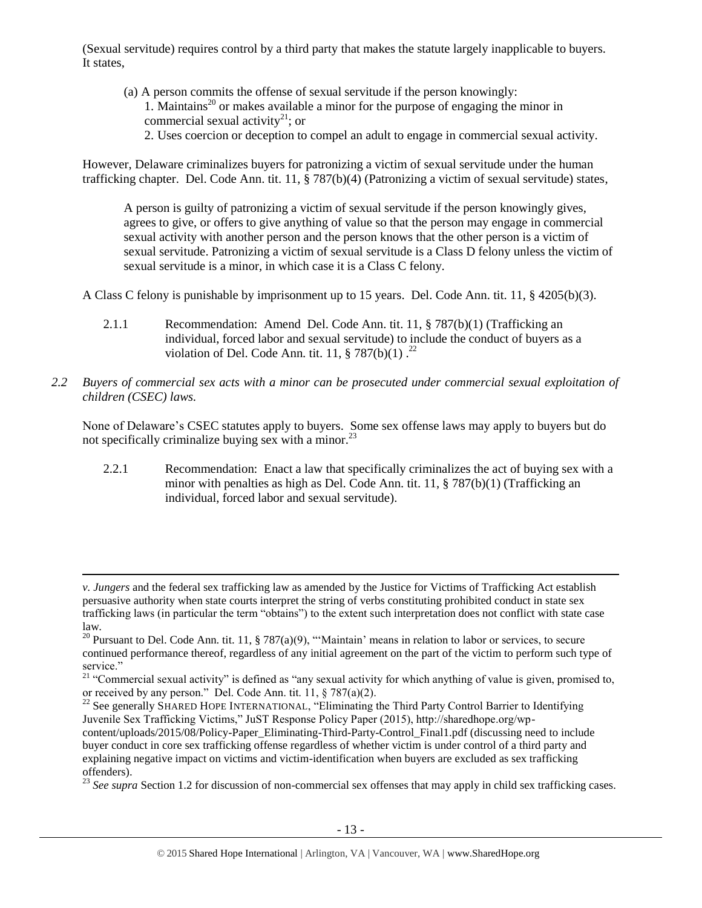(Sexual servitude) requires control by a third party that makes the statute largely inapplicable to buyers. It states,

(a) A person commits the offense of sexual servitude if the person knowingly: 1. Maintains<sup>20</sup> or makes available a minor for the purpose of engaging the minor in commercial sexual activity<sup>21</sup>; or 2. Uses coercion or deception to compel an adult to engage in commercial sexual activity.

However, Delaware criminalizes buyers for patronizing a victim of sexual servitude under the human trafficking chapter. Del. Code Ann. tit. 11, § 787(b)(4) (Patronizing a victim of sexual servitude) states,

A person is guilty of patronizing a victim of sexual servitude if the person knowingly gives, agrees to give, or offers to give anything of value so that the person may engage in commercial sexual activity with another person and the person knows that the other person is a victim of sexual servitude. Patronizing a victim of sexual servitude is a Class D felony unless the victim of sexual servitude is a minor, in which case it is a Class C felony.

A Class C felony is punishable by imprisonment up to 15 years. Del. Code Ann. tit. 11, § 4205(b)(3).

- 2.1.1 Recommendation: Amend Del. Code Ann. tit. 11, § 787(b)(1) (Trafficking an individual, forced labor and sexual servitude) to include the conduct of buyers as a violation of Del. Code Ann. tit. 11,  $\S 787(b)(1)$ .<sup>22</sup>
- *2.2 Buyers of commercial sex acts with a minor can be prosecuted under commercial sexual exploitation of children (CSEC) laws.*

None of Delaware's CSEC statutes apply to buyers. Some sex offense laws may apply to buyers but do not specifically criminalize buying sex with a minor.<sup>23</sup>

2.2.1 Recommendation: Enact a law that specifically criminalizes the act of buying sex with a minor with penalties as high as Del. Code Ann. tit. 11, § 787(b)(1) (Trafficking an individual, forced labor and sexual servitude).

 $\overline{\phantom{a}}$ 

*v. Jungers* and the federal sex trafficking law as amended by the Justice for Victims of Trafficking Act establish persuasive authority when state courts interpret the string of verbs constituting prohibited conduct in state sex trafficking laws (in particular the term "obtains") to the extent such interpretation does not conflict with state case law.

<sup>&</sup>lt;sup>20</sup> Pursuant to Del. Code Ann. tit. 11, § 787(a)(9), "'Maintain' means in relation to labor or services, to secure continued performance thereof, regardless of any initial agreement on the part of the victim to perform such type of service."

<sup>&</sup>lt;sup>21</sup> "Commercial sexual activity" is defined as "any sexual activity for which anything of value is given, promised to, or received by any person." Del. Code Ann. tit. 11, § 787(a)(2).

<sup>&</sup>lt;sup>22</sup> See generally SHARED HOPE INTERNATIONAL, "Eliminating the Third Party Control Barrier to Identifying Juvenile Sex Trafficking Victims," JuST Response Policy Paper (2015), http://sharedhope.org/wpcontent/uploads/2015/08/Policy-Paper\_Eliminating-Third-Party-Control\_Final1.pdf (discussing need to include buyer conduct in core sex trafficking offense regardless of whether victim is under control of a third party and explaining negative impact on victims and victim-identification when buyers are excluded as sex trafficking offenders).

<sup>&</sup>lt;sup>23</sup> See supra Section 1.2 for discussion of non-commercial sex offenses that may apply in child sex trafficking cases.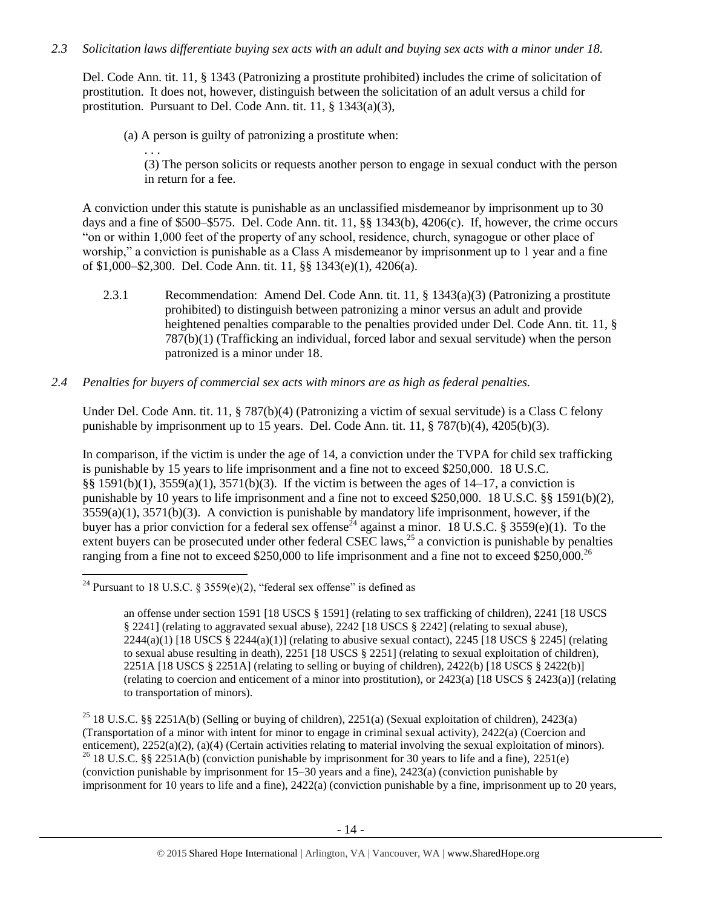# *2.3 Solicitation laws differentiate buying sex acts with an adult and buying sex acts with a minor under 18.*

Del. Code Ann. tit. 11, § 1343 (Patronizing a prostitute prohibited) includes the crime of solicitation of prostitution. It does not, however, distinguish between the solicitation of an adult versus a child for prostitution. Pursuant to Del. Code Ann. tit. 11, § 1343(a)(3),

(a) A person is guilty of patronizing a prostitute when:

. . .

(3) The person solicits or requests another person to engage in sexual conduct with the person in return for a fee.

A conviction under this statute is punishable as an unclassified misdemeanor by imprisonment up to 30 days and a fine of \$500–\$575. Del. Code Ann. tit. 11, §§ 1343(b), 4206(c). If, however, the crime occurs "on or within 1,000 feet of the property of any school, residence, church, synagogue or other place of worship," a conviction is punishable as a Class A misdemeanor by imprisonment up to 1 year and a fine of \$1,000–\$2,300. Del. Code Ann. tit. 11, §§ 1343(e)(1), 4206(a).

2.3.1 Recommendation: Amend Del. Code Ann. tit. 11, § 1343(a)(3) (Patronizing a prostitute prohibited) to distinguish between patronizing a minor versus an adult and provide heightened penalties comparable to the penalties provided under Del. Code Ann. tit. 11, § 787(b)(1) (Trafficking an individual, forced labor and sexual servitude) when the person patronized is a minor under 18.

# *2.4 Penalties for buyers of commercial sex acts with minors are as high as federal penalties.*

Under Del. Code Ann. tit. 11, § 787(b)(4) (Patronizing a victim of sexual servitude) is a Class C felony punishable by imprisonment up to 15 years. Del. Code Ann. tit.  $11, \frac{8}{9}$  787(b)(4), 4205(b)(3).

In comparison, if the victim is under the age of 14, a conviction under the TVPA for child sex trafficking is punishable by 15 years to life imprisonment and a fine not to exceed \$250,000. 18 U.S.C. §§ 1591(b)(1), 3559(a)(1), 3571(b)(3). If the victim is between the ages of 14–17, a conviction is punishable by 10 years to life imprisonment and a fine not to exceed \$250,000. 18 U.S.C. §§ 1591(b)(2),  $3559(a)(1)$ ,  $3571(b)(3)$ . A conviction is punishable by mandatory life imprisonment, however, if the buyer has a prior conviction for a federal sex offense<sup>24</sup> against a minor. 18 U.S.C. § 3559(e)(1). To the extent buyers can be prosecuted under other federal CSEC laws,<sup>25</sup> a conviction is punishable by penalties ranging from a fine not to exceed \$250,000 to life imprisonment and a fine not to exceed \$250,000.<sup>26</sup>

<sup>25</sup> 18 U.S.C. §§ 2251A(b) (Selling or buying of children), 2251(a) (Sexual exploitation of children), 2423(a) (Transportation of a minor with intent for minor to engage in criminal sexual activity), 2422(a) (Coercion and enticement), 2252(a)(2), (a)(4) (Certain activities relating to material involving the sexual exploitation of minors). <sup>26</sup> 18 U.S.C. §§ 2251A(b) (conviction punishable by imprisonment for 30 years to life and a fine), 2251(e) (conviction punishable by imprisonment for 15–30 years and a fine), 2423(a) (conviction punishable by imprisonment for 10 years to life and a fine), 2422(a) (conviction punishable by a fine, imprisonment up to 20 years,

 $\overline{\phantom{a}}$ <sup>24</sup> Pursuant to 18 U.S.C. § 3559(e)(2), "federal sex offense" is defined as

<span id="page-13-0"></span>an offense under section 1591 [18 USCS § 1591] (relating to sex trafficking of children), 2241 [18 USCS § 2241] (relating to aggravated sexual abuse), 2242 [18 USCS § 2242] (relating to sexual abuse),  $2244(a)(1)$  [18 USCS § 2244(a)(1)] (relating to abusive sexual contact), 2245 [18 USCS § 2245] (relating to sexual abuse resulting in death), 2251 [18 USCS § 2251] (relating to sexual exploitation of children), 2251A [18 USCS § 2251A] (relating to selling or buying of children), 2422(b) [18 USCS § 2422(b)] (relating to coercion and enticement of a minor into prostitution), or 2423(a) [18 USCS § 2423(a)] (relating to transportation of minors).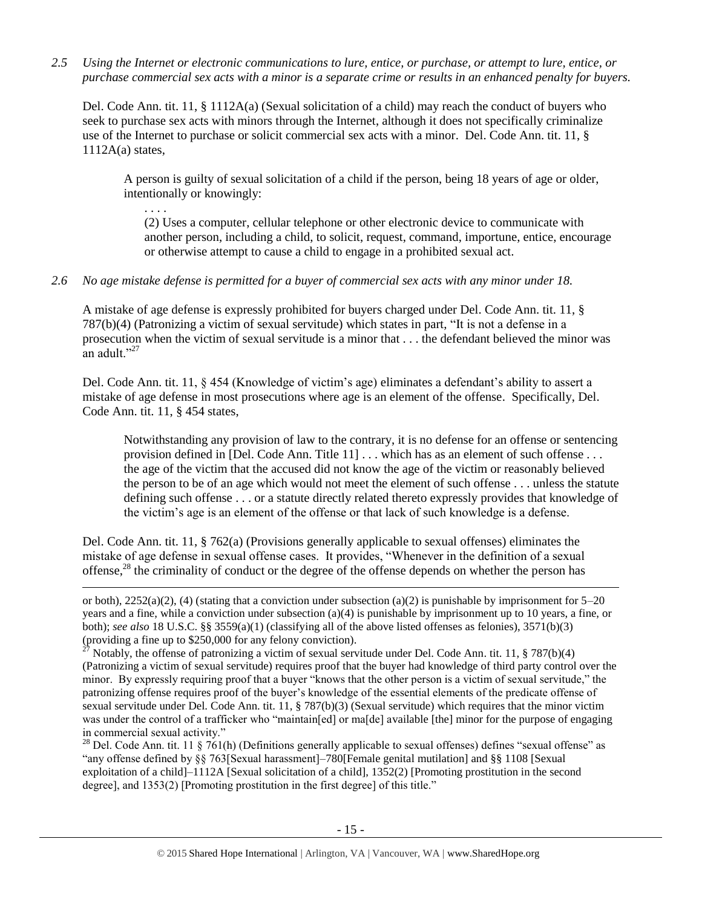*2.5 Using the Internet or electronic communications to lure, entice, or purchase, or attempt to lure, entice, or purchase commercial sex acts with a minor is a separate crime or results in an enhanced penalty for buyers.*

Del. Code Ann. tit. 11, § 1112A(a) (Sexual solicitation of a child) may reach the conduct of buyers who seek to purchase sex acts with minors through the Internet, although it does not specifically criminalize use of the Internet to purchase or solicit commercial sex acts with a minor. Del. Code Ann. tit. 11, §  $1112A(a)$  states,

A person is guilty of sexual solicitation of a child if the person, being 18 years of age or older, intentionally or knowingly:

(2) Uses a computer, cellular telephone or other electronic device to communicate with another person, including a child, to solicit, request, command, importune, entice, encourage or otherwise attempt to cause a child to engage in a prohibited sexual act.

### *2.6 No age mistake defense is permitted for a buyer of commercial sex acts with any minor under 18.*

. . . .

l

A mistake of age defense is expressly prohibited for buyers charged under Del. Code Ann. tit. 11, § 787(b)(4) (Patronizing a victim of sexual servitude) which states in part, "It is not a defense in a prosecution when the victim of sexual servitude is a minor that . . . the defendant believed the minor was an adult."<sup>27</sup>

Del. Code Ann. tit. 11, § 454 (Knowledge of victim's age) eliminates a defendant's ability to assert a mistake of age defense in most prosecutions where age is an element of the offense. Specifically, Del. Code Ann. tit. 11, § 454 states,

Notwithstanding any provision of law to the contrary, it is no defense for an offense or sentencing provision defined in [Del. Code Ann. Title 11] . . . which has as an element of such offense . . . the age of the victim that the accused did not know the age of the victim or reasonably believed the person to be of an age which would not meet the element of such offense . . . unless the statute defining such offense . . . or a statute directly related thereto expressly provides that knowledge of the victim's age is an element of the offense or that lack of such knowledge is a defense.

Del. Code Ann. tit. 11, § 762(a) (Provisions generally applicable to sexual offenses) eliminates the mistake of age defense in sexual offense cases. It provides, "Whenever in the definition of a sexual offense, $28$  the criminality of conduct or the degree of the offense depends on whether the person has

<sup>28</sup> Del. Code Ann. tit. 11  $\frac{\sqrt{61}}{h}$  (Definitions generally applicable to sexual offenses) defines "sexual offense" as "any offense defined by §§ 763[Sexual harassment]–780[Female genital mutilation] and §§ 1108 [Sexual exploitation of a child<sup>-1112</sup>A [Sexual solicitation of a child], 1352(2) [Promoting prostitution in the second degree], and 1353(2) [Promoting prostitution in the first degree] of this title."

or both),  $2252(a)(2)$ , (4) (stating that a conviction under subsection (a)(2) is punishable by imprisonment for  $5-20$ years and a fine, while a conviction under subsection (a)(4) is punishable by imprisonment up to 10 years, a fine, or both); *see also* 18 U.S.C. §§ 3559(a)(1) (classifying all of the above listed offenses as felonies), 3571(b)(3) (providing a fine up to \$250,000 for any felony conviction).

<sup>27</sup> Notably, the offense of patronizing a victim of sexual servitude under Del. Code Ann. tit. 11, § 787(b)(4) (Patronizing a victim of sexual servitude) requires proof that the buyer had knowledge of third party control over the minor. By expressly requiring proof that a buyer "knows that the other person is a victim of sexual servitude," the patronizing offense requires proof of the buyer's knowledge of the essential elements of the predicate offense of sexual servitude under Del. Code Ann. tit. 11, § 787(b)(3) (Sexual servitude) which requires that the minor victim was under the control of a trafficker who "maintain[ed] or ma[de] available [the] minor for the purpose of engaging in commercial sexual activity."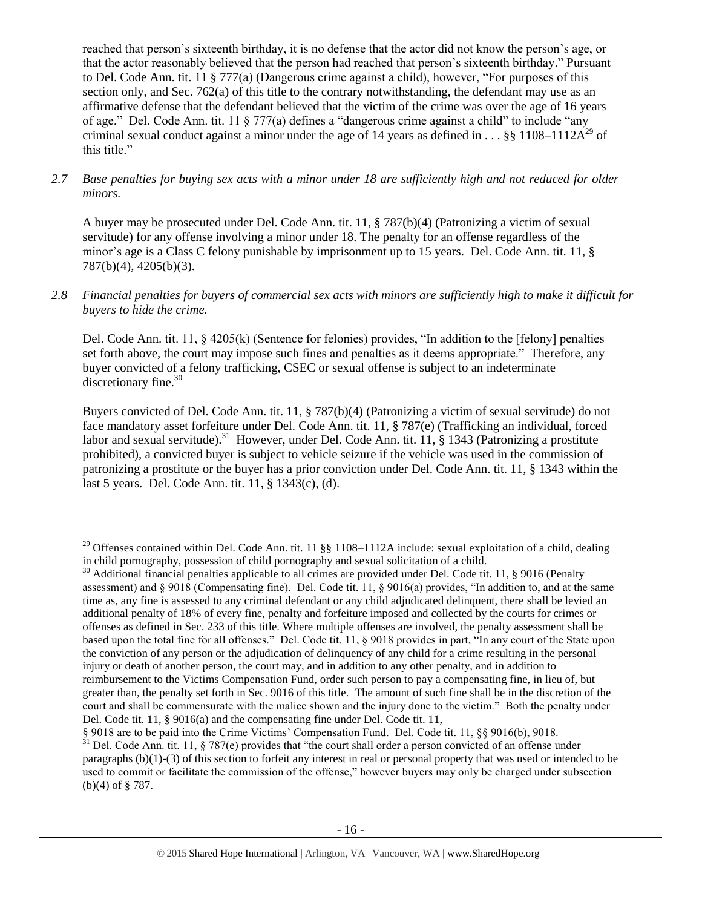reached that person's sixteenth birthday, it is no defense that the actor did not know the person's age, or that the actor reasonably believed that the person had reached that person's sixteenth birthday." Pursuant to Del. Code Ann. tit. 11 § 777(a) (Dangerous crime against a child), however, "For purposes of this section only, and Sec. 762(a) of this title to the contrary notwithstanding, the defendant may use as an affirmative defense that the defendant believed that the victim of the crime was over the age of 16 years of age." Del. Code Ann. tit. 11 § 777(a) defines a "dangerous crime against a child" to include "any criminal sexual conduct against a minor under the age of 14 years as defined in . . . §§ 1108–1112 $A^{29}$  of this title."

*2.7 Base penalties for buying sex acts with a minor under 18 are sufficiently high and not reduced for older minors.*

A buyer may be prosecuted under Del. Code Ann. tit. 11, § 787(b)(4) (Patronizing a victim of sexual servitude) for any offense involving a minor under 18. The penalty for an offense regardless of the minor's age is a Class C felony punishable by imprisonment up to 15 years. Del. Code Ann. tit. 11, § 787(b)(4), 4205(b)(3).

*2.8 Financial penalties for buyers of commercial sex acts with minors are sufficiently high to make it difficult for buyers to hide the crime.* 

Del. Code Ann. tit. 11, § 4205(k) (Sentence for felonies) provides, "In addition to the [felony] penalties set forth above, the court may impose such fines and penalties as it deems appropriate." Therefore, any buyer convicted of a felony trafficking, CSEC or sexual offense is subject to an indeterminate discretionary fine.<sup>30</sup>

<span id="page-15-0"></span>Buyers convicted of Del. Code Ann. tit. 11, § 787(b)(4) (Patronizing a victim of sexual servitude) do not face mandatory asset forfeiture under Del. Code Ann. tit. 11, § 787(e) (Trafficking an individual, forced labor and sexual servitude).<sup>31</sup> However, under Del. Code Ann. tit. 11, § 1343 (Patronizing a prostitute prohibited), a convicted buyer is subject to vehicle seizure if the vehicle was used in the commission of patronizing a prostitute or the buyer has a prior conviction under Del. Code Ann. tit. 11, § 1343 within the last 5 years. Del. Code Ann. tit. 11, § 1343(c), (d).

 $\overline{\phantom{a}}$ 

<sup>&</sup>lt;sup>29</sup> Offenses contained within Del. Code Ann. tit. 11 §§ 1108–1112A include: sexual exploitation of a child, dealing in child pornography, possession of child pornography and sexual solicitation of a child.

<sup>&</sup>lt;sup>30</sup> Additional financial penalties applicable to all crimes are provided under Del. Code tit. 11, § 9016 (Penalty assessment) and § 9018 (Compensating fine). Del. Code tit. 11, § 9016(a) provides, "In addition to, and at the same time as, any fine is assessed to any criminal defendant or any child adjudicated delinquent, there shall be levied an additional penalty of 18% of every fine, penalty and forfeiture imposed and collected by the courts for crimes or offenses as defined in Sec. 233 of this title. Where multiple offenses are involved, the penalty assessment shall be based upon the total fine for all offenses." Del. Code tit. 11, § 9018 provides in part, "In any court of the State upon the conviction of any person or the adjudication of delinquency of any child for a crime resulting in the personal injury or death of another person, the court may, and in addition to any other penalty, and in addition to reimbursement to the Victims Compensation Fund, order such person to pay a compensating fine, in lieu of, but greater than, the penalty set forth in Sec. 9016 of this title. The amount of such fine shall be in the discretion of the court and shall be commensurate with the malice shown and the injury done to the victim." Both the penalty under Del. Code tit. 11, § 9016(a) and the compensating fine under Del. Code tit. 11,

<sup>§ 9018</sup> are to be paid into the Crime Victims' Compensation Fund. Del. Code tit. 11, §§ 9016(b), 9018.

 $31$  Del. Code Ann. tit. 11, § 787(e) provides that "the court shall order a person convicted of an offense under paragraphs (b)(1)-(3) of this section to forfeit any interest in real or personal property that was used or intended to be used to commit or facilitate the commission of the offense," however buyers may only be charged under subsection (b)(4) of § 787.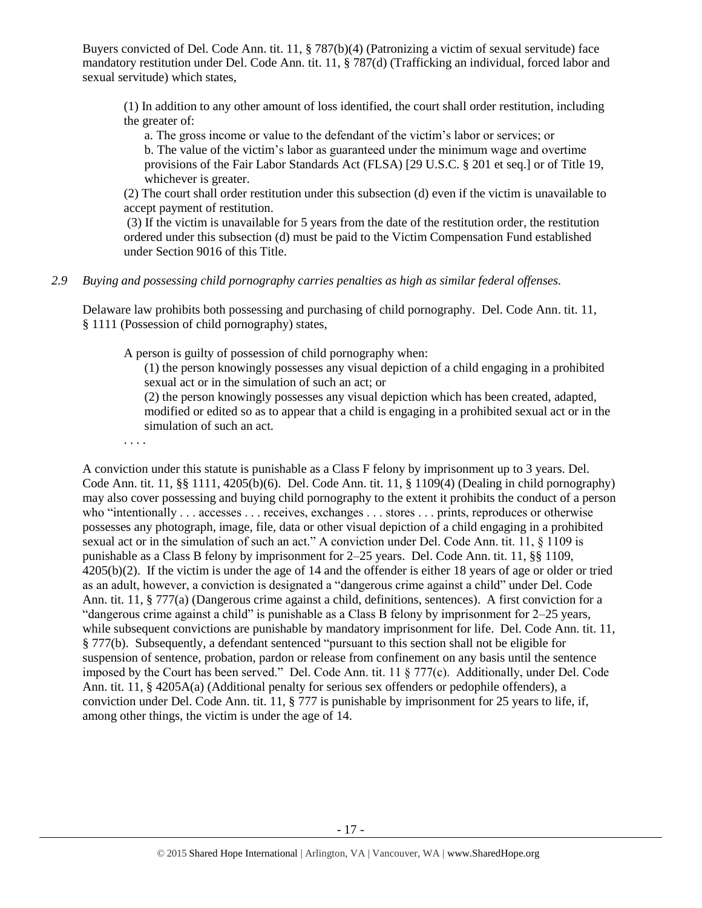Buyers convicted of Del. Code Ann. tit. 11, § 787(b)(4) (Patronizing a victim of sexual servitude) face mandatory restitution under Del. Code Ann. tit. 11, § 787(d) (Trafficking an individual, forced labor and sexual servitude) which states,

(1) In addition to any other amount of loss identified, the court shall order restitution, including the greater of:

a. The gross income or value to the defendant of the victim's labor or services; or b. The value of the victim's labor as guaranteed under the minimum wage and overtime provisions of the Fair Labor Standards Act (FLSA) [29 U.S.C. § 201 et seq.] or of Title 19, whichever is greater.

(2) The court shall order restitution under this subsection (d) even if the victim is unavailable to accept payment of restitution.

(3) If the victim is unavailable for 5 years from the date of the restitution order, the restitution ordered under this subsection (d) must be paid to the Victim Compensation Fund established under Section 9016 of this Title.

#### *2.9 Buying and possessing child pornography carries penalties as high as similar federal offenses.*

Delaware law prohibits both possessing and purchasing of child pornography. Del. Code Ann. tit. 11, § 1111 (Possession of child pornography) states,

A person is guilty of possession of child pornography when:

(1) the person knowingly possesses any visual depiction of a child engaging in a prohibited sexual act or in the simulation of such an act; or

(2) the person knowingly possesses any visual depiction which has been created, adapted, modified or edited so as to appear that a child is engaging in a prohibited sexual act or in the simulation of such an act.

. . . .

A conviction under this statute is punishable as a Class F felony by imprisonment up to 3 years. Del. Code Ann. tit. 11, §§ 1111, 4205(b)(6). Del. Code Ann. tit. 11, § 1109(4) (Dealing in child pornography) may also cover possessing and buying child pornography to the extent it prohibits the conduct of a person who "intentionally . . . accesses . . . receives, exchanges . . . stores . . . prints, reproduces or otherwise possesses any photograph, image, file, data or other visual depiction of a child engaging in a prohibited sexual act or in the simulation of such an act." A conviction under Del. Code Ann. tit. 11, § 1109 is punishable as a Class B felony by imprisonment for 2–25 years. Del. Code Ann. tit. 11, §§ 1109, 4205(b)(2). If the victim is under the age of 14 and the offender is either 18 years of age or older or tried as an adult, however, a conviction is designated a "dangerous crime against a child" under Del. Code Ann. tit. 11, § 777(a) (Dangerous crime against a child, definitions, sentences). A first conviction for a "dangerous crime against a child" is punishable as a Class B felony by imprisonment for 2–25 years, while subsequent convictions are punishable by mandatory imprisonment for life. Del. Code Ann. tit. 11, § 777(b). Subsequently, a defendant sentenced "pursuant to this section shall not be eligible for suspension of sentence, probation, pardon or release from confinement on any basis until the sentence imposed by the Court has been served." Del. Code Ann. tit. 11 § 777(c). Additionally, under Del. Code Ann. tit. 11, § 4205A(a) (Additional penalty for serious sex offenders or pedophile offenders), a conviction under Del. Code Ann. tit. 11, § 777 is punishable by imprisonment for 25 years to life, if, among other things, the victim is under the age of 14.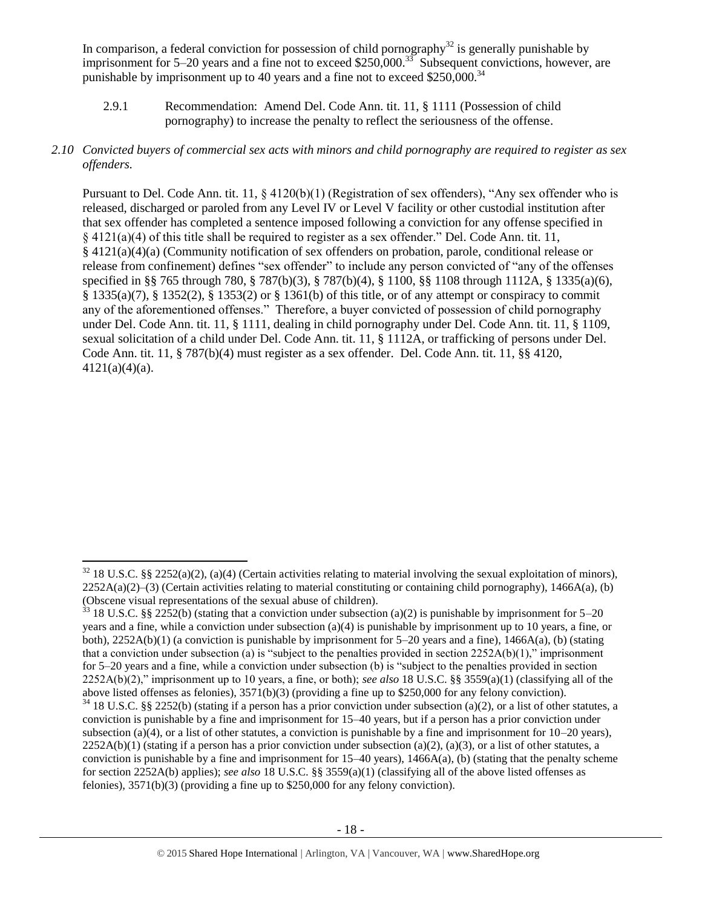In comparison, a federal conviction for possession of child pornography<sup>32</sup> is generally punishable by imprisonment for 5–20 years and a fine not to exceed \$250,000.<sup>33</sup> Subsequent convictions, however, are punishable by imprisonment up to 40 years and a fine not to exceed \$250,000.<sup>34</sup>

- 2.9.1 Recommendation: Amend Del. Code Ann. tit. 11, § 1111 (Possession of child pornography) to increase the penalty to reflect the seriousness of the offense.
- *2.10 Convicted buyers of commercial sex acts with minors and child pornography are required to register as sex offenders.*

Pursuant to Del. Code Ann. tit. 11,  $\S$  4120(b)(1) (Registration of sex offenders), "Any sex offender who is released, discharged or paroled from any Level IV or Level V facility or other custodial institution after that sex offender has completed a sentence imposed following a conviction for any offense specified in § 4121(a)(4) of this title shall be required to register as a sex offender." Del. Code Ann. tit. 11, § 4121(a)(4)(a) (Community notification of sex offenders on probation, parole, conditional release or release from confinement) defines "sex offender" to include any person convicted of "any of the offenses specified in §§ 765 through 780, § 787(b)(3), § 787(b)(4), § 1100, §§ 1108 through 1112A, § 1335(a)(6), § 1335(a)(7), § 1352(2), § 1353(2) or § 1361(b) of this title, or of any attempt or conspiracy to commit any of the aforementioned offenses." Therefore, a buyer convicted of possession of child pornography under Del. Code Ann. tit. 11, § 1111, dealing in child pornography under Del. Code Ann. tit. 11, § 1109, sexual solicitation of a child under Del. Code Ann. tit. 11, § 1112A, or trafficking of persons under Del. Code Ann. tit. 11, § 787(b)(4) must register as a sex offender. Del. Code Ann. tit. 11, §§ 4120,  $4121(a)(4)(a)$ .

 $\overline{a}$  $32\,18$  U.S.C. §§ 2252(a)(2), (a)(4) (Certain activities relating to material involving the sexual exploitation of minors),  $2252A(a)(2)$ –(3) (Certain activities relating to material constituting or containing child pornography), 1466A(a), (b) (Obscene visual representations of the sexual abuse of children).

 $33$  18 U.S.C. §§ 2252(b) (stating that a conviction under subsection (a)(2) is punishable by imprisonment for 5–20 years and a fine, while a conviction under subsection (a)(4) is punishable by imprisonment up to 10 years, a fine, or both), 2252A(b)(1) (a conviction is punishable by imprisonment for 5–20 years and a fine), 1466A(a), (b) (stating that a conviction under subsection (a) is "subject to the penalties provided in section  $2252A(b)(1)$ ," imprisonment for 5–20 years and a fine, while a conviction under subsection (b) is "subject to the penalties provided in section 2252A(b)(2)," imprisonment up to 10 years, a fine, or both); *see also* 18 U.S.C. §§ 3559(a)(1) (classifying all of the above listed offenses as felonies), 3571(b)(3) (providing a fine up to \$250,000 for any felony conviction).

 $34$  18 U.S.C. §§ 2252(b) (stating if a person has a prior conviction under subsection (a)(2), or a list of other statutes, a conviction is punishable by a fine and imprisonment for 15–40 years, but if a person has a prior conviction under subsection (a)(4), or a list of other statutes, a conviction is punishable by a fine and imprisonment for  $10-20$  years),  $2252A(b)(1)$  (stating if a person has a prior conviction under subsection (a)(2), (a)(3), or a list of other statutes, a conviction is punishable by a fine and imprisonment for  $15-40$  years),  $1466A(a)$ , (b) (stating that the penalty scheme for section 2252A(b) applies); *see also* 18 U.S.C. §§ 3559(a)(1) (classifying all of the above listed offenses as felonies), 3571(b)(3) (providing a fine up to \$250,000 for any felony conviction).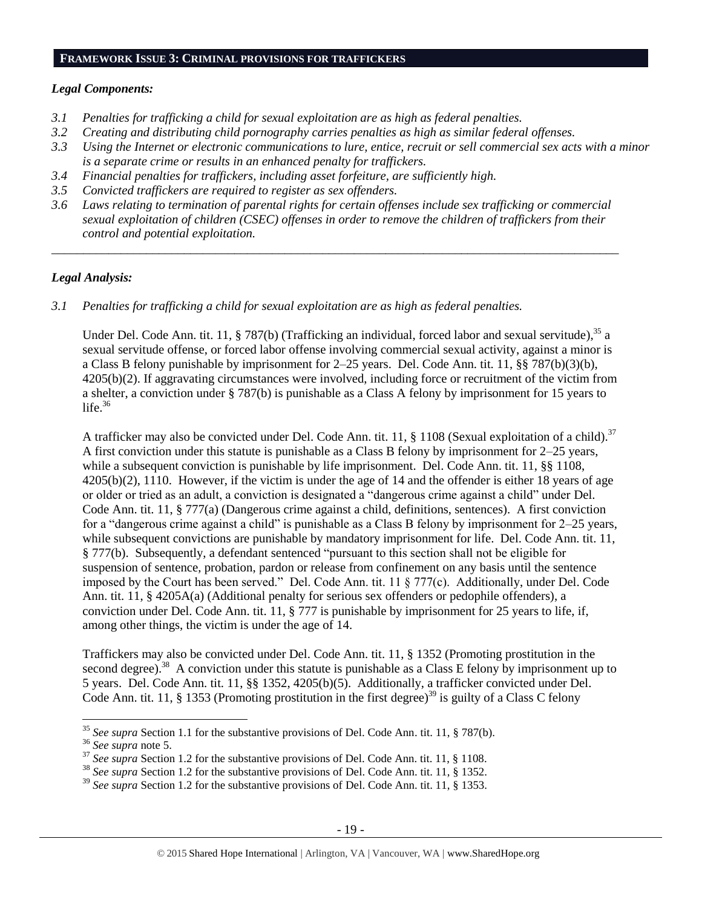#### **FRAMEWORK ISSUE 3: CRIMINAL PROVISIONS FOR TRAFFICKERS**

#### *Legal Components:*

- *3.1 Penalties for trafficking a child for sexual exploitation are as high as federal penalties.*
- *3.2 Creating and distributing child pornography carries penalties as high as similar federal offenses.*
- *3.3 Using the Internet or electronic communications to lure, entice, recruit or sell commercial sex acts with a minor is a separate crime or results in an enhanced penalty for traffickers.*
- *3.4 Financial penalties for traffickers, including asset forfeiture, are sufficiently high.*
- *3.5 Convicted traffickers are required to register as sex offenders.*
- *3.6 Laws relating to termination of parental rights for certain offenses include sex trafficking or commercial sexual exploitation of children (CSEC) offenses in order to remove the children of traffickers from their control and potential exploitation.*

*\_\_\_\_\_\_\_\_\_\_\_\_\_\_\_\_\_\_\_\_\_\_\_\_\_\_\_\_\_\_\_\_\_\_\_\_\_\_\_\_\_\_\_\_\_\_\_\_\_\_\_\_\_\_\_\_\_\_\_\_\_\_\_\_\_\_\_\_\_\_\_\_\_\_\_\_\_\_\_\_\_\_\_\_\_\_\_\_\_\_*

### *Legal Analysis:*

*3.1 Penalties for trafficking a child for sexual exploitation are as high as federal penalties.* 

Under Del. Code Ann. tit. 11, § 787(b) (Trafficking an individual, forced labor and sexual servitude).<sup>35</sup> a sexual servitude offense, or forced labor offense involving commercial sexual activity, against a minor is a Class B felony punishable by imprisonment for 2–25 years. Del. Code Ann. tit. 11, §§ 787(b)(3)(b), 4205(b)(2). If aggravating circumstances were involved, including force or recruitment of the victim from a shelter, a conviction under § 787(b) is punishable as a Class A felony by imprisonment for 15 years to life. $36$ 

A trafficker may also be convicted under Del. Code Ann. tit. 11,  $\S$  1108 (Sexual exploitation of a child).<sup>37</sup> A first conviction under this statute is punishable as a Class B felony by imprisonment for 2–25 years, while a subsequent conviction is punishable by life imprisonment. Del. Code Ann. tit. 11, §§ 1108, 4205(b)(2), 1110. However, if the victim is under the age of 14 and the offender is either 18 years of age or older or tried as an adult, a conviction is designated a "dangerous crime against a child" under Del. Code Ann. tit. 11, § 777(a) (Dangerous crime against a child, definitions, sentences). A first conviction for a "dangerous crime against a child" is punishable as a Class B felony by imprisonment for 2–25 years, while subsequent convictions are punishable by mandatory imprisonment for life. Del. Code Ann. tit. 11, § 777(b). Subsequently, a defendant sentenced "pursuant to this section shall not be eligible for suspension of sentence, probation, pardon or release from confinement on any basis until the sentence imposed by the Court has been served." Del. Code Ann. tit. 11 § 777(c). Additionally, under Del. Code Ann. tit. 11, § 4205A(a) (Additional penalty for serious sex offenders or pedophile offenders), a conviction under Del. Code Ann. tit. 11, § 777 is punishable by imprisonment for 25 years to life, if, among other things, the victim is under the age of 14.

Traffickers may also be convicted under Del. Code Ann. tit. 11, § 1352 (Promoting prostitution in the second degree).<sup>38</sup> A conviction under this statute is punishable as a Class E felony by imprisonment up to 5 years. Del. Code Ann. tit. 11, §§ 1352, 4205(b)(5). Additionally, a trafficker convicted under Del. Code Ann. tit. 11, § 1353 (Promoting prostitution in the first degree)<sup>39</sup> is guilty of a Class C felony

l

<sup>35</sup> *See supra* Section 1.1 for the substantive provisions of Del. Code Ann. tit. 11, § 787(b).

<sup>36</sup> *See supra* note [5.](#page-2-0)

<sup>&</sup>lt;sup>37</sup> See supra Section 1.2 for the substantive provisions of Del. Code Ann. tit. 11, § 1108.

<sup>38</sup> *See supra* Section 1.2 for the substantive provisions of Del. Code Ann. tit. 11, § 1352.

<sup>39</sup> *See supra* Section 1.2 for the substantive provisions of Del. Code Ann. tit. 11, § 1353.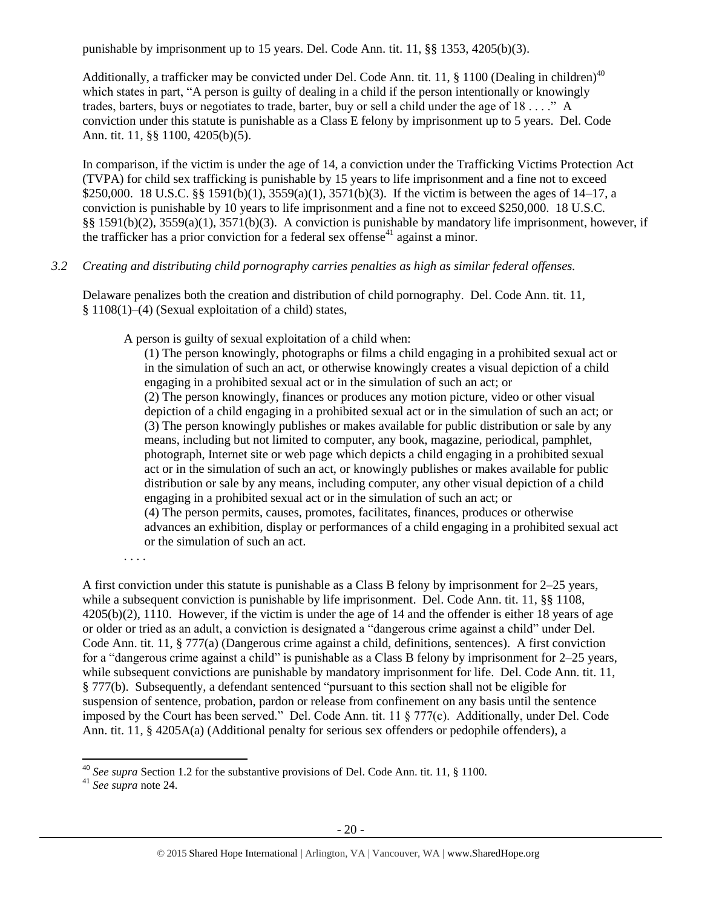punishable by imprisonment up to 15 years. Del. Code Ann. tit. 11, §§ 1353, 4205(b)(3).

Additionally, a trafficker may be convicted under Del. Code Ann. tit. 11, § 1100 (Dealing in children)<sup>40</sup> which states in part, "A person is guilty of dealing in a child if the person intentionally or knowingly trades, barters, buys or negotiates to trade, barter, buy or sell a child under the age of 18 . . . ." A conviction under this statute is punishable as a Class E felony by imprisonment up to 5 years. Del. Code Ann. tit. 11, §§ 1100, 4205(b)(5).

In comparison, if the victim is under the age of 14, a conviction under the Trafficking Victims Protection Act (TVPA) for child sex trafficking is punishable by 15 years to life imprisonment and a fine not to exceed \$250,000. 18 U.S.C. §§ 1591(b)(1), 3559(a)(1), 3571(b)(3). If the victim is between the ages of 14–17, a conviction is punishable by 10 years to life imprisonment and a fine not to exceed \$250,000. 18 U.S.C. §§ 1591(b)(2), 3559(a)(1), 3571(b)(3). A conviction is punishable by mandatory life imprisonment, however, if the trafficker has a prior conviction for a federal sex offense<sup>41</sup> against a minor.

# *3.2 Creating and distributing child pornography carries penalties as high as similar federal offenses.*

Delaware penalizes both the creation and distribution of child pornography. Del. Code Ann. tit. 11, § 1108(1)–(4) (Sexual exploitation of a child) states,

A person is guilty of sexual exploitation of a child when:

(1) The person knowingly, photographs or films a child engaging in a prohibited sexual act or in the simulation of such an act, or otherwise knowingly creates a visual depiction of a child engaging in a prohibited sexual act or in the simulation of such an act; or (2) The person knowingly, finances or produces any motion picture, video or other visual depiction of a child engaging in a prohibited sexual act or in the simulation of such an act; or (3) The person knowingly publishes or makes available for public distribution or sale by any means, including but not limited to computer, any book, magazine, periodical, pamphlet, photograph, Internet site or web page which depicts a child engaging in a prohibited sexual act or in the simulation of such an act, or knowingly publishes or makes available for public distribution or sale by any means, including computer, any other visual depiction of a child engaging in a prohibited sexual act or in the simulation of such an act; or (4) The person permits, causes, promotes, facilitates, finances, produces or otherwise advances an exhibition, display or performances of a child engaging in a prohibited sexual act or the simulation of such an act.

. . . .

A first conviction under this statute is punishable as a Class B felony by imprisonment for 2–25 years, while a subsequent conviction is punishable by life imprisonment. Del. Code Ann. tit. 11, §§ 1108, 4205(b)(2), 1110. However, if the victim is under the age of 14 and the offender is either 18 years of age or older or tried as an adult, a conviction is designated a "dangerous crime against a child" under Del. Code Ann. tit. 11, § 777(a) (Dangerous crime against a child, definitions, sentences). A first conviction for a "dangerous crime against a child" is punishable as a Class B felony by imprisonment for 2–25 years, while subsequent convictions are punishable by mandatory imprisonment for life. Del. Code Ann. tit. 11, § 777(b). Subsequently, a defendant sentenced "pursuant to this section shall not be eligible for suspension of sentence, probation, pardon or release from confinement on any basis until the sentence imposed by the Court has been served." Del. Code Ann. tit. 11 § 777(c). Additionally, under Del. Code Ann. tit. 11, § 4205A(a) (Additional penalty for serious sex offenders or pedophile offenders), a

 $\overline{a}$ 

<sup>40</sup> *See supra* Section 1.2 for the substantive provisions of Del. Code Ann. tit. 11, § 1100.

<sup>41</sup> *See supra* note [24.](#page-13-0)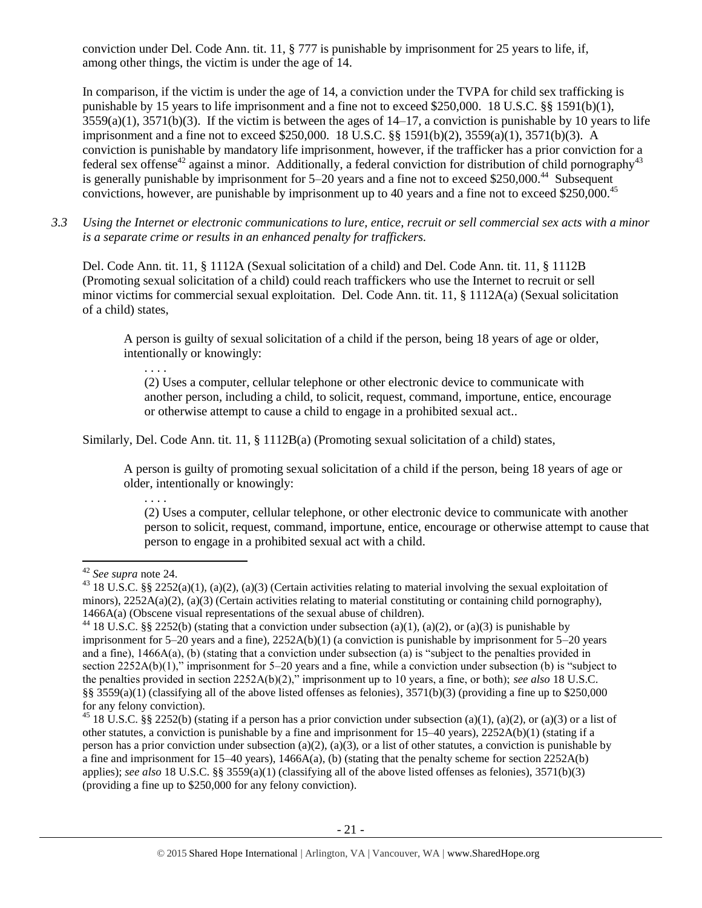conviction under Del. Code Ann. tit. 11, § 777 is punishable by imprisonment for 25 years to life, if, among other things, the victim is under the age of 14.

In comparison, if the victim is under the age of 14, a conviction under the TVPA for child sex trafficking is punishable by 15 years to life imprisonment and a fine not to exceed \$250,000. 18 U.S.C. §§ 1591(b)(1),  $3559(a)(1)$ ,  $3571(b)(3)$ . If the victim is between the ages of  $14-17$ , a conviction is punishable by 10 years to life imprisonment and a fine not to exceed \$250,000. 18 U.S.C. §§ 1591(b)(2), 3559(a)(1), 3571(b)(3). A conviction is punishable by mandatory life imprisonment, however, if the trafficker has a prior conviction for a federal sex offense<sup>42</sup> against a minor. Additionally, a federal conviction for distribution of child pornography<sup>43</sup> is generally punishable by imprisonment for 5–20 years and a fine not to exceed \$250,000.<sup>44</sup> Subsequent convictions, however, are punishable by imprisonment up to 40 years and a fine not to exceed \$250,000.<sup>45</sup>

*3.3 Using the Internet or electronic communications to lure, entice, recruit or sell commercial sex acts with a minor is a separate crime or results in an enhanced penalty for traffickers.*

Del. Code Ann. tit. 11, § 1112A (Sexual solicitation of a child) and Del. Code Ann. tit. 11, § 1112B (Promoting sexual solicitation of a child) could reach traffickers who use the Internet to recruit or sell minor victims for commercial sexual exploitation. Del. Code Ann. tit. 11,  $\S$  1112A(a) (Sexual solicitation of a child) states,

A person is guilty of sexual solicitation of a child if the person, being 18 years of age or older, intentionally or knowingly:

. . . . (2) Uses a computer, cellular telephone or other electronic device to communicate with another person, including a child, to solicit, request, command, importune, entice, encourage or otherwise attempt to cause a child to engage in a prohibited sexual act..

Similarly, Del. Code Ann. tit. 11, § 1112B(a) (Promoting sexual solicitation of a child) states,

A person is guilty of promoting sexual solicitation of a child if the person, being 18 years of age or older, intentionally or knowingly:

. . . .

(2) Uses a computer, cellular telephone, or other electronic device to communicate with another person to solicit, request, command, importune, entice, encourage or otherwise attempt to cause that person to engage in a prohibited sexual act with a child.

 $\overline{a}$ <sup>42</sup> *See supra* note [24.](#page-13-0)

<sup>&</sup>lt;sup>43</sup> 18 U.S.C. §§ 2252(a)(1), (a)(2), (a)(3) (Certain activities relating to material involving the sexual exploitation of minors), 2252A(a)(2), (a)(3) (Certain activities relating to material constituting or containing child pornography), 1466A(a) (Obscene visual representations of the sexual abuse of children).

<sup>&</sup>lt;sup>44</sup> 18 U.S.C. §§ 2252(b) (stating that a conviction under subsection (a)(1), (a)(2), or (a)(3) is punishable by imprisonment for 5–20 years and a fine), 2252A(b)(1) (a conviction is punishable by imprisonment for 5–20 years and a fine), 1466A(a), (b) (stating that a conviction under subsection (a) is "subject to the penalties provided in section 2252A(b)(1)," imprisonment for 5–20 years and a fine, while a conviction under subsection (b) is "subject to the penalties provided in section 2252A(b)(2)," imprisonment up to 10 years, a fine, or both); *see also* 18 U.S.C. §§ 3559(a)(1) (classifying all of the above listed offenses as felonies),  $3571(b)(3)$  (providing a fine up to \$250,000 for any felony conviction).

<sup>&</sup>lt;sup>45</sup> 18 U.S.C. §§ 2252(b) (stating if a person has a prior conviction under subsection (a)(1), (a)(2), or (a)(3) or a list of other statutes, a conviction is punishable by a fine and imprisonment for 15–40 years), 2252A(b)(1) (stating if a person has a prior conviction under subsection (a)(2), (a)(3), or a list of other statutes, a conviction is punishable by a fine and imprisonment for  $15-40$  years),  $1466A(a)$ , (b) (stating that the penalty scheme for section  $2252A(b)$ applies); *see also* 18 U.S.C. §§ 3559(a)(1) (classifying all of the above listed offenses as felonies), 3571(b)(3) (providing a fine up to \$250,000 for any felony conviction).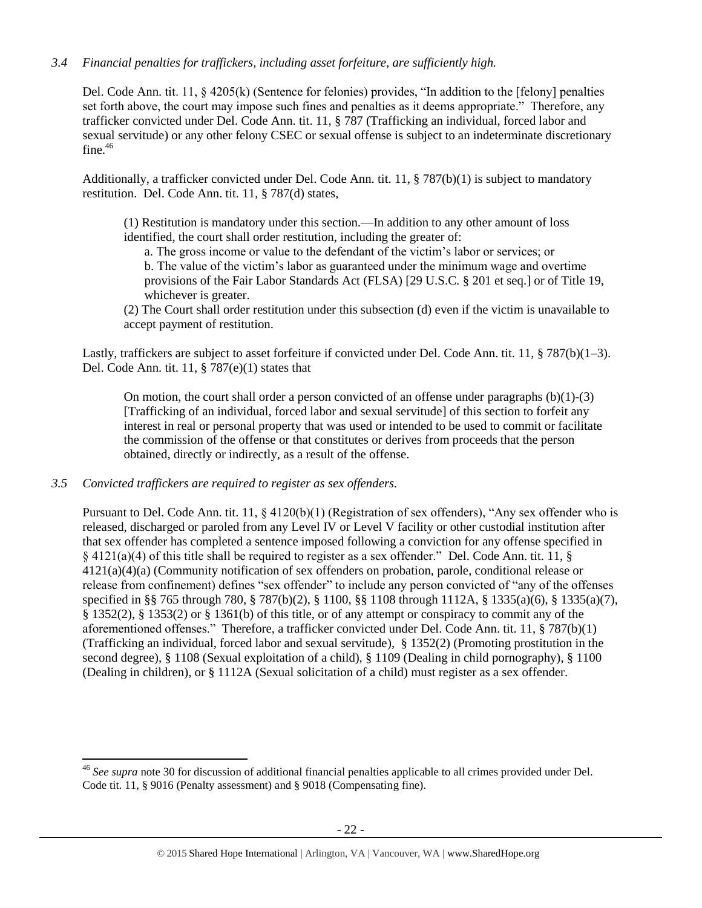# *3.4 Financial penalties for traffickers, including asset forfeiture, are sufficiently high.*

Del. Code Ann. tit. 11, § 4205(k) (Sentence for felonies) provides, "In addition to the [felony] penalties set forth above, the court may impose such fines and penalties as it deems appropriate." Therefore, any trafficker convicted under Del. Code Ann. tit. 11, § 787 (Trafficking an individual, forced labor and sexual servitude) or any other felony CSEC or sexual offense is subject to an indeterminate discretionary fine. $46$ 

Additionally, a trafficker convicted under Del. Code Ann. tit. 11, § 787(b)(1) is subject to mandatory restitution. Del. Code Ann. tit. 11, § 787(d) states,

(1) Restitution is mandatory under this section.—In addition to any other amount of loss identified, the court shall order restitution, including the greater of:

a. The gross income or value to the defendant of the victim's labor or services; or b. The value of the victim's labor as guaranteed under the minimum wage and overtime provisions of the Fair Labor Standards Act (FLSA) [29 U.S.C. § 201 et seq.] or of Title 19, whichever is greater.

(2) The Court shall order restitution under this subsection (d) even if the victim is unavailable to accept payment of restitution.

Lastly, traffickers are subject to asset forfeiture if convicted under Del. Code Ann. tit. 11, § 787(b)(1–3). Del. Code Ann. tit. 11, § 787(e)(1) states that

On motion, the court shall order a person convicted of an offense under paragraphs  $(b)(1)-(3)$ [Trafficking of an individual, forced labor and sexual servitude] of this section to forfeit any interest in real or personal property that was used or intended to be used to commit or facilitate the commission of the offense or that constitutes or derives from proceeds that the person obtained, directly or indirectly, as a result of the offense.

### *3.5 Convicted traffickers are required to register as sex offenders.*

 $\overline{a}$ 

Pursuant to Del. Code Ann. tit. 11,  $\S$  4120(b)(1) (Registration of sex offenders), "Any sex offender who is released, discharged or paroled from any Level IV or Level V facility or other custodial institution after that sex offender has completed a sentence imposed following a conviction for any offense specified in § 4121(a)(4) of this title shall be required to register as a sex offender." Del. Code Ann. tit. 11, § 4121(a)(4)(a) (Community notification of sex offenders on probation, parole, conditional release or release from confinement) defines "sex offender" to include any person convicted of "any of the offenses specified in §§ 765 through 780, § 787(b)(2), § 1100, §§ 1108 through 1112A, § 1335(a)(6), § 1335(a)(7), § 1352(2), § 1353(2) or § 1361(b) of this title, or of any attempt or conspiracy to commit any of the aforementioned offenses." Therefore, a trafficker convicted under Del. Code Ann. tit. 11, § 787(b)(1) (Trafficking an individual, forced labor and sexual servitude), § 1352(2) (Promoting prostitution in the second degree), § 1108 (Sexual exploitation of a child), § 1109 (Dealing in child pornography), § 1100 (Dealing in children), or § 1112A (Sexual solicitation of a child) must register as a sex offender.

<sup>46</sup> *See supra* note [30](#page-15-0) for discussion of additional financial penalties applicable to all crimes provided under Del. Code tit. 11, § 9016 (Penalty assessment) and § 9018 (Compensating fine).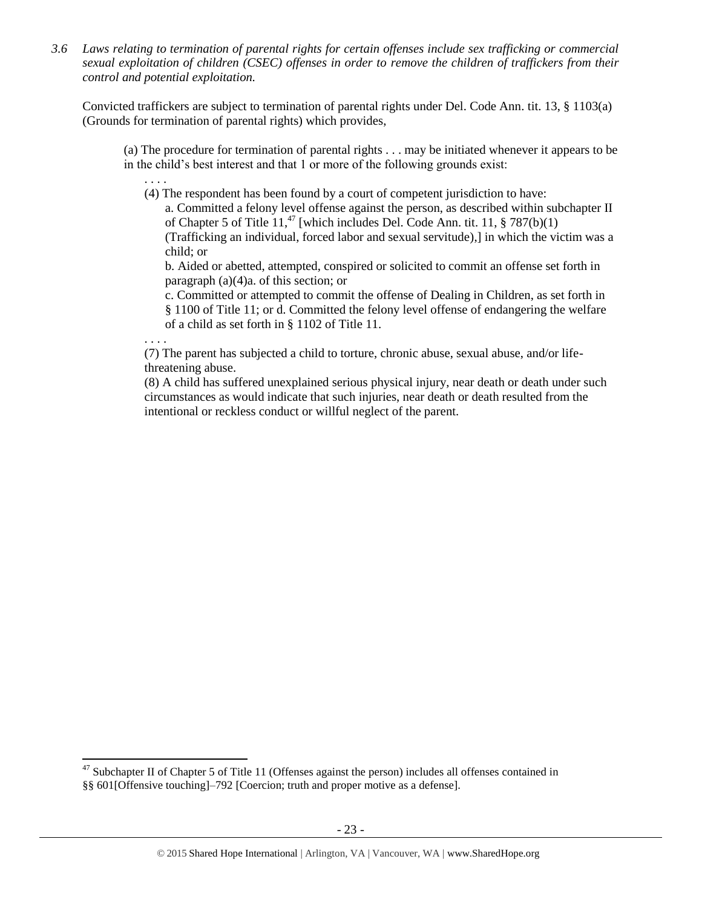*3.6 Laws relating to termination of parental rights for certain offenses include sex trafficking or commercial sexual exploitation of children (CSEC) offenses in order to remove the children of traffickers from their control and potential exploitation.* 

Convicted traffickers are subject to termination of parental rights under Del. Code Ann. tit. 13, § 1103(a) (Grounds for termination of parental rights) which provides,

(a) The procedure for termination of parental rights . . . may be initiated whenever it appears to be in the child's best interest and that 1 or more of the following grounds exist:

(4) The respondent has been found by a court of competent jurisdiction to have:

a. Committed a felony level offense against the person, as described within subchapter II of Chapter 5 of Title 11,<sup>47</sup> [which includes Del. Code Ann. tit. 11,  $\S 787(b)(1)$ (Trafficking an individual, forced labor and sexual servitude),] in which the victim was a child; or

b. Aided or abetted, attempted, conspired or solicited to commit an offense set forth in paragraph (a)(4)a. of this section; or

c. Committed or attempted to commit the offense of Dealing in Children, as set forth in § 1100 of Title 11; or d. Committed the felony level offense of endangering the welfare of a child as set forth in § 1102 of Title 11.

. . . .

 $\overline{a}$ 

. . . .

(7) The parent has subjected a child to torture, chronic abuse, sexual abuse, and/or lifethreatening abuse.

(8) A child has suffered unexplained serious physical injury, near death or death under such circumstances as would indicate that such injuries, near death or death resulted from the intentional or reckless conduct or willful neglect of the parent.

 $47$  Subchapter II of Chapter 5 of Title 11 (Offenses against the person) includes all offenses contained in §§ 601[Offensive touching]–792 [Coercion; truth and proper motive as a defense].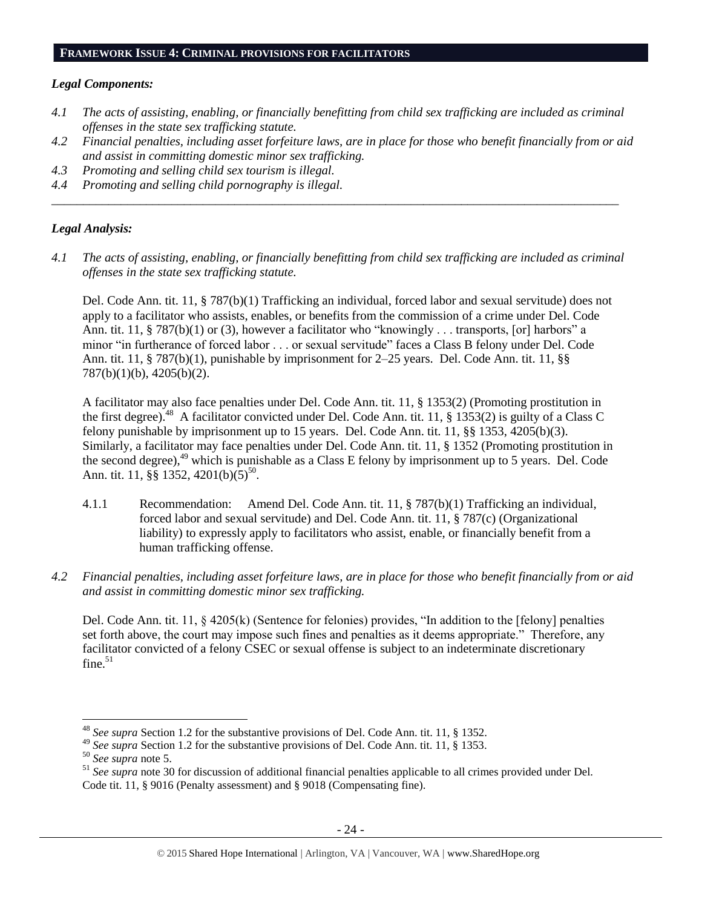#### **FRAMEWORK ISSUE 4: CRIMINAL PROVISIONS FOR FACILITATORS**

#### *Legal Components:*

- *4.1 The acts of assisting, enabling, or financially benefitting from child sex trafficking are included as criminal offenses in the state sex trafficking statute.*
- *4.2 Financial penalties, including asset forfeiture laws, are in place for those who benefit financially from or aid and assist in committing domestic minor sex trafficking.*
- *4.3 Promoting and selling child sex tourism is illegal.*
- *4.4 Promoting and selling child pornography is illegal.*

#### *Legal Analysis:*

*4.1 The acts of assisting, enabling, or financially benefitting from child sex trafficking are included as criminal offenses in the state sex trafficking statute.*

*\_\_\_\_\_\_\_\_\_\_\_\_\_\_\_\_\_\_\_\_\_\_\_\_\_\_\_\_\_\_\_\_\_\_\_\_\_\_\_\_\_\_\_\_\_\_\_\_\_\_\_\_\_\_\_\_\_\_\_\_\_\_\_\_\_\_\_\_\_\_\_\_\_\_\_\_\_\_\_\_\_\_\_\_\_\_\_\_\_\_*

Del. Code Ann. tit. 11, § 787(b)(1) Trafficking an individual, forced labor and sexual servitude) does not apply to a facilitator who assists, enables, or benefits from the commission of a crime under Del. Code Ann. tit. 11, § 787(b)(1) or (3), however a facilitator who "knowingly . . . transports, [or] harbors" a minor "in furtherance of forced labor . . . or sexual servitude" faces a Class B felony under Del. Code Ann. tit. 11, § 787(b)(1), punishable by imprisonment for 2–25 years. Del. Code Ann. tit. 11, §§ 787(b)(1)(b), 4205(b)(2).

A facilitator may also face penalties under Del. Code Ann. tit. 11, § 1353(2) (Promoting prostitution in the first degree).<sup>48</sup> A facilitator convicted under Del. Code Ann. tit. 11, § 1353(2) is guilty of a Class C felony punishable by imprisonment up to 15 years. Del. Code Ann. tit. 11, §§ 1353, 4205(b)(3). Similarly, a facilitator may face penalties under Del. Code Ann. tit. 11, § 1352 (Promoting prostitution in the second degree), $^{49}$  which is punishable as a Class E felony by imprisonment up to 5 years. Del. Code Ann. tit. 11, §§ 1352, 4201(b)(5)<sup>50</sup>.

- 4.1.1 Recommendation: Amend Del. Code Ann. tit. 11, § 787(b)(1) Trafficking an individual, forced labor and sexual servitude) and Del. Code Ann. tit. 11, § 787(c) (Organizational liability) to expressly apply to facilitators who assist, enable, or financially benefit from a human trafficking offense.
- *4.2 Financial penalties, including asset forfeiture laws, are in place for those who benefit financially from or aid and assist in committing domestic minor sex trafficking.*

Del. Code Ann. tit. 11,  $\S$  4205(k) (Sentence for felonies) provides, "In addition to the [felony] penalties set forth above, the court may impose such fines and penalties as it deems appropriate." Therefore, any facilitator convicted of a felony CSEC or sexual offense is subject to an indeterminate discretionary fine. $51$ 

l

<sup>48</sup> *See supra* Section 1.2 for the substantive provisions of Del. Code Ann. tit. 11, § 1352.

<sup>49</sup> *See supra* Section 1.2 for the substantive provisions of Del. Code Ann. tit. 11, § 1353.

<sup>50</sup> *See supra* note [5.](#page-2-0)

<sup>51</sup> *See supra* note [30](#page-15-0) for discussion of additional financial penalties applicable to all crimes provided under Del. Code tit. 11, § 9016 (Penalty assessment) and § 9018 (Compensating fine).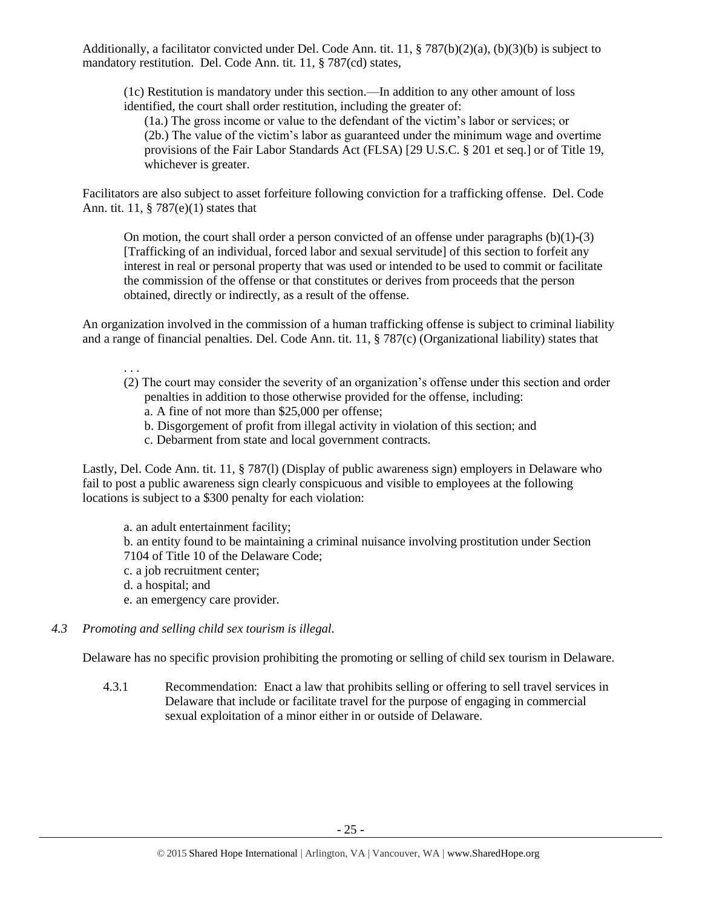Additionally, a facilitator convicted under Del. Code Ann. tit. 11, § 787(b)(2)(a), (b)(3)(b) is subject to mandatory restitution. Del. Code Ann. tit. 11, § 787(cd) states,

(1c) Restitution is mandatory under this section.—In addition to any other amount of loss identified, the court shall order restitution, including the greater of:

(1a.) The gross income or value to the defendant of the victim's labor or services; or (2b.) The value of the victim's labor as guaranteed under the minimum wage and overtime provisions of the Fair Labor Standards Act (FLSA) [29 U.S.C. § 201 et seq.] or of Title 19, whichever is greater.

Facilitators are also subject to asset forfeiture following conviction for a trafficking offense. Del. Code Ann. tit. 11, § 787(e)(1) states that

On motion, the court shall order a person convicted of an offense under paragraphs  $(b)(1)-(3)$ [Trafficking of an individual, forced labor and sexual servitude] of this section to forfeit any interest in real or personal property that was used or intended to be used to commit or facilitate the commission of the offense or that constitutes or derives from proceeds that the person obtained, directly or indirectly, as a result of the offense.

An organization involved in the commission of a human trafficking offense is subject to criminal liability and a range of financial penalties. Del. Code Ann. tit. 11, § 787(c) (Organizational liability) states that

. . .

- (2) The court may consider the severity of an organization's offense under this section and order penalties in addition to those otherwise provided for the offense, including: a. A fine of not more than \$25,000 per offense;
	-
	- b. Disgorgement of profit from illegal activity in violation of this section; and
	- c. Debarment from state and local government contracts.

Lastly, Del. Code Ann. tit. 11, § 787(l) (Display of public awareness sign) employers in Delaware who fail to post a public awareness sign clearly conspicuous and visible to employees at the following locations is subject to a \$300 penalty for each violation:

a. an adult entertainment facility; b. an entity found to be maintaining a criminal nuisance involving prostitution under Section 7104 of Title 10 of the Delaware Code; c. a job recruitment center; d. a hospital; and e. an emergency care provider.

*4.3 Promoting and selling child sex tourism is illegal.*

Delaware has no specific provision prohibiting the promoting or selling of child sex tourism in Delaware.

4.3.1 Recommendation: Enact a law that prohibits selling or offering to sell travel services in Delaware that include or facilitate travel for the purpose of engaging in commercial sexual exploitation of a minor either in or outside of Delaware.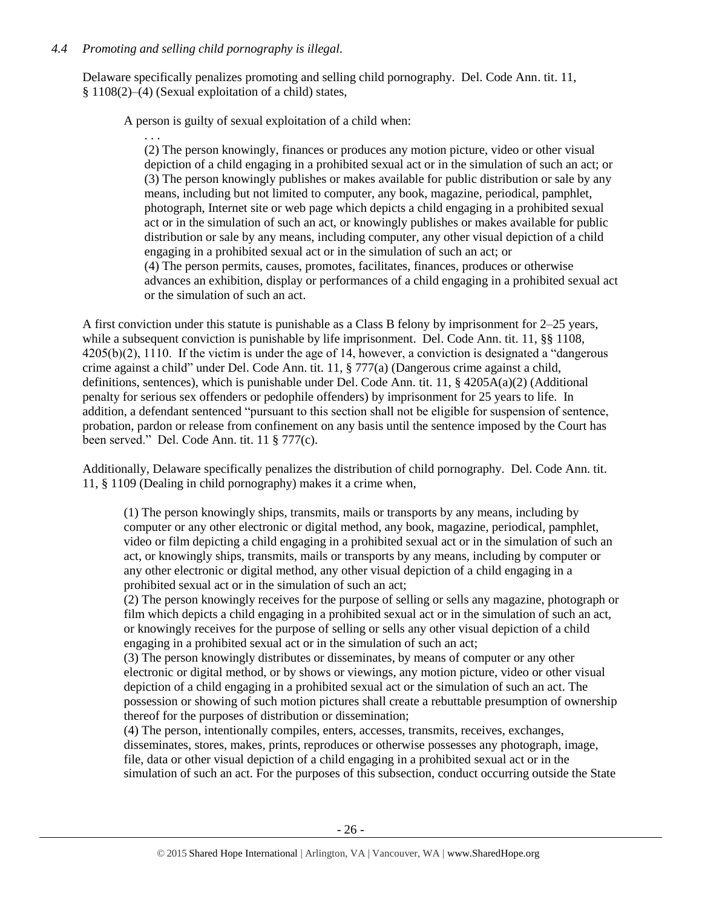# *4.4 Promoting and selling child pornography is illegal.*

Delaware specifically penalizes promoting and selling child pornography. Del. Code Ann. tit. 11, § 1108(2)–(4) (Sexual exploitation of a child) states,

A person is guilty of sexual exploitation of a child when:

. . . (2) The person knowingly, finances or produces any motion picture, video or other visual depiction of a child engaging in a prohibited sexual act or in the simulation of such an act; or (3) The person knowingly publishes or makes available for public distribution or sale by any means, including but not limited to computer, any book, magazine, periodical, pamphlet, photograph, Internet site or web page which depicts a child engaging in a prohibited sexual act or in the simulation of such an act, or knowingly publishes or makes available for public distribution or sale by any means, including computer, any other visual depiction of a child engaging in a prohibited sexual act or in the simulation of such an act; or (4) The person permits, causes, promotes, facilitates, finances, produces or otherwise advances an exhibition, display or performances of a child engaging in a prohibited sexual act or the simulation of such an act.

A first conviction under this statute is punishable as a Class B felony by imprisonment for 2–25 years, while a subsequent conviction is punishable by life imprisonment. Del. Code Ann. tit. 11, §§ 1108, 4205(b)(2), 1110. If the victim is under the age of 14, however, a conviction is designated a "dangerous crime against a child" under Del. Code Ann. tit. 11, § 777(a) (Dangerous crime against a child, definitions, sentences), which is punishable under Del. Code Ann. tit. 11,  $\S$  4205A(a)(2) (Additional penalty for serious sex offenders or pedophile offenders) by imprisonment for 25 years to life. In addition, a defendant sentenced "pursuant to this section shall not be eligible for suspension of sentence, probation, pardon or release from confinement on any basis until the sentence imposed by the Court has been served." Del. Code Ann. tit. 11 § 777(c).

Additionally, Delaware specifically penalizes the distribution of child pornography. Del. Code Ann. tit. 11, § 1109 (Dealing in child pornography) makes it a crime when,

(1) The person knowingly ships, transmits, mails or transports by any means, including by computer or any other electronic or digital method, any book, magazine, periodical, pamphlet, video or film depicting a child engaging in a prohibited sexual act or in the simulation of such an act, or knowingly ships, transmits, mails or transports by any means, including by computer or any other electronic or digital method, any other visual depiction of a child engaging in a prohibited sexual act or in the simulation of such an act;

(2) The person knowingly receives for the purpose of selling or sells any magazine, photograph or film which depicts a child engaging in a prohibited sexual act or in the simulation of such an act, or knowingly receives for the purpose of selling or sells any other visual depiction of a child engaging in a prohibited sexual act or in the simulation of such an act;

(3) The person knowingly distributes or disseminates, by means of computer or any other electronic or digital method, or by shows or viewings, any motion picture, video or other visual depiction of a child engaging in a prohibited sexual act or the simulation of such an act. The possession or showing of such motion pictures shall create a rebuttable presumption of ownership thereof for the purposes of distribution or dissemination;

(4) The person, intentionally compiles, enters, accesses, transmits, receives, exchanges, disseminates, stores, makes, prints, reproduces or otherwise possesses any photograph, image, file, data or other visual depiction of a child engaging in a prohibited sexual act or in the simulation of such an act. For the purposes of this subsection, conduct occurring outside the State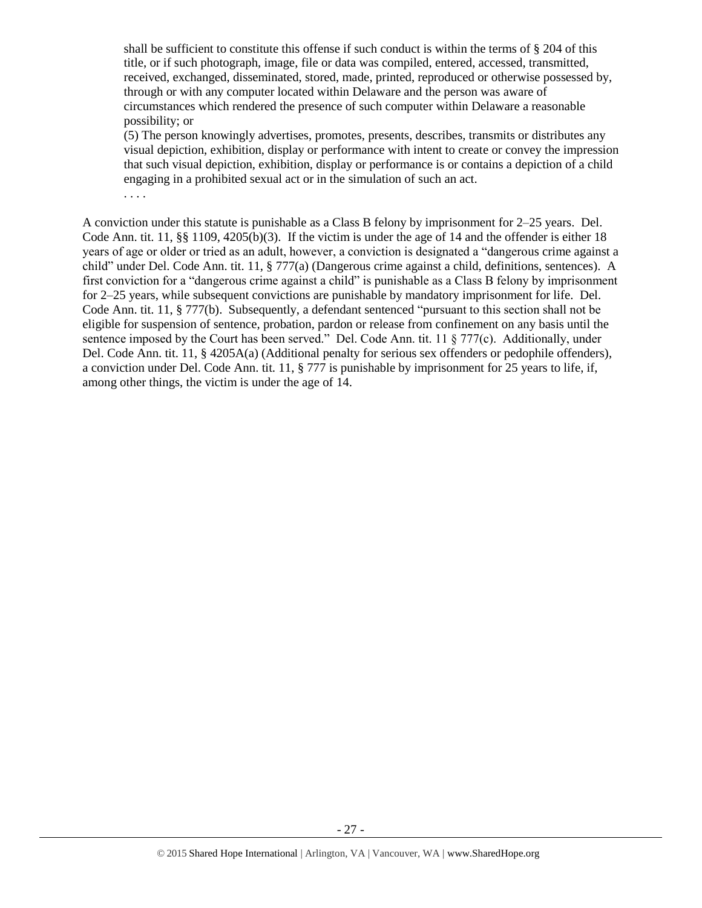shall be sufficient to constitute this offense if such conduct is within the terms of § 204 of this title, or if such photograph, image, file or data was compiled, entered, accessed, transmitted, received, exchanged, disseminated, stored, made, printed, reproduced or otherwise possessed by, through or with any computer located within Delaware and the person was aware of circumstances which rendered the presence of such computer within Delaware a reasonable possibility; or

(5) The person knowingly advertises, promotes, presents, describes, transmits or distributes any visual depiction, exhibition, display or performance with intent to create or convey the impression that such visual depiction, exhibition, display or performance is or contains a depiction of a child engaging in a prohibited sexual act or in the simulation of such an act.

. . . .

A conviction under this statute is punishable as a Class B felony by imprisonment for 2–25 years. Del. Code Ann. tit. 11,  $\S$ § 1109, 4205(b)(3). If the victim is under the age of 14 and the offender is either 18 years of age or older or tried as an adult, however, a conviction is designated a "dangerous crime against a child" under Del. Code Ann. tit. 11, § 777(a) (Dangerous crime against a child, definitions, sentences). A first conviction for a "dangerous crime against a child" is punishable as a Class B felony by imprisonment for 2–25 years, while subsequent convictions are punishable by mandatory imprisonment for life. Del. Code Ann. tit. 11, § 777(b). Subsequently, a defendant sentenced "pursuant to this section shall not be eligible for suspension of sentence, probation, pardon or release from confinement on any basis until the sentence imposed by the Court has been served." Del. Code Ann. tit. 11 § 777(c). Additionally, under Del. Code Ann. tit. 11, § 4205A(a) (Additional penalty for serious sex offenders or pedophile offenders), a conviction under Del. Code Ann. tit. 11, § 777 is punishable by imprisonment for 25 years to life, if, among other things, the victim is under the age of 14.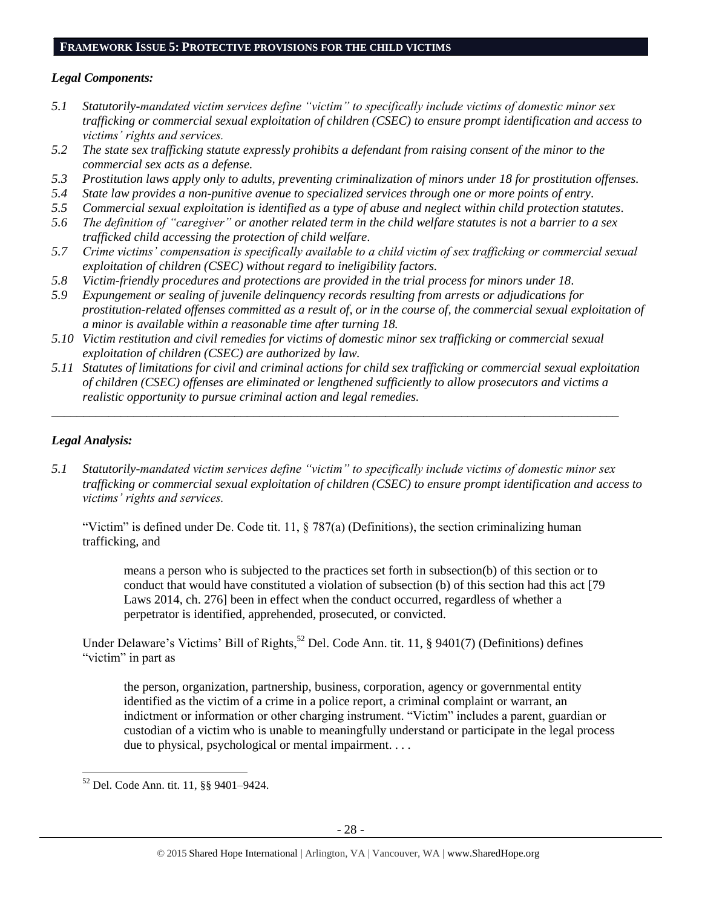#### **FRAMEWORK ISSUE 5: PROTECTIVE PROVISIONS FOR THE CHILD VICTIMS**

# *Legal Components:*

- *5.1 Statutorily-mandated victim services define "victim" to specifically include victims of domestic minor sex trafficking or commercial sexual exploitation of children (CSEC) to ensure prompt identification and access to victims' rights and services.*
- *5.2 The state sex trafficking statute expressly prohibits a defendant from raising consent of the minor to the commercial sex acts as a defense.*
- *5.3 Prostitution laws apply only to adults, preventing criminalization of minors under 18 for prostitution offenses.*
- *5.4 State law provides a non-punitive avenue to specialized services through one or more points of entry.*
- *5.5 Commercial sexual exploitation is identified as a type of abuse and neglect within child protection statutes.*
- *5.6 The definition of "caregiver" or another related term in the child welfare statutes is not a barrier to a sex trafficked child accessing the protection of child welfare.*
- *5.7 Crime victims' compensation is specifically available to a child victim of sex trafficking or commercial sexual exploitation of children (CSEC) without regard to ineligibility factors.*
- *5.8 Victim-friendly procedures and protections are provided in the trial process for minors under 18.*
- *5.9 Expungement or sealing of juvenile delinquency records resulting from arrests or adjudications for prostitution-related offenses committed as a result of, or in the course of, the commercial sexual exploitation of a minor is available within a reasonable time after turning 18.*
- *5.10 Victim restitution and civil remedies for victims of domestic minor sex trafficking or commercial sexual exploitation of children (CSEC) are authorized by law.*
- *5.11 Statutes of limitations for civil and criminal actions for child sex trafficking or commercial sexual exploitation of children (CSEC) offenses are eliminated or lengthened sufficiently to allow prosecutors and victims a realistic opportunity to pursue criminal action and legal remedies.*

*\_\_\_\_\_\_\_\_\_\_\_\_\_\_\_\_\_\_\_\_\_\_\_\_\_\_\_\_\_\_\_\_\_\_\_\_\_\_\_\_\_\_\_\_\_\_\_\_\_\_\_\_\_\_\_\_\_\_\_\_\_\_\_\_\_\_\_\_\_\_\_\_\_\_\_\_\_\_\_\_\_\_\_\_\_\_\_\_\_\_*

# *Legal Analysis:*

*5.1 Statutorily-mandated victim services define "victim" to specifically include victims of domestic minor sex trafficking or commercial sexual exploitation of children (CSEC) to ensure prompt identification and access to victims' rights and services.*

"Victim" is defined under De. Code tit. 11, § 787(a) (Definitions), the section criminalizing human trafficking, and

means a person who is subjected to the practices set forth in subsection(b) of this section or to conduct that would have constituted a violation of subsection (b) of this section had this act [79 Laws 2014, ch. 276] been in effect when the conduct occurred, regardless of whether a perpetrator is identified, apprehended, prosecuted, or convicted.

Under Delaware's Victims' Bill of Rights,<sup>52</sup> Del. Code Ann. tit. 11, § 9401(7) (Definitions) defines "victim" in part as

the person, organization, partnership, business, corporation, agency or governmental entity identified as the victim of a crime in a police report, a criminal complaint or warrant, an indictment or information or other charging instrument. "Victim" includes a parent, guardian or custodian of a victim who is unable to meaningfully understand or participate in the legal process due to physical, psychological or mental impairment. . . .

 $\overline{\phantom{a}}$ <sup>52</sup> Del. Code Ann. tit. 11, §§ 9401–9424.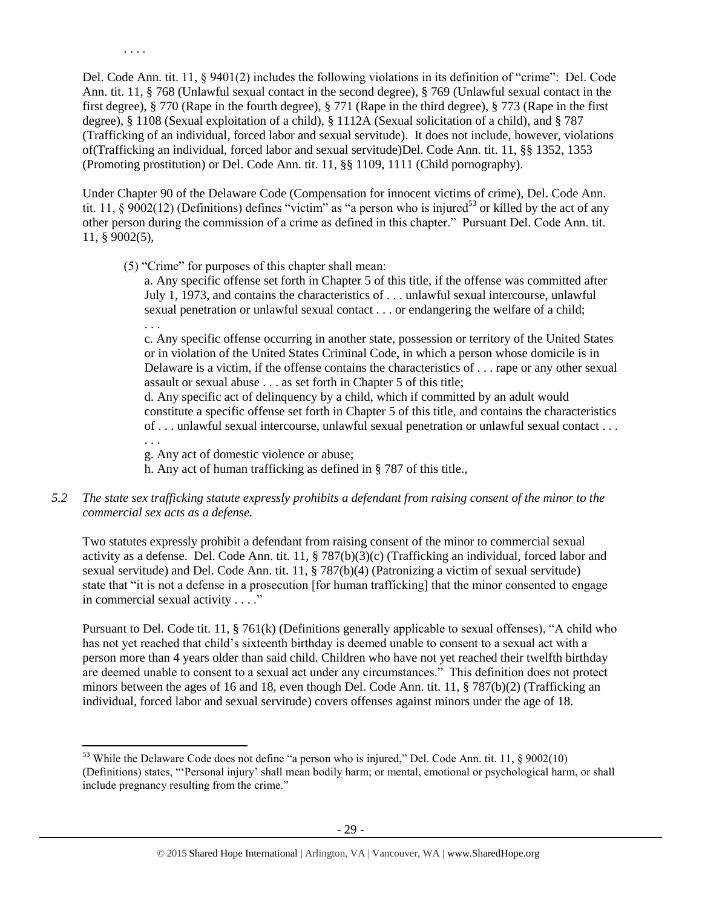Del. Code Ann. tit. 11, § 9401(2) includes the following violations in its definition of "crime": Del. Code Ann. tit. 11, § 768 (Unlawful sexual contact in the second degree), § 769 (Unlawful sexual contact in the first degree), § 770 (Rape in the fourth degree), § 771 (Rape in the third degree), § 773 (Rape in the first degree), § 1108 (Sexual exploitation of a child), § 1112A (Sexual solicitation of a child), and § 787 (Trafficking of an individual, forced labor and sexual servitude). It does not include, however, violations of(Trafficking an individual, forced labor and sexual servitude)Del. Code Ann. tit. 11, §§ 1352, 1353 (Promoting prostitution) or Del. Code Ann. tit. 11, §§ 1109, 1111 (Child pornography).

Under Chapter 90 of the Delaware Code (Compensation for innocent victims of crime), Del. Code Ann. tit. 11, § 9002(12) (Definitions) defines "victim" as "a person who is injured<sup>53</sup> or killed by the act of any other person during the commission of a crime as defined in this chapter." Pursuant Del. Code Ann. tit. 11, § 9002(5),

(5) "Crime" for purposes of this chapter shall mean:

. . . .

. . .

l

a. Any specific offense set forth in Chapter 5 of this title, if the offense was committed after July 1, 1973, and contains the characteristics of . . . unlawful sexual intercourse, unlawful sexual penetration or unlawful sexual contact . . . or endangering the welfare of a child; . . .

c. Any specific offense occurring in another state, possession or territory of the United States or in violation of the United States Criminal Code, in which a person whose domicile is in Delaware is a victim, if the offense contains the characteristics of . . . rape or any other sexual assault or sexual abuse . . . as set forth in Chapter 5 of this title;

d. Any specific act of delinquency by a child, which if committed by an adult would constitute a specific offense set forth in Chapter 5 of this title, and contains the characteristics of . . . unlawful sexual intercourse, unlawful sexual penetration or unlawful sexual contact . . .

g. Any act of domestic violence or abuse;

h. Any act of human trafficking as defined in § 787 of this title.,

## *5.2 The state sex trafficking statute expressly prohibits a defendant from raising consent of the minor to the commercial sex acts as a defense.*

Two statutes expressly prohibit a defendant from raising consent of the minor to commercial sexual activity as a defense. Del. Code Ann. tit. 11, § 787(b)(3)(c) (Trafficking an individual, forced labor and sexual servitude) and Del. Code Ann. tit. 11, § 787(b)(4) (Patronizing a victim of sexual servitude) state that "it is not a defense in a prosecution [for human trafficking] that the minor consented to engage in commercial sexual activity . . . ."

Pursuant to Del. Code tit. 11, § 761(k) (Definitions generally applicable to sexual offenses), "A child who has not yet reached that child's sixteenth birthday is deemed unable to consent to a sexual act with a person more than 4 years older than said child. Children who have not yet reached their twelfth birthday are deemed unable to consent to a sexual act under any circumstances." This definition does not protect minors between the ages of 16 and 18, even though Del. Code Ann. tit. 11, § 787(b)(2) (Trafficking an individual, forced labor and sexual servitude) covers offenses against minors under the age of 18.

 $53$  While the Delaware Code does not define "a person who is injured," Del. Code Ann. tit. 11,  $\S 9002(10)$ (Definitions) states, "'Personal injury' shall mean bodily harm; or mental, emotional or psychological harm, or shall include pregnancy resulting from the crime."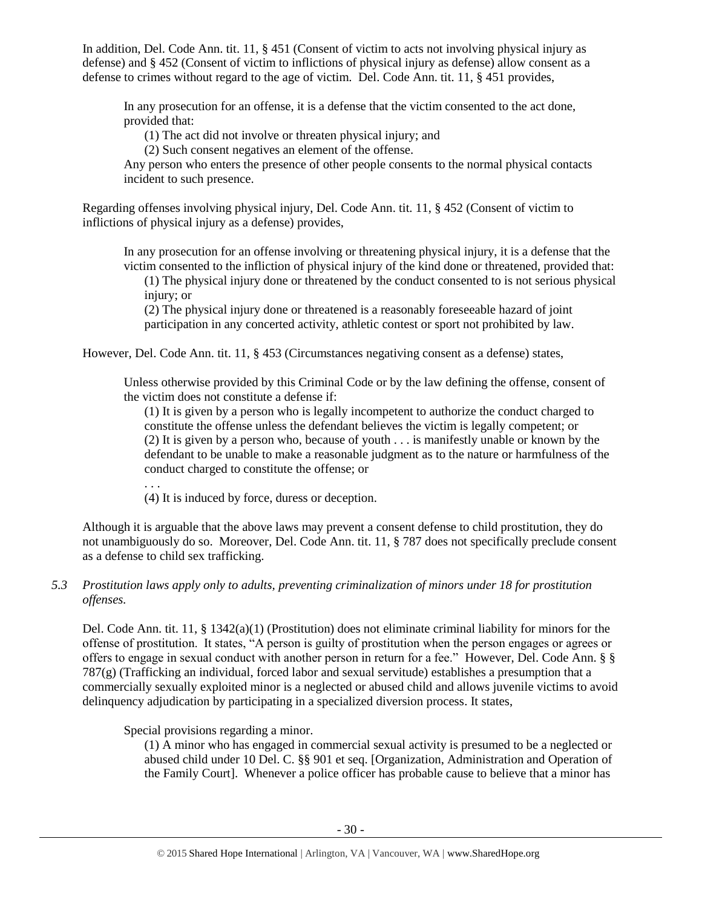In addition, Del. Code Ann. tit. 11, § 451 (Consent of victim to acts not involving physical injury as defense) and § 452 (Consent of victim to inflictions of physical injury as defense) allow consent as a defense to crimes without regard to the age of victim. Del. Code Ann. tit. 11, § 451 provides,

In any prosecution for an offense, it is a defense that the victim consented to the act done, provided that:

(1) The act did not involve or threaten physical injury; and

(2) Such consent negatives an element of the offense.

Any person who enters the presence of other people consents to the normal physical contacts incident to such presence.

Regarding offenses involving physical injury, Del. Code Ann. tit. 11, § 452 (Consent of victim to inflictions of physical injury as a defense) provides,

In any prosecution for an offense involving or threatening physical injury, it is a defense that the victim consented to the infliction of physical injury of the kind done or threatened, provided that:

(1) The physical injury done or threatened by the conduct consented to is not serious physical injury; or

(2) The physical injury done or threatened is a reasonably foreseeable hazard of joint participation in any concerted activity, athletic contest or sport not prohibited by law.

However, Del. Code Ann. tit. 11, § 453 (Circumstances negativing consent as a defense) states,

Unless otherwise provided by this Criminal Code or by the law defining the offense, consent of the victim does not constitute a defense if:

(1) It is given by a person who is legally incompetent to authorize the conduct charged to constitute the offense unless the defendant believes the victim is legally competent; or (2) It is given by a person who, because of youth . . . is manifestly unable or known by the defendant to be unable to make a reasonable judgment as to the nature or harmfulness of the conduct charged to constitute the offense; or

. . .

(4) It is induced by force, duress or deception.

Although it is arguable that the above laws may prevent a consent defense to child prostitution, they do not unambiguously do so. Moreover, Del. Code Ann. tit. 11, § 787 does not specifically preclude consent as a defense to child sex trafficking.

# *5.3 Prostitution laws apply only to adults, preventing criminalization of minors under 18 for prostitution offenses.*

Del. Code Ann. tit. 11, § 1342(a)(1) (Prostitution) does not eliminate criminal liability for minors for the offense of prostitution. It states, "A person is guilty of prostitution when the person engages or agrees or offers to engage in sexual conduct with another person in return for a fee." However, Del. Code Ann. § § 787(g) (Trafficking an individual, forced labor and sexual servitude) establishes a presumption that a commercially sexually exploited minor is a neglected or abused child and allows juvenile victims to avoid delinquency adjudication by participating in a specialized diversion process. It states,

Special provisions regarding a minor.

(1) A minor who has engaged in commercial sexual activity is presumed to be a neglected or abused child under 10 Del. C. §§ 901 et seq. [Organization, Administration and Operation of the Family Court]. Whenever a police officer has probable cause to believe that a minor has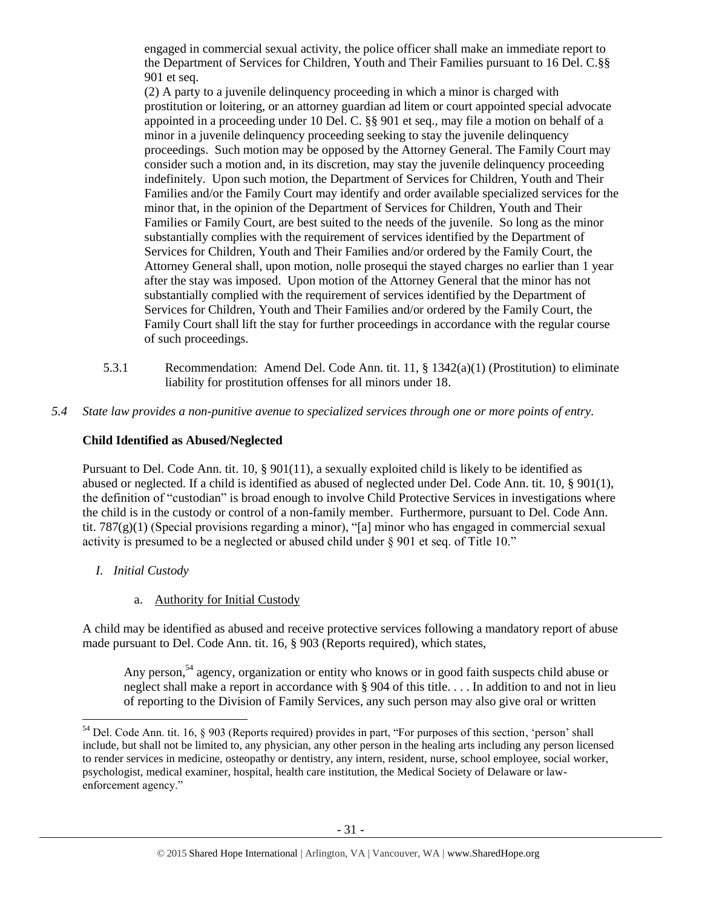engaged in commercial sexual activity, the police officer shall make an immediate report to the Department of Services for Children, Youth and Their Families pursuant to 16 Del. C.§§ 901 et seq.

(2) A party to a juvenile delinquency proceeding in which a minor is charged with prostitution or loitering, or an attorney guardian ad litem or court appointed special advocate appointed in a proceeding under 10 Del. C. §§ 901 et seq., may file a motion on behalf of a minor in a juvenile delinquency proceeding seeking to stay the juvenile delinquency proceedings. Such motion may be opposed by the Attorney General. The Family Court may consider such a motion and, in its discretion, may stay the juvenile delinquency proceeding indefinitely. Upon such motion, the Department of Services for Children, Youth and Their Families and/or the Family Court may identify and order available specialized services for the minor that, in the opinion of the Department of Services for Children, Youth and Their Families or Family Court, are best suited to the needs of the juvenile. So long as the minor substantially complies with the requirement of services identified by the Department of Services for Children, Youth and Their Families and/or ordered by the Family Court, the Attorney General shall, upon motion, nolle prosequi the stayed charges no earlier than 1 year after the stay was imposed. Upon motion of the Attorney General that the minor has not substantially complied with the requirement of services identified by the Department of Services for Children, Youth and Their Families and/or ordered by the Family Court, the Family Court shall lift the stay for further proceedings in accordance with the regular course of such proceedings.

- 5.3.1 Recommendation: Amend Del. Code Ann. tit. 11, § 1342(a)(1) (Prostitution) to eliminate liability for prostitution offenses for all minors under 18.
- *5.4 State law provides a non-punitive avenue to specialized services through one or more points of entry.*

# **Child Identified as Abused/Neglected**

Pursuant to Del. Code Ann. tit. 10, § 901(11), a sexually exploited child is likely to be identified as abused or neglected. If a child is identified as abused of neglected under Del. Code Ann. tit. 10, § 901(1), the definition of "custodian" is broad enough to involve Child Protective Services in investigations where the child is in the custody or control of a non-family member. Furthermore, pursuant to Del. Code Ann. tit. 787(g)(1) (Special provisions regarding a minor), "[a] minor who has engaged in commercial sexual activity is presumed to be a neglected or abused child under § 901 et seq. of Title 10."

- *I. Initial Custody*
	- a. Authority for Initial Custody

A child may be identified as abused and receive protective services following a mandatory report of abuse made pursuant to Del. Code Ann. tit. 16, § 903 (Reports required), which states,

Any person,<sup>54</sup> agency, organization or entity who knows or in good faith suspects child abuse or neglect shall make a report in accordance with § 904 of this title. . . . In addition to and not in lieu of reporting to the Division of Family Services, any such person may also give oral or written

l  $54$  Del. Code Ann. tit. 16, § 903 (Reports required) provides in part, "For purposes of this section, 'person' shall include, but shall not be limited to, any physician, any other person in the healing arts including any person licensed to render services in medicine, osteopathy or dentistry, any intern, resident, nurse, school employee, social worker, psychologist, medical examiner, hospital, health care institution, the Medical Society of Delaware or lawenforcement agency."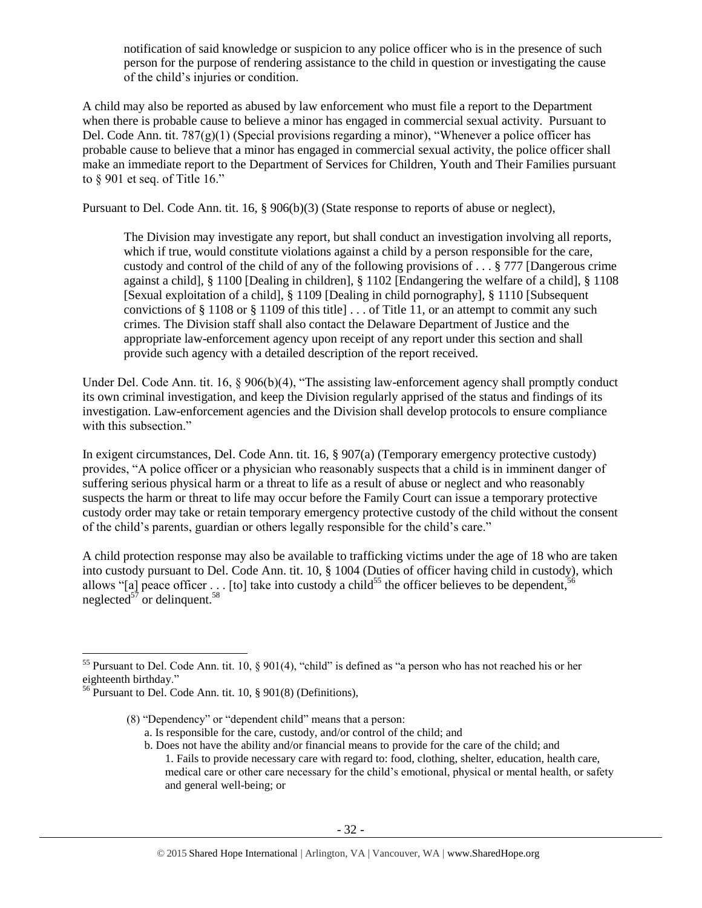notification of said knowledge or suspicion to any police officer who is in the presence of such person for the purpose of rendering assistance to the child in question or investigating the cause of the child's injuries or condition.

A child may also be reported as abused by law enforcement who must file a report to the Department when there is probable cause to believe a minor has engaged in commercial sexual activity. Pursuant to Del. Code Ann. tit. 787(g)(1) (Special provisions regarding a minor), "Whenever a police officer has probable cause to believe that a minor has engaged in commercial sexual activity, the police officer shall make an immediate report to the Department of Services for Children, Youth and Their Families pursuant to § 901 et seq. of Title 16."

Pursuant to Del. Code Ann. tit. 16, § 906(b)(3) (State response to reports of abuse or neglect),

The Division may investigate any report, but shall conduct an investigation involving all reports, which if true, would constitute violations against a child by a person responsible for the care, custody and control of the child of any of the following provisions of  $\dots$  § 777 [Dangerous crime against a child], § 1100 [Dealing in children], § 1102 [Endangering the welfare of a child], § 1108 [Sexual exploitation of a child], § 1109 [Dealing in child pornography], § 1110 [Subsequent convictions of  $\S 1108$  or  $\S 1109$  of this title  $\ldots$  of Title 11, or an attempt to commit any such crimes. The Division staff shall also contact the Delaware Department of Justice and the appropriate law-enforcement agency upon receipt of any report under this section and shall provide such agency with a detailed description of the report received.

Under Del. Code Ann. tit. 16, § 906(b)(4), "The assisting law-enforcement agency shall promptly conduct its own criminal investigation, and keep the Division regularly apprised of the status and findings of its investigation. Law-enforcement agencies and the Division shall develop protocols to ensure compliance with this subsection."

In exigent circumstances, Del. Code Ann. tit. 16, § 907(a) (Temporary emergency protective custody) provides, "A police officer or a physician who reasonably suspects that a child is in imminent danger of suffering serious physical harm or a threat to life as a result of abuse or neglect and who reasonably suspects the harm or threat to life may occur before the Family Court can issue a temporary protective custody order may take or retain temporary emergency protective custody of the child without the consent of the child's parents, guardian or others legally responsible for the child's care."

A child protection response may also be available to trafficking victims under the age of 18 who are taken into custody pursuant to Del. Code Ann. tit. 10, § 1004 (Duties of officer having child in custody), which allows "[a] peace officer . . . [to] take into custody a child<sup>55</sup> the officer believes to be dependent,  $56$ neglected $5^{\frac{1}{7}}$  or delinquent.<sup>58</sup>

- (8) "Dependency" or "dependent child" means that a person: a. Is responsible for the care, custody, and/or control of the child; and
	- b. Does not have the ability and/or financial means to provide for the care of the child; and 1. Fails to provide necessary care with regard to: food, clothing, shelter, education, health care, medical care or other care necessary for the child's emotional, physical or mental health, or safety and general well-being; or

 $\overline{\phantom{a}}$ <sup>55</sup> Pursuant to Del. Code Ann. tit. 10, § 901(4), "child" is defined as "a person who has not reached his or her eighteenth birthday."

<sup>56</sup> Pursuant to Del. Code Ann. tit. 10, § 901(8) (Definitions),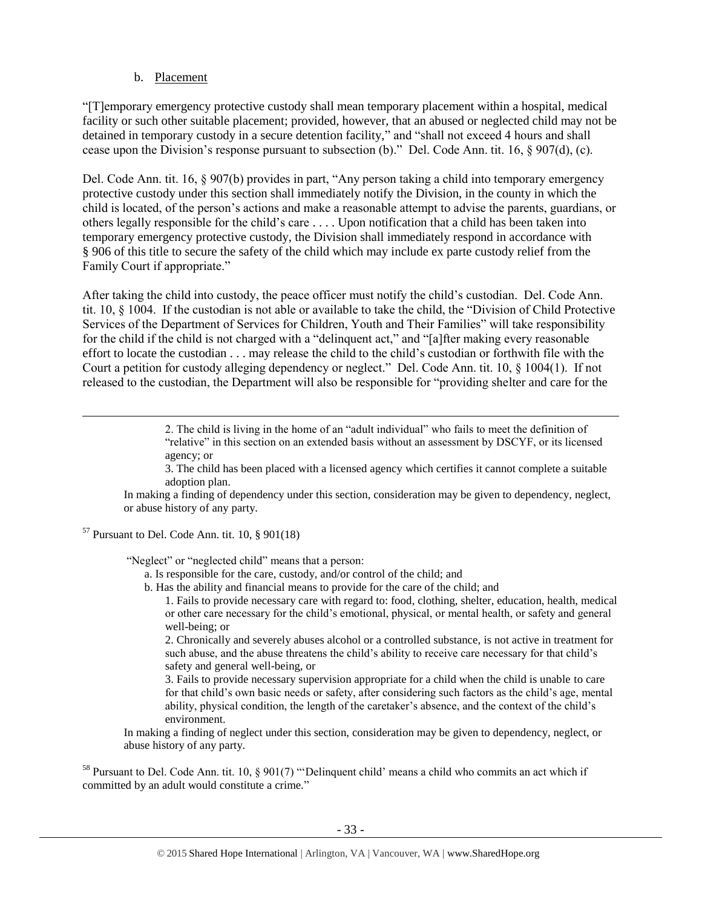### b. Placement

"[T]emporary emergency protective custody shall mean temporary placement within a hospital, medical facility or such other suitable placement; provided, however, that an abused or neglected child may not be detained in temporary custody in a secure detention facility," and "shall not exceed 4 hours and shall cease upon the Division's response pursuant to subsection (b)." Del. Code Ann. tit. 16, § 907(d), (c).

Del. Code Ann. tit. 16, § 907(b) provides in part, "Any person taking a child into temporary emergency protective custody under this section shall immediately notify the Division, in the county in which the child is located, of the person's actions and make a reasonable attempt to advise the parents, guardians, or others legally responsible for the child's care . . . . Upon notification that a child has been taken into temporary emergency protective custody, the Division shall immediately respond in accordance with § 906 of this title to secure the safety of the child which may include ex parte custody relief from the Family Court if appropriate."

After taking the child into custody, the peace officer must notify the child's custodian. Del. Code Ann. tit. 10, § 1004. If the custodian is not able or available to take the child, the "Division of Child Protective Services of the Department of Services for Children, Youth and Their Families" will take responsibility for the child if the child is not charged with a "delinquent act," and "[a]fter making every reasonable effort to locate the custodian . . . may release the child to the child's custodian or forthwith file with the Court a petition for custody alleging dependency or neglect." Del. Code Ann. tit. 10, § 1004(1). If not released to the custodian, the Department will also be responsible for "providing shelter and care for the

> 2. The child is living in the home of an "adult individual" who fails to meet the definition of "relative" in this section on an extended basis without an assessment by DSCYF, or its licensed agency; or

> 3. The child has been placed with a licensed agency which certifies it cannot complete a suitable adoption plan.

In making a finding of dependency under this section, consideration may be given to dependency, neglect, or abuse history of any party.

 $57$  Pursuant to Del. Code Ann. tit. 10, § 901(18)

 $\overline{\phantom{a}}$ 

"Neglect" or "neglected child" means that a person:

a. Is responsible for the care, custody, and/or control of the child; and

b. Has the ability and financial means to provide for the care of the child; and

1. Fails to provide necessary care with regard to: food, clothing, shelter, education, health, medical or other care necessary for the child's emotional, physical, or mental health, or safety and general well-being; or

2. Chronically and severely abuses alcohol or a controlled substance, is not active in treatment for such abuse, and the abuse threatens the child's ability to receive care necessary for that child's safety and general well-being, or

3. Fails to provide necessary supervision appropriate for a child when the child is unable to care for that child's own basic needs or safety, after considering such factors as the child's age, mental ability, physical condition, the length of the caretaker's absence, and the context of the child's environment.

In making a finding of neglect under this section, consideration may be given to dependency, neglect, or abuse history of any party.

<sup>58</sup> Pursuant to Del. Code Ann. tit. 10, § 901(7) "'Delinquent child' means a child who commits an act which if committed by an adult would constitute a crime."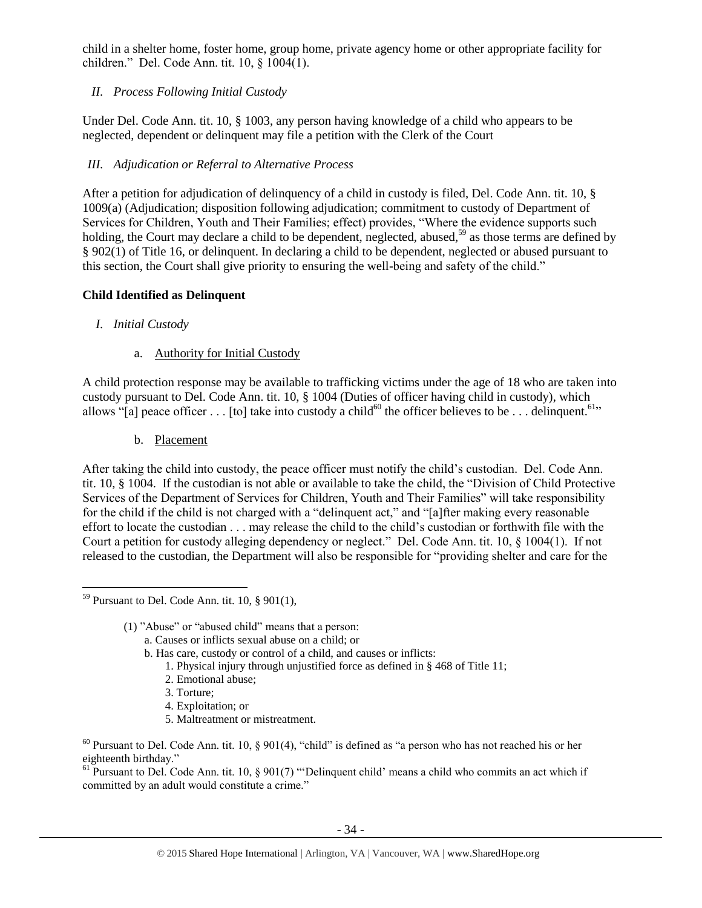child in a shelter home, foster home, group home, private agency home or other appropriate facility for children." Del. Code Ann. tit. 10, § 1004(1).

# *II. Process Following Initial Custody*

Under Del. Code Ann. tit. 10, § 1003, any person having knowledge of a child who appears to be neglected, dependent or delinquent may file a petition with the Clerk of the Court

# *III. Adjudication or Referral to Alternative Process*

After a petition for adjudication of delinquency of a child in custody is filed, Del. Code Ann. tit. 10, § 1009(a) (Adjudication; disposition following adjudication; commitment to custody of Department of Services for Children, Youth and Their Families; effect) provides, "Where the evidence supports such holding, the Court may declare a child to be dependent, neglected, abused,<sup>59</sup> as those terms are defined by § 902(1) of Title 16, or delinquent. In declaring a child to be dependent, neglected or abused pursuant to this section, the Court shall give priority to ensuring the well-being and safety of the child."

# **Child Identified as Delinquent**

- *I. Initial Custody*
	- a. Authority for Initial Custody

A child protection response may be available to trafficking victims under the age of 18 who are taken into custody pursuant to Del. Code Ann. tit. 10, § 1004 (Duties of officer having child in custody), which allows "[a] peace officer . . . [to] take into custody a child<sup>60</sup> the officer believes to be . . . delinquent.<sup>61</sup>"

b. Placement

After taking the child into custody, the peace officer must notify the child's custodian. Del. Code Ann. tit. 10, § 1004. If the custodian is not able or available to take the child, the "Division of Child Protective Services of the Department of Services for Children, Youth and Their Families" will take responsibility for the child if the child is not charged with a "delinquent act," and "[a]fter making every reasonable effort to locate the custodian . . . may release the child to the child's custodian or forthwith file with the Court a petition for custody alleging dependency or neglect." Del. Code Ann. tit. 10, § 1004(1). If not released to the custodian, the Department will also be responsible for "providing shelter and care for the

- 1. Physical injury through unjustified force as defined in § 468 of Title 11;
- 2. Emotional abuse;
- 3. Torture;
- 4. Exploitation; or
- 5. Maltreatment or mistreatment.

<sup>61</sup> Pursuant to Del. Code Ann. tit. 10,  $\S 901(7)$  "Delinquent child' means a child who commits an act which if committed by an adult would constitute a crime."

l  $59$  Pursuant to Del. Code Ann. tit. 10, § 901(1),

<sup>(1)</sup> "Abuse" or "abused child" means that a person:

a. Causes or inflicts sexual abuse on a child; or

b. Has care, custody or control of a child, and causes or inflicts:

 $60$  Pursuant to Del. Code Ann. tit. 10, § 901(4), "child" is defined as "a person who has not reached his or her eighteenth birthday."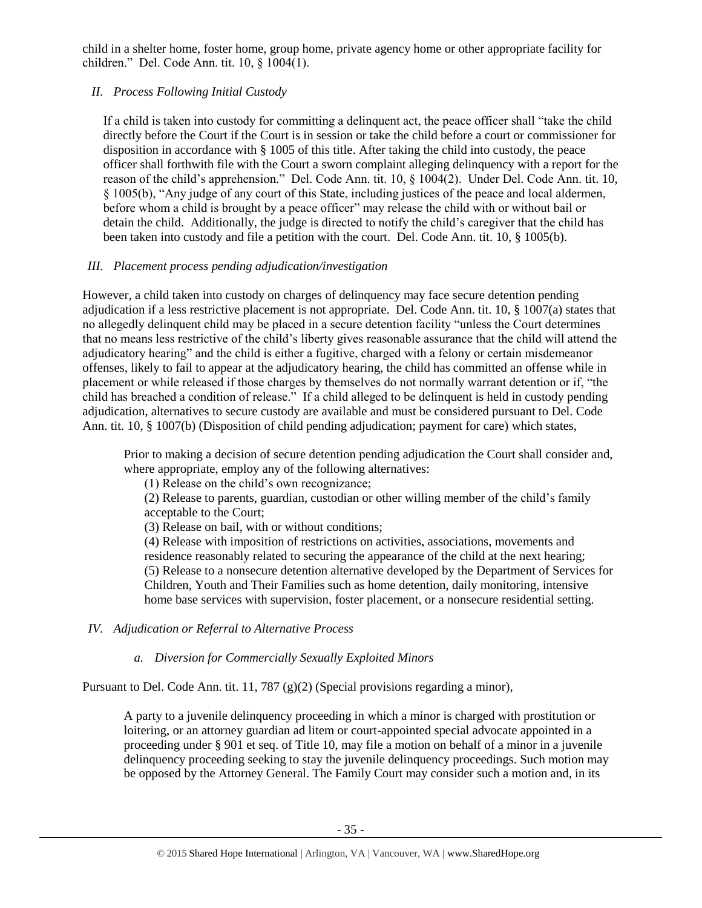child in a shelter home, foster home, group home, private agency home or other appropriate facility for children." Del. Code Ann. tit. 10, § 1004(1).

# *II. Process Following Initial Custody*

If a child is taken into custody for committing a delinquent act, the peace officer shall "take the child directly before the Court if the Court is in session or take the child before a court or commissioner for disposition in accordance with § 1005 of this title. After taking the child into custody, the peace officer shall forthwith file with the Court a sworn complaint alleging delinquency with a report for the reason of the child's apprehension." Del. Code Ann. tit. 10, § 1004(2). Under Del. Code Ann. tit. 10, § 1005(b), "Any judge of any court of this State, including justices of the peace and local aldermen, before whom a child is brought by a peace officer" may release the child with or without bail or detain the child. Additionally, the judge is directed to notify the child's caregiver that the child has been taken into custody and file a petition with the court. Del. Code Ann. tit. 10, § 1005(b).

# *III. Placement process pending adjudication/investigation*

However, a child taken into custody on charges of delinquency may face secure detention pending adjudication if a less restrictive placement is not appropriate. Del. Code Ann. tit. 10, § 1007(a) states that no allegedly delinquent child may be placed in a secure detention facility "unless the Court determines that no means less restrictive of the child's liberty gives reasonable assurance that the child will attend the adjudicatory hearing" and the child is either a fugitive, charged with a felony or certain misdemeanor offenses, likely to fail to appear at the adjudicatory hearing, the child has committed an offense while in placement or while released if those charges by themselves do not normally warrant detention or if, "the child has breached a condition of release." If a child alleged to be delinquent is held in custody pending adjudication, alternatives to secure custody are available and must be considered pursuant to Del. Code Ann. tit. 10, § 1007(b) (Disposition of child pending adjudication; payment for care) which states,

Prior to making a decision of secure detention pending adjudication the Court shall consider and, where appropriate, employ any of the following alternatives:

(1) Release on the child's own recognizance;

(2) Release to parents, guardian, custodian or other willing member of the child's family acceptable to the Court;

(3) Release on bail, with or without conditions;

(4) Release with imposition of restrictions on activities, associations, movements and residence reasonably related to securing the appearance of the child at the next hearing; (5) Release to a nonsecure detention alternative developed by the Department of Services for Children, Youth and Their Families such as home detention, daily monitoring, intensive home base services with supervision, foster placement, or a nonsecure residential setting.

*IV. Adjudication or Referral to Alternative Process*

# *a. Diversion for Commercially Sexually Exploited Minors*

Pursuant to Del. Code Ann. tit. 11, 787 (g)(2) (Special provisions regarding a minor),

A party to a juvenile delinquency proceeding in which a minor is charged with prostitution or loitering, or an attorney guardian ad litem or court-appointed special advocate appointed in a proceeding under § 901 et seq. of Title 10, may file a motion on behalf of a minor in a juvenile delinquency proceeding seeking to stay the juvenile delinquency proceedings. Such motion may be opposed by the Attorney General. The Family Court may consider such a motion and, in its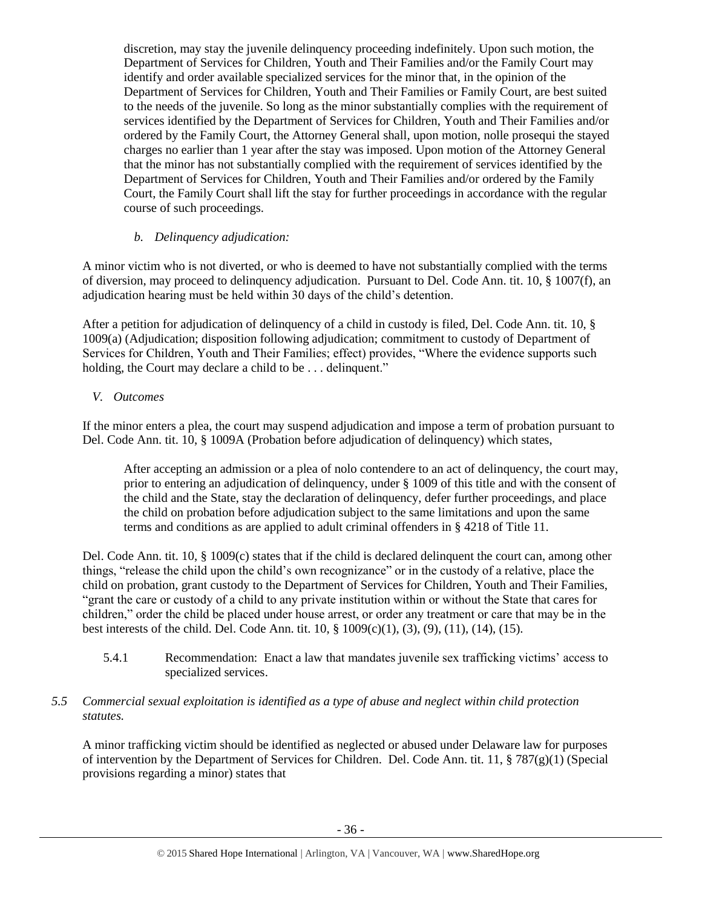discretion, may stay the juvenile delinquency proceeding indefinitely. Upon such motion, the Department of Services for Children, Youth and Their Families and/or the Family Court may identify and order available specialized services for the minor that, in the opinion of the Department of Services for Children, Youth and Their Families or Family Court, are best suited to the needs of the juvenile. So long as the minor substantially complies with the requirement of services identified by the Department of Services for Children, Youth and Their Families and/or ordered by the Family Court, the Attorney General shall, upon motion, nolle prosequi the stayed charges no earlier than 1 year after the stay was imposed. Upon motion of the Attorney General that the minor has not substantially complied with the requirement of services identified by the Department of Services for Children, Youth and Their Families and/or ordered by the Family Court, the Family Court shall lift the stay for further proceedings in accordance with the regular course of such proceedings.

# *b. Delinquency adjudication:*

A minor victim who is not diverted, or who is deemed to have not substantially complied with the terms of diversion, may proceed to delinquency adjudication. Pursuant to Del. Code Ann. tit. 10, § 1007(f), an adjudication hearing must be held within 30 days of the child's detention.

After a petition for adjudication of delinquency of a child in custody is filed, Del. Code Ann. tit. 10, § 1009(a) (Adjudication; disposition following adjudication; commitment to custody of Department of Services for Children, Youth and Their Families; effect) provides, "Where the evidence supports such holding, the Court may declare a child to be . . . delinquent."

# *V. Outcomes*

If the minor enters a plea, the court may suspend adjudication and impose a term of probation pursuant to Del. Code Ann. tit. 10, § 1009A (Probation before adjudication of delinquency) which states,

After accepting an admission or a plea of nolo contendere to an act of delinquency, the court may, prior to entering an adjudication of delinquency, under § 1009 of this title and with the consent of the child and the State, stay the declaration of delinquency, defer further proceedings, and place the child on probation before adjudication subject to the same limitations and upon the same terms and conditions as are applied to adult criminal offenders in § 4218 of Title 11.

Del. Code Ann. tit. 10, § 1009(c) states that if the child is declared delinquent the court can, among other things, "release the child upon the child's own recognizance" or in the custody of a relative, place the child on probation, grant custody to the Department of Services for Children, Youth and Their Families, "grant the care or custody of a child to any private institution within or without the State that cares for children," order the child be placed under house arrest, or order any treatment or care that may be in the best interests of the child. Del. Code Ann. tit.  $10, \frac{8}{3}$  1009(c)(1), (3), (9), (11), (14), (15).

5.4.1 Recommendation: Enact a law that mandates juvenile sex trafficking victims' access to specialized services.

# *5.5 Commercial sexual exploitation is identified as a type of abuse and neglect within child protection statutes.*

A minor trafficking victim should be identified as neglected or abused under Delaware law for purposes of intervention by the Department of Services for Children. Del. Code Ann. tit. 11, § 787(g)(1) (Special provisions regarding a minor) states that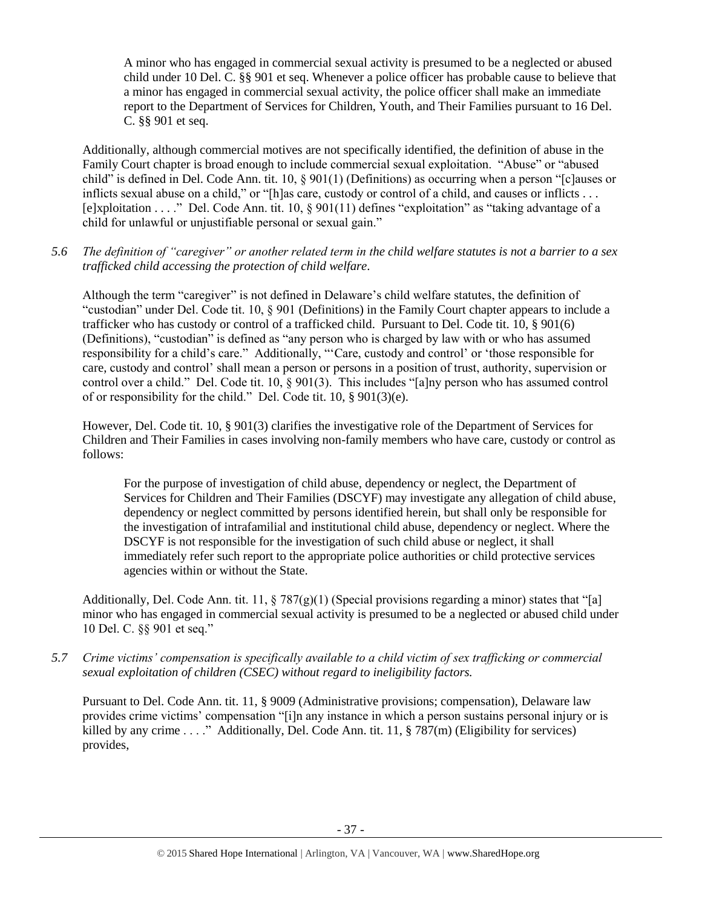A minor who has engaged in commercial sexual activity is presumed to be a neglected or abused child under 10 Del. C. §§ 901 et seq. Whenever a police officer has probable cause to believe that a minor has engaged in commercial sexual activity, the police officer shall make an immediate report to the Department of Services for Children, Youth, and Their Families pursuant to 16 Del. C. §§ 901 et seq.

Additionally, although commercial motives are not specifically identified, the definition of abuse in the Family Court chapter is broad enough to include commercial sexual exploitation. "Abuse" or "abused child" is defined in Del. Code Ann. tit. 10, § 901(1) (Definitions) as occurring when a person "[c]auses or inflicts sexual abuse on a child," or "[h]as care, custody or control of a child, and causes or inflicts . . . [e]xploitation . . . ." Del. Code Ann. tit. 10, § 901(11) defines "exploitation" as "taking advantage of a child for unlawful or unjustifiable personal or sexual gain."

*5.6 The definition of "caregiver" or another related term in the child welfare statutes is not a barrier to a sex trafficked child accessing the protection of child welfare.*

Although the term "caregiver" is not defined in Delaware's child welfare statutes, the definition of "custodian" under Del. Code tit. 10, § 901 (Definitions) in the Family Court chapter appears to include a trafficker who has custody or control of a trafficked child. Pursuant to Del. Code tit. 10, § 901(6) (Definitions), "custodian" is defined as "any person who is charged by law with or who has assumed responsibility for a child's care." Additionally, "'Care, custody and control' or 'those responsible for care, custody and control' shall mean a person or persons in a position of trust, authority, supervision or control over a child." Del. Code tit. 10, § 901(3). This includes "[a]ny person who has assumed control of or responsibility for the child." Del. Code tit. 10, § 901(3)(e).

However, Del. Code tit. 10, § 901(3) clarifies the investigative role of the Department of Services for Children and Their Families in cases involving non-family members who have care, custody or control as follows:

For the purpose of investigation of child abuse, dependency or neglect, the Department of Services for Children and Their Families (DSCYF) may investigate any allegation of child abuse, dependency or neglect committed by persons identified herein, but shall only be responsible for the investigation of intrafamilial and institutional child abuse, dependency or neglect. Where the DSCYF is not responsible for the investigation of such child abuse or neglect, it shall immediately refer such report to the appropriate police authorities or child protective services agencies within or without the State.

Additionally, Del. Code Ann. tit. 11,  $\S 787(g)(1)$  (Special provisions regarding a minor) states that "[a] minor who has engaged in commercial sexual activity is presumed to be a neglected or abused child under 10 Del. C. §§ 901 et seq."

*5.7 Crime victims' compensation is specifically available to a child victim of sex trafficking or commercial sexual exploitation of children (CSEC) without regard to ineligibility factors.*

Pursuant to Del. Code Ann. tit. 11, § 9009 (Administrative provisions; compensation), Delaware law provides crime victims' compensation "[i]n any instance in which a person sustains personal injury or is killed by any crime . . . ." Additionally, Del. Code Ann. tit. 11, § 787(m) (Eligibility for services) provides,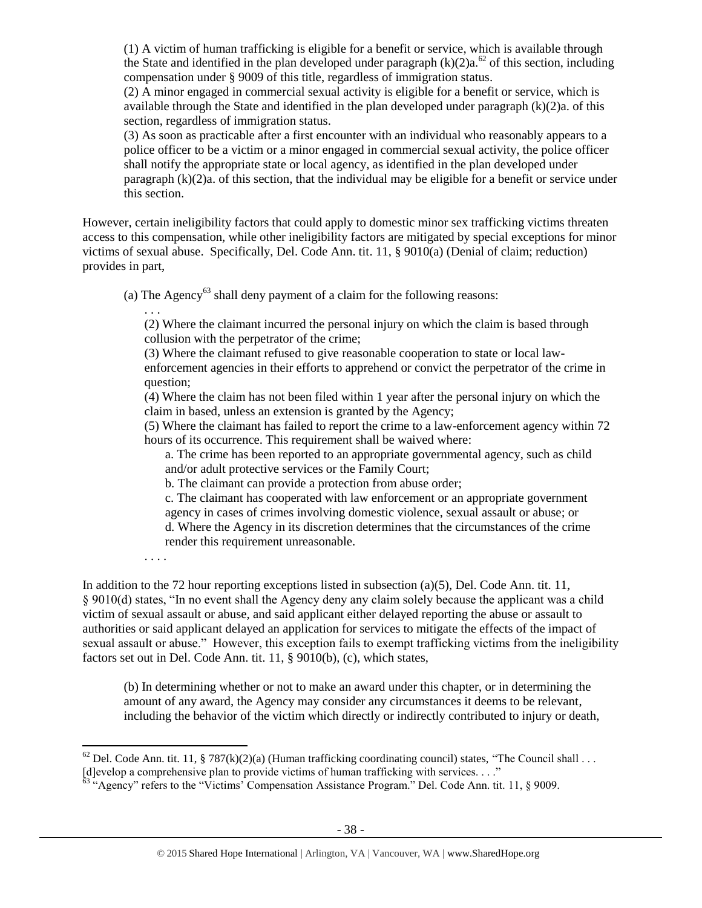(1) A victim of human trafficking is eligible for a benefit or service, which is available through the State and identified in the plan developed under paragraph  $(k)(2)a^{62}$  of this section, including compensation under § 9009 of this title, regardless of immigration status.

(2) A minor engaged in commercial sexual activity is eligible for a benefit or service, which is available through the State and identified in the plan developed under paragraph  $(k)(2)a$ . of this section, regardless of immigration status.

(3) As soon as practicable after a first encounter with an individual who reasonably appears to a police officer to be a victim or a minor engaged in commercial sexual activity, the police officer shall notify the appropriate state or local agency, as identified in the plan developed under paragraph  $(k)(2)a$ , of this section, that the individual may be eligible for a benefit or service under this section.

However, certain ineligibility factors that could apply to domestic minor sex trafficking victims threaten access to this compensation, while other ineligibility factors are mitigated by special exceptions for minor victims of sexual abuse. Specifically, Del. Code Ann. tit. 11, § 9010(a) (Denial of claim; reduction) provides in part,

(a) The Agency<sup>63</sup> shall deny payment of a claim for the following reasons:

. . . (2) Where the claimant incurred the personal injury on which the claim is based through collusion with the perpetrator of the crime;

(3) Where the claimant refused to give reasonable cooperation to state or local lawenforcement agencies in their efforts to apprehend or convict the perpetrator of the crime in question;

(4) Where the claim has not been filed within 1 year after the personal injury on which the claim in based, unless an extension is granted by the Agency;

(5) Where the claimant has failed to report the crime to a law-enforcement agency within 72 hours of its occurrence. This requirement shall be waived where:

a. The crime has been reported to an appropriate governmental agency, such as child and/or adult protective services or the Family Court;

b. The claimant can provide a protection from abuse order;

. . . .

l

c. The claimant has cooperated with law enforcement or an appropriate government agency in cases of crimes involving domestic violence, sexual assault or abuse; or d. Where the Agency in its discretion determines that the circumstances of the crime render this requirement unreasonable.

In addition to the 72 hour reporting exceptions listed in subsection (a)(5), Del. Code Ann. tit. 11, § 9010(d) states, "In no event shall the Agency deny any claim solely because the applicant was a child victim of sexual assault or abuse, and said applicant either delayed reporting the abuse or assault to authorities or said applicant delayed an application for services to mitigate the effects of the impact of sexual assault or abuse." However, this exception fails to exempt trafficking victims from the ineligibility factors set out in Del. Code Ann. tit. 11, § 9010(b), (c), which states,

(b) In determining whether or not to make an award under this chapter, or in determining the amount of any award, the Agency may consider any circumstances it deems to be relevant, including the behavior of the victim which directly or indirectly contributed to injury or death,

<sup>&</sup>lt;sup>62</sup> Del. Code Ann. tit. 11, § 787(k)(2)(a) (Human trafficking coordinating council) states, "The Council shall . . . [d]evelop a comprehensive plan to provide victims of human trafficking with services. . . ."

 $63$  "Agency" refers to the "Victims' Compensation Assistance Program." Del. Code Ann. tit. 11, § 9009.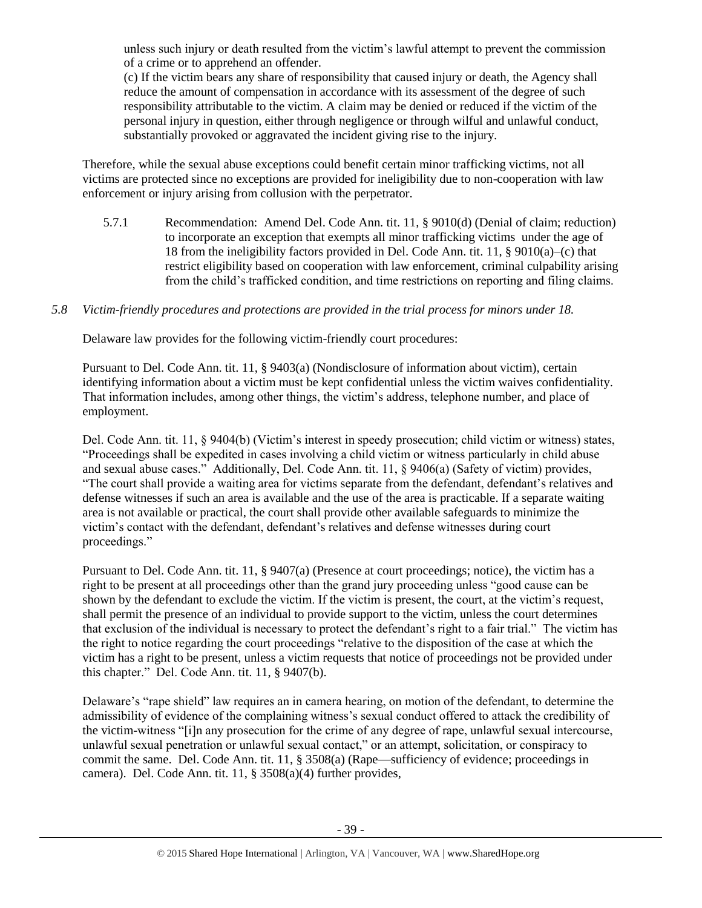unless such injury or death resulted from the victim's lawful attempt to prevent the commission of a crime or to apprehend an offender.

(c) If the victim bears any share of responsibility that caused injury or death, the Agency shall reduce the amount of compensation in accordance with its assessment of the degree of such responsibility attributable to the victim. A claim may be denied or reduced if the victim of the personal injury in question, either through negligence or through wilful and unlawful conduct, substantially provoked or aggravated the incident giving rise to the injury.

Therefore, while the sexual abuse exceptions could benefit certain minor trafficking victims, not all victims are protected since no exceptions are provided for ineligibility due to non-cooperation with law enforcement or injury arising from collusion with the perpetrator.

5.7.1 Recommendation: Amend Del. Code Ann. tit. 11, § 9010(d) (Denial of claim; reduction) to incorporate an exception that exempts all minor trafficking victims under the age of 18 from the ineligibility factors provided in Del. Code Ann. tit. 11, § 9010(a)–(c) that restrict eligibility based on cooperation with law enforcement, criminal culpability arising from the child's trafficked condition, and time restrictions on reporting and filing claims.

# *5.8 Victim-friendly procedures and protections are provided in the trial process for minors under 18.*

Delaware law provides for the following victim-friendly court procedures:

Pursuant to Del. Code Ann. tit. 11, § 9403(a) (Nondisclosure of information about victim), certain identifying information about a victim must be kept confidential unless the victim waives confidentiality. That information includes, among other things, the victim's address, telephone number, and place of employment.

Del. Code Ann. tit. 11, § 9404(b) (Victim's interest in speedy prosecution; child victim or witness) states, "Proceedings shall be expedited in cases involving a child victim or witness particularly in child abuse and sexual abuse cases." Additionally, Del. Code Ann. tit. 11, § 9406(a) (Safety of victim) provides, "The court shall provide a waiting area for victims separate from the defendant, defendant's relatives and defense witnesses if such an area is available and the use of the area is practicable. If a separate waiting area is not available or practical, the court shall provide other available safeguards to minimize the victim's contact with the defendant, defendant's relatives and defense witnesses during court proceedings."

Pursuant to Del. Code Ann. tit. 11, § 9407(a) (Presence at court proceedings; notice), the victim has a right to be present at all proceedings other than the grand jury proceeding unless "good cause can be shown by the defendant to exclude the victim. If the victim is present, the court, at the victim's request, shall permit the presence of an individual to provide support to the victim, unless the court determines that exclusion of the individual is necessary to protect the defendant's right to a fair trial." The victim has the right to notice regarding the court proceedings "relative to the disposition of the case at which the victim has a right to be present, unless a victim requests that notice of proceedings not be provided under this chapter." Del. Code Ann. tit. 11, § 9407(b).

Delaware's "rape shield" law requires an in camera hearing, on motion of the defendant, to determine the admissibility of evidence of the complaining witness's sexual conduct offered to attack the credibility of the victim-witness "[i]n any prosecution for the crime of any degree of rape, unlawful sexual intercourse, unlawful sexual penetration or unlawful sexual contact," or an attempt, solicitation, or conspiracy to commit the same. Del. Code Ann. tit. 11, § 3508(a) (Rape—sufficiency of evidence; proceedings in camera). Del. Code Ann. tit. 11, § 3508(a)(4) further provides,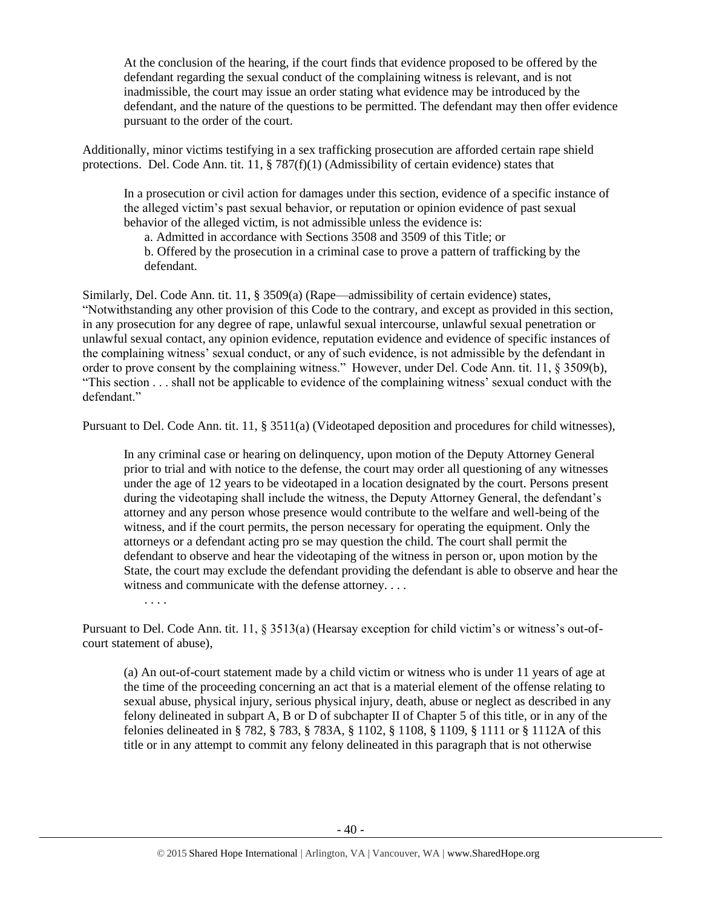At the conclusion of the hearing, if the court finds that evidence proposed to be offered by the defendant regarding the sexual conduct of the complaining witness is relevant, and is not inadmissible, the court may issue an order stating what evidence may be introduced by the defendant, and the nature of the questions to be permitted. The defendant may then offer evidence pursuant to the order of the court.

Additionally, minor victims testifying in a sex trafficking prosecution are afforded certain rape shield protections. Del. Code Ann. tit. 11, § 787(f)(1) (Admissibility of certain evidence) states that

In a prosecution or civil action for damages under this section, evidence of a specific instance of the alleged victim's past sexual behavior, or reputation or opinion evidence of past sexual behavior of the alleged victim, is not admissible unless the evidence is:

a. Admitted in accordance with Sections 3508 and 3509 of this Title; or

b. Offered by the prosecution in a criminal case to prove a pattern of trafficking by the defendant.

Similarly, Del. Code Ann. tit. 11, § 3509(a) (Rape—admissibility of certain evidence) states, "Notwithstanding any other provision of this Code to the contrary, and except as provided in this section, in any prosecution for any degree of rape, unlawful sexual intercourse, unlawful sexual penetration or unlawful sexual contact, any opinion evidence, reputation evidence and evidence of specific instances of the complaining witness' sexual conduct, or any of such evidence, is not admissible by the defendant in order to prove consent by the complaining witness." However, under Del. Code Ann. tit. 11, § 3509(b), "This section . . . shall not be applicable to evidence of the complaining witness' sexual conduct with the defendant."

Pursuant to Del. Code Ann. tit. 11, § 3511(a) (Videotaped deposition and procedures for child witnesses),

In any criminal case or hearing on delinquency, upon motion of the Deputy Attorney General prior to trial and with notice to the defense, the court may order all questioning of any witnesses under the age of 12 years to be videotaped in a location designated by the court. Persons present during the videotaping shall include the witness, the Deputy Attorney General, the defendant's attorney and any person whose presence would contribute to the welfare and well-being of the witness, and if the court permits, the person necessary for operating the equipment. Only the attorneys or a defendant acting pro se may question the child. The court shall permit the defendant to observe and hear the videotaping of the witness in person or, upon motion by the State, the court may exclude the defendant providing the defendant is able to observe and hear the witness and communicate with the defense attorney. . . .

. . . .

Pursuant to Del. Code Ann. tit. 11, § 3513(a) (Hearsay exception for child victim's or witness's out-ofcourt statement of abuse),

(a) An out-of-court statement made by a child victim or witness who is under 11 years of age at the time of the proceeding concerning an act that is a material element of the offense relating to sexual abuse, physical injury, serious physical injury, death, abuse or neglect as described in any felony delineated in subpart A, B or D of subchapter II of Chapter 5 of this title, or in any of the felonies delineated in § 782, § 783, § 783A, § 1102, § 1108, § 1109, § 1111 or § 1112A of this title or in any attempt to commit any felony delineated in this paragraph that is not otherwise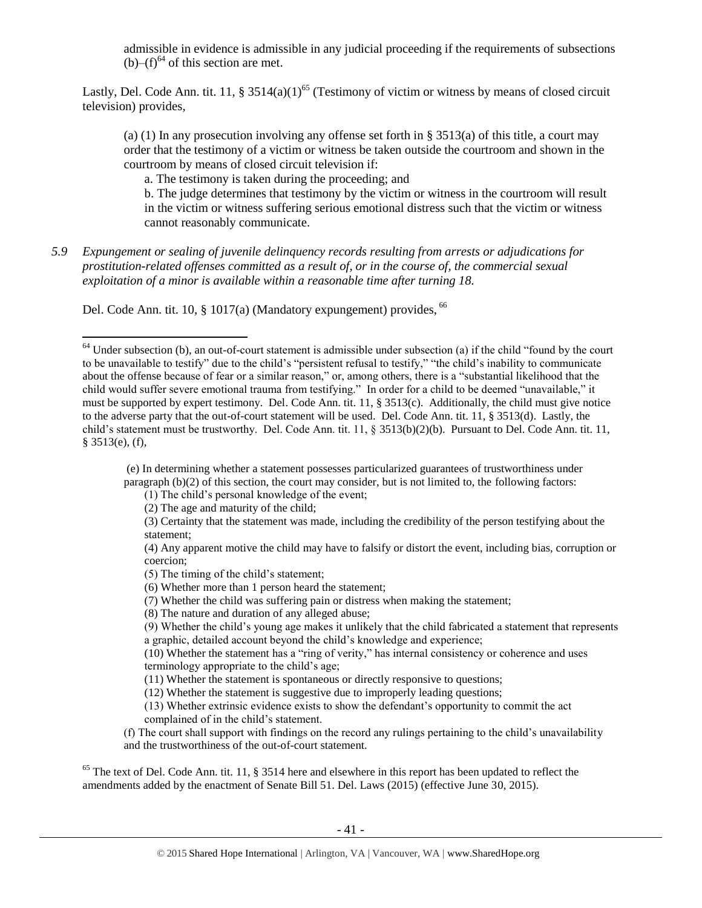admissible in evidence is admissible in any judicial proceeding if the requirements of subsections  $(b)$ – $(f)$ <sup>64</sup> of this section are met.

Lastly, Del. Code Ann. tit. 11, § 3514(a)(1)<sup>65</sup> (Testimony of victim or witness by means of closed circuit television) provides,

(a) (1) In any prosecution involving any offense set forth in § 3513(a) of this title, a court may order that the testimony of a victim or witness be taken outside the courtroom and shown in the courtroom by means of closed circuit television if:

a. The testimony is taken during the proceeding; and

b. The judge determines that testimony by the victim or witness in the courtroom will result in the victim or witness suffering serious emotional distress such that the victim or witness cannot reasonably communicate.

*5.9 Expungement or sealing of juvenile delinquency records resulting from arrests or adjudications for prostitution-related offenses committed as a result of, or in the course of, the commercial sexual exploitation of a minor is available within a reasonable time after turning 18.*

Del. Code Ann. tit. 10, § 1017(a) (Mandatory expungement) provides, <sup>66</sup>

(e) In determining whether a statement possesses particularized guarantees of trustworthiness under paragraph (b)(2) of this section, the court may consider, but is not limited to, the following factors:

(1) The child's personal knowledge of the event;

(2) The age and maturity of the child;

 $\overline{\phantom{a}}$ 

- (3) Certainty that the statement was made, including the credibility of the person testifying about the statement;
- (4) Any apparent motive the child may have to falsify or distort the event, including bias, corruption or coercion;
- (5) The timing of the child's statement;
- (6) Whether more than 1 person heard the statement;
- (7) Whether the child was suffering pain or distress when making the statement;
- (8) The nature and duration of any alleged abuse;

(9) Whether the child's young age makes it unlikely that the child fabricated a statement that represents a graphic, detailed account beyond the child's knowledge and experience;

(10) Whether the statement has a "ring of verity," has internal consistency or coherence and uses terminology appropriate to the child's age;

(11) Whether the statement is spontaneous or directly responsive to questions;

(12) Whether the statement is suggestive due to improperly leading questions;

(13) Whether extrinsic evidence exists to show the defendant's opportunity to commit the act complained of in the child's statement.

(f) The court shall support with findings on the record any rulings pertaining to the child's unavailability and the trustworthiness of the out-of-court statement.

 $65$  The text of Del. Code Ann. tit. 11,  $\S 3514$  here and elsewhere in this report has been updated to reflect the amendments added by the enactment of Senate Bill 51. Del. Laws (2015) (effective June 30, 2015).

 $64$  Under subsection (b), an out-of-court statement is admissible under subsection (a) if the child "found by the court to be unavailable to testify" due to the child's "persistent refusal to testify," "the child's inability to communicate about the offense because of fear or a similar reason," or, among others, there is a "substantial likelihood that the child would suffer severe emotional trauma from testifying." In order for a child to be deemed "unavailable," it must be supported by expert testimony. Del. Code Ann. tit. 11, § 3513(c). Additionally, the child must give notice to the adverse party that the out-of-court statement will be used. Del. Code Ann. tit. 11, § 3513(d). Lastly, the child's statement must be trustworthy. Del. Code Ann. tit. 11, § 3513(b)(2)(b). Pursuant to Del. Code Ann. tit. 11, § 3513(e), (f),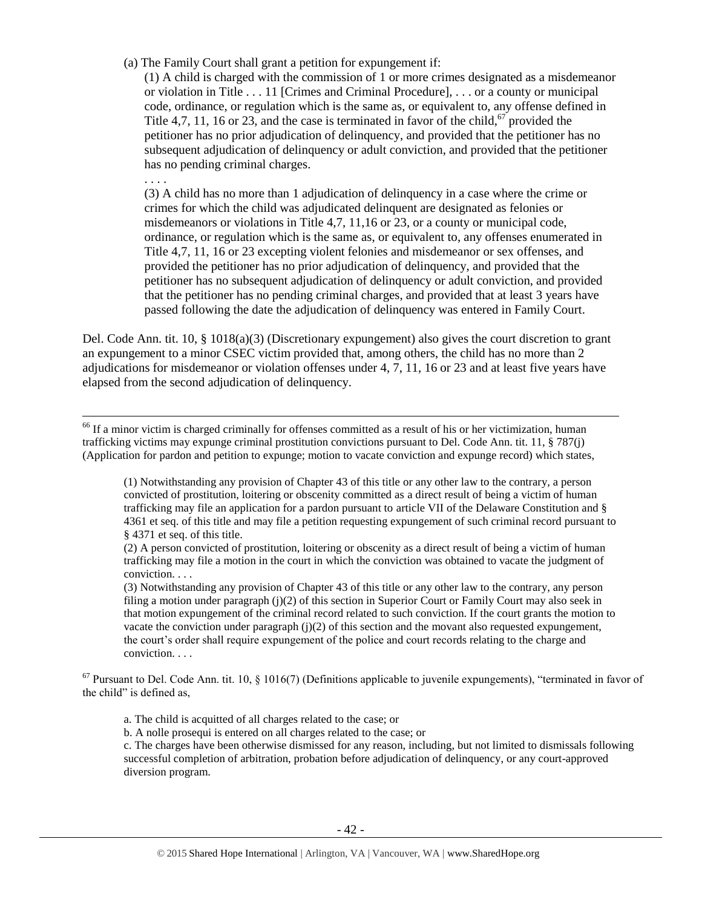(a) The Family Court shall grant a petition for expungement if:

(1) A child is charged with the commission of 1 or more crimes designated as a misdemeanor or violation in Title . . . 11 [Crimes and Criminal Procedure], . . . or a county or municipal code, ordinance, or regulation which is the same as, or equivalent to, any offense defined in Title 4,7, 11, 16 or 23, and the case is terminated in favor of the child,<sup>67</sup> provided the petitioner has no prior adjudication of delinquency, and provided that the petitioner has no subsequent adjudication of delinquency or adult conviction, and provided that the petitioner has no pending criminal charges.

. . . .

 $\overline{\phantom{a}}$ 

(3) A child has no more than 1 adjudication of delinquency in a case where the crime or crimes for which the child was adjudicated delinquent are designated as felonies or misdemeanors or violations in Title 4,7, 11,16 or 23, or a county or municipal code, ordinance, or regulation which is the same as, or equivalent to, any offenses enumerated in Title 4,7, 11, 16 or 23 excepting violent felonies and misdemeanor or sex offenses, and provided the petitioner has no prior adjudication of delinquency, and provided that the petitioner has no subsequent adjudication of delinquency or adult conviction, and provided that the petitioner has no pending criminal charges, and provided that at least 3 years have passed following the date the adjudication of delinquency was entered in Family Court.

Del. Code Ann. tit. 10, § 1018(a)(3) (Discretionary expungement) also gives the court discretion to grant an expungement to a minor CSEC victim provided that, among others, the child has no more than 2 adjudications for misdemeanor or violation offenses under 4, 7, 11, 16 or 23 and at least five years have elapsed from the second adjudication of delinquency.

<sup>66</sup> If a minor victim is charged criminally for offenses committed as a result of his or her victimization, human trafficking victims may expunge criminal prostitution convictions pursuant to Del. Code Ann. tit. 11, § 787(j) (Application for pardon and petition to expunge; motion to vacate conviction and expunge record) which states,

(1) Notwithstanding any provision of Chapter 43 of this title or any other law to the contrary, a person convicted of prostitution, loitering or obscenity committed as a direct result of being a victim of human trafficking may file an application for a pardon pursuant to article VII of the Delaware Constitution and § 4361 et seq. of this title and may file a petition requesting expungement of such criminal record pursuant to § 4371 et seq. of this title.

(2) A person convicted of prostitution, loitering or obscenity as a direct result of being a victim of human trafficking may file a motion in the court in which the conviction was obtained to vacate the judgment of conviction. . . .

(3) Notwithstanding any provision of Chapter 43 of this title or any other law to the contrary, any person filing a motion under paragraph (j)(2) of this section in Superior Court or Family Court may also seek in that motion expungement of the criminal record related to such conviction. If the court grants the motion to vacate the conviction under paragraph  $(i)(2)$  of this section and the movant also requested expungement, the court's order shall require expungement of the police and court records relating to the charge and conviction. . . .

 $67$  Pursuant to Del. Code Ann. tit. 10, § 1016(7) (Definitions applicable to juvenile expungements), "terminated in favor of the child" is defined as,

a. The child is acquitted of all charges related to the case; or

b. A nolle prosequi is entered on all charges related to the case; or

c. The charges have been otherwise dismissed for any reason, including, but not limited to dismissals following successful completion of arbitration, probation before adjudication of delinquency, or any court-approved diversion program.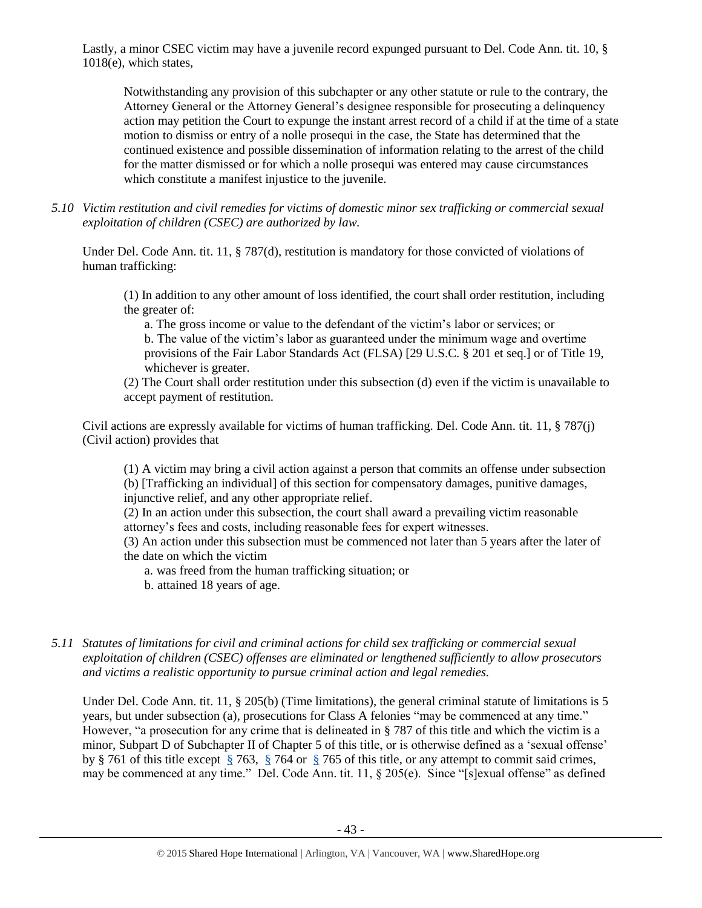Lastly, a minor CSEC victim may have a juvenile record expunged pursuant to Del. Code Ann. tit. 10, § 1018(e), which states,

Notwithstanding any provision of this subchapter or any other statute or rule to the contrary, the Attorney General or the Attorney General's designee responsible for prosecuting a delinquency action may petition the Court to expunge the instant arrest record of a child if at the time of a state motion to dismiss or entry of a nolle prosequi in the case, the State has determined that the continued existence and possible dissemination of information relating to the arrest of the child for the matter dismissed or for which a nolle prosequi was entered may cause circumstances which constitute a manifest injustice to the juvenile.

*5.10 Victim restitution and civil remedies for victims of domestic minor sex trafficking or commercial sexual exploitation of children (CSEC) are authorized by law.* 

Under Del. Code Ann. tit. 11, § 787(d), restitution is mandatory for those convicted of violations of human trafficking:

(1) In addition to any other amount of loss identified, the court shall order restitution, including the greater of:

a. The gross income or value to the defendant of the victim's labor or services; or b. The value of the victim's labor as guaranteed under the minimum wage and overtime provisions of the Fair Labor Standards Act (FLSA) [29 U.S.C. § 201 et seq.] or of Title 19, whichever is greater.

(2) The Court shall order restitution under this subsection (d) even if the victim is unavailable to accept payment of restitution.

Civil actions are expressly available for victims of human trafficking. Del. Code Ann. tit. 11, § 787(j) (Civil action) provides that

(1) A victim may bring a civil action against a person that commits an offense under subsection (b) [Trafficking an individual] of this section for compensatory damages, punitive damages, injunctive relief, and any other appropriate relief.

(2) In an action under this subsection, the court shall award a prevailing victim reasonable attorney's fees and costs, including reasonable fees for expert witnesses.

(3) An action under this subsection must be commenced not later than 5 years after the later of the date on which the victim

a. was freed from the human trafficking situation; or

b. attained 18 years of age.

*5.11 Statutes of limitations for civil and criminal actions for child sex trafficking or commercial sexual exploitation of children (CSEC) offenses are eliminated or lengthened sufficiently to allow prosecutors and victims a realistic opportunity to pursue criminal action and legal remedies.*

Under Del. Code Ann. tit. 11, § 205(b) (Time limitations), the general criminal statute of limitations is 5 years, but under subsection (a), prosecutions for Class A felonies "may be commenced at any time." However, "a prosecution for any crime that is delineated in § 787 of this title and which the victim is a minor, Subpart D of Subchapter II of Chapter 5 of this title, or is otherwise defined as a 'sexual offense' by § 761 of this title except [§](https://a.next.westlaw.com/Link/Document/FullText?findType=L&pubNum=1000005&cite=DESTT11S761&originatingDoc=N4029C34006BA11E4A2CBB1CD31DFFF6C&refType=LQ&originationContext=document&transitionType=DocumentItem&contextData=(sc.Search)) 763, [§](https://a.next.westlaw.com/Link/Document/FullText?findType=L&pubNum=1000005&cite=DESTT11S761&originatingDoc=N4029C34006BA11E4A2CBB1CD31DFFF6C&refType=LQ&originationContext=document&transitionType=DocumentItem&contextData=(sc.Search)) 764 or [§](https://a.next.westlaw.com/Link/Document/FullText?findType=L&pubNum=1000005&cite=DESTT11S761&originatingDoc=N4029C34006BA11E4A2CBB1CD31DFFF6C&refType=LQ&originationContext=document&transitionType=DocumentItem&contextData=(sc.Search)) 765 of this title, or any attempt to commit said crimes, may be commenced at any time." Del. Code Ann. tit. 11, § 205(e). Since "[s]exual offense" as defined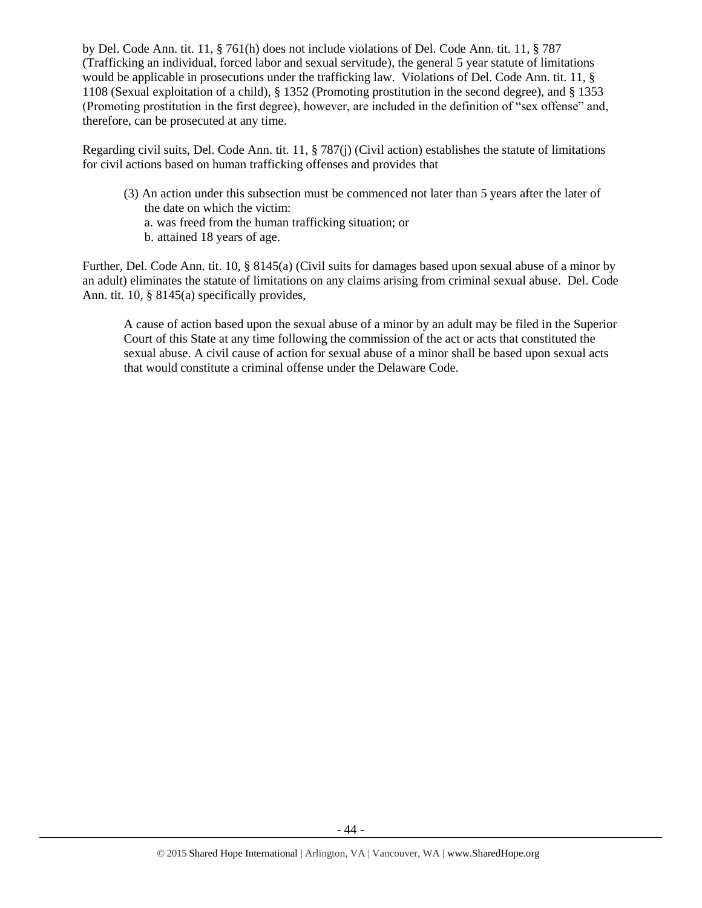by Del. Code Ann. tit. 11, § 761(h) does not include violations of Del. Code Ann. tit. 11, § 787 (Trafficking an individual, forced labor and sexual servitude), the general 5 year statute of limitations would be applicable in prosecutions under the trafficking law. Violations of Del. Code Ann. tit. 11, § 1108 (Sexual exploitation of a child), § 1352 (Promoting prostitution in the second degree), and § 1353 (Promoting prostitution in the first degree), however, are included in the definition of "sex offense" and, therefore, can be prosecuted at any time.

Regarding civil suits, Del. Code Ann. tit. 11, § 787(j) (Civil action) establishes the statute of limitations for civil actions based on human trafficking offenses and provides that

(3) An action under this subsection must be commenced not later than 5 years after the later of the date on which the victim: a. was freed from the human trafficking situation; or b. attained 18 years of age.

Further, Del. Code Ann. tit. 10, § 8145(a) (Civil suits for damages based upon sexual abuse of a minor by an adult) eliminates the statute of limitations on any claims arising from criminal sexual abuse. Del. Code Ann. tit. 10, § 8145(a) specifically provides,

A cause of action based upon the sexual abuse of a minor by an adult may be filed in the Superior Court of this State at any time following the commission of the act or acts that constituted the sexual abuse. A civil cause of action for sexual abuse of a minor shall be based upon sexual acts that would constitute a criminal offense under the Delaware Code.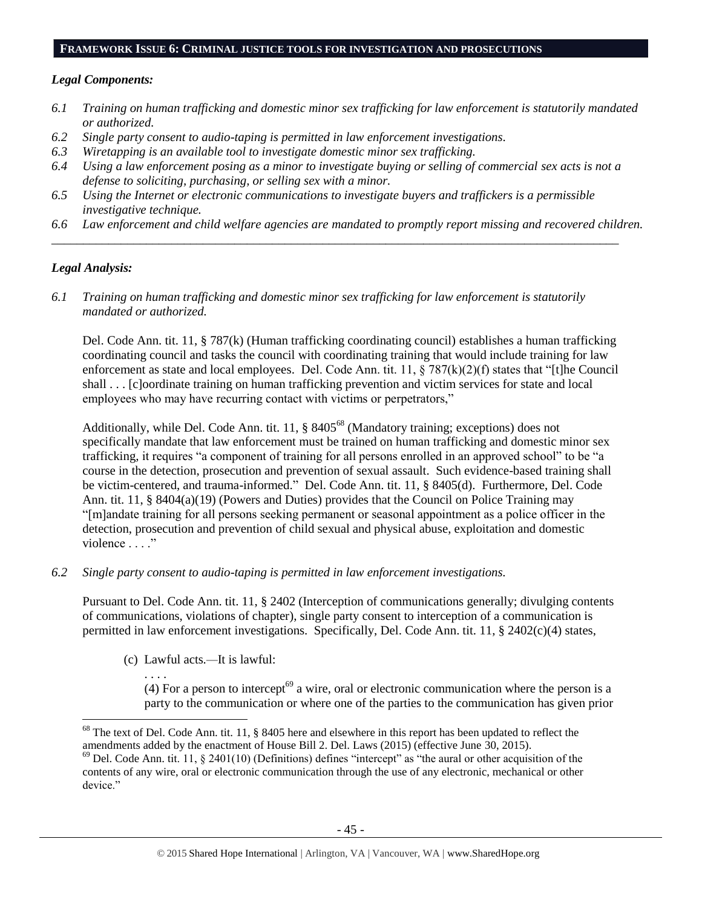#### **FRAMEWORK ISSUE 6: CRIMINAL JUSTICE TOOLS FOR INVESTIGATION AND PROSECUTIONS**

#### *Legal Components:*

- *6.1 Training on human trafficking and domestic minor sex trafficking for law enforcement is statutorily mandated or authorized.*
- *6.2 Single party consent to audio-taping is permitted in law enforcement investigations.*
- *6.3 Wiretapping is an available tool to investigate domestic minor sex trafficking.*
- *6.4 Using a law enforcement posing as a minor to investigate buying or selling of commercial sex acts is not a defense to soliciting, purchasing, or selling sex with a minor.*

*\_\_\_\_\_\_\_\_\_\_\_\_\_\_\_\_\_\_\_\_\_\_\_\_\_\_\_\_\_\_\_\_\_\_\_\_\_\_\_\_\_\_\_\_\_\_\_\_\_\_\_\_\_\_\_\_\_\_\_\_\_\_\_\_\_\_\_\_\_\_\_\_\_\_\_\_\_\_\_\_\_\_\_\_\_\_\_\_\_\_*

- *6.5 Using the Internet or electronic communications to investigate buyers and traffickers is a permissible investigative technique.*
- *6.6 Law enforcement and child welfare agencies are mandated to promptly report missing and recovered children.*

# *Legal Analysis:*

*6.1 Training on human trafficking and domestic minor sex trafficking for law enforcement is statutorily mandated or authorized.*

Del. Code Ann. tit. 11, § 787(k) (Human trafficking coordinating council) establishes a human trafficking coordinating council and tasks the council with coordinating training that would include training for law enforcement as state and local employees. Del. Code Ann. tit. 11, § 787(k)(2)(f) states that "[t]he Council shall . . . [c]oordinate training on human trafficking prevention and victim services for state and local employees who may have recurring contact with victims or perpetrators,"

Additionally, while Del. Code Ann. tit. 11, § 8405<sup>68</sup> (Mandatory training; exceptions) does not specifically mandate that law enforcement must be trained on human trafficking and domestic minor sex trafficking, it requires "a component of training for all persons enrolled in an approved school" to be "a course in the detection, prosecution and prevention of sexual assault. Such evidence-based training shall be victim-centered, and trauma-informed." Del. Code Ann. tit. 11, § 8405(d). Furthermore, Del. Code Ann. tit. 11, § 8404(a)(19) (Powers and Duties) provides that the Council on Police Training may "[m]andate training for all persons seeking permanent or seasonal appointment as a police officer in the detection, prosecution and prevention of child sexual and physical abuse, exploitation and domestic violence . . . ."

*6.2 Single party consent to audio-taping is permitted in law enforcement investigations.*

Pursuant to Del. Code Ann. tit. 11, § 2402 (Interception of communications generally; divulging contents of communications, violations of chapter), single party consent to interception of a communication is permitted in law enforcement investigations. Specifically, Del. Code Ann. tit. 11, § 2402(c)(4) states,

(c) Lawful acts*.—*It is lawful:

. . . . (4) For a person to intercept<sup>69</sup> a wire, oral or electronic communication where the person is a party to the communication or where one of the parties to the communication has given prior

l  $68$  The text of Del. Code Ann. tit. 11, § 8405 here and elsewhere in this report has been updated to reflect the amendments added by the enactment of House Bill 2. Del. Laws (2015) (effective June 30, 2015).

 $^{69}$  Del. Code Ann. tit. 11, § 2401(10) (Definitions) defines "intercept" as "the aural or other acquisition of the contents of any wire, oral or electronic communication through the use of any electronic, mechanical or other device."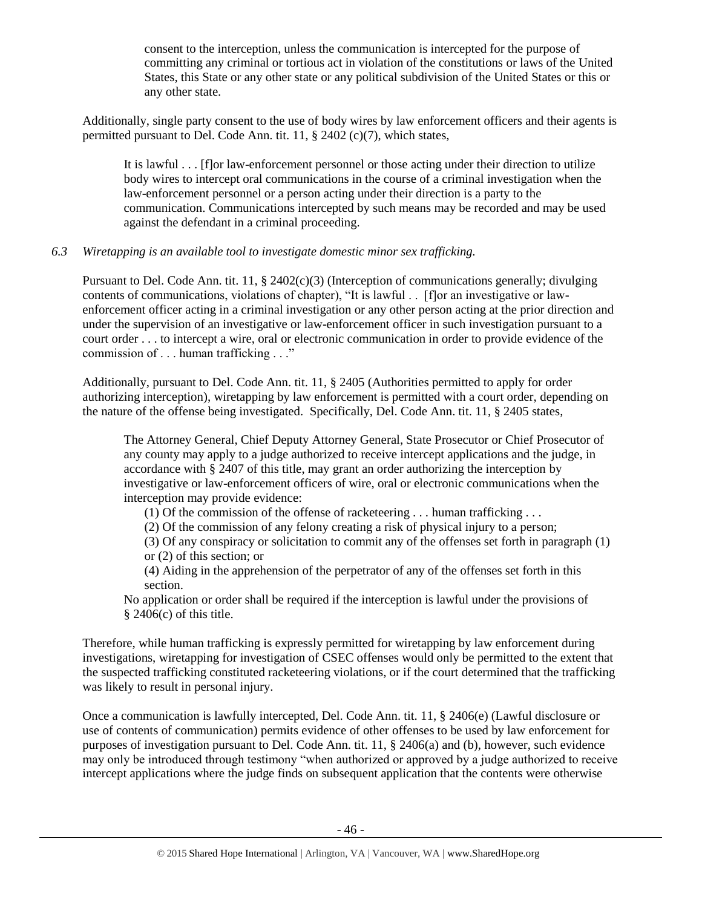consent to the interception, unless the communication is intercepted for the purpose of committing any criminal or tortious act in violation of the constitutions or laws of the United States, this State or any other state or any political subdivision of the United States or this or any other state.

Additionally, single party consent to the use of body wires by law enforcement officers and their agents is permitted pursuant to Del. Code Ann. tit. 11, § 2402 (c)(7), which states,

It is lawful . . . [f]or law-enforcement personnel or those acting under their direction to utilize body wires to intercept oral communications in the course of a criminal investigation when the law-enforcement personnel or a person acting under their direction is a party to the communication. Communications intercepted by such means may be recorded and may be used against the defendant in a criminal proceeding.

# *6.3 Wiretapping is an available tool to investigate domestic minor sex trafficking.*

Pursuant to Del. Code Ann. tit. 11, § 2402(c)(3) (Interception of communications generally; divulging contents of communications, violations of chapter), "It is lawful . . [f]or an investigative or lawenforcement officer acting in a criminal investigation or any other person acting at the prior direction and under the supervision of an investigative or law-enforcement officer in such investigation pursuant to a court order . . . to intercept a wire, oral or electronic communication in order to provide evidence of the commission of . . . human trafficking . . ."

Additionally, pursuant to Del. Code Ann. tit. 11, § 2405 (Authorities permitted to apply for order authorizing interception), wiretapping by law enforcement is permitted with a court order, depending on the nature of the offense being investigated. Specifically, Del. Code Ann. tit. 11, § 2405 states,

The Attorney General, Chief Deputy Attorney General, State Prosecutor or Chief Prosecutor of any county may apply to a judge authorized to receive intercept applications and the judge, in accordance with § 2407 of this title, may grant an order authorizing the interception by investigative or law-enforcement officers of wire, oral or electronic communications when the interception may provide evidence:

(1) Of the commission of the offense of racketeering . . . human trafficking . . .

(2) Of the commission of any felony creating a risk of physical injury to a person;

(3) Of any conspiracy or solicitation to commit any of the offenses set forth in paragraph (1) or (2) of this section; or

(4) Aiding in the apprehension of the perpetrator of any of the offenses set forth in this section.

No application or order shall be required if the interception is lawful under the provisions of  $§$  2406(c) of this title.

Therefore, while human trafficking is expressly permitted for wiretapping by law enforcement during investigations, wiretapping for investigation of CSEC offenses would only be permitted to the extent that the suspected trafficking constituted racketeering violations, or if the court determined that the trafficking was likely to result in personal injury.

Once a communication is lawfully intercepted, Del. Code Ann. tit. 11, § 2406(e) (Lawful disclosure or use of contents of communication) permits evidence of other offenses to be used by law enforcement for purposes of investigation pursuant to Del. Code Ann. tit. 11, § 2406(a) and (b), however, such evidence may only be introduced through testimony "when authorized or approved by a judge authorized to receive intercept applications where the judge finds on subsequent application that the contents were otherwise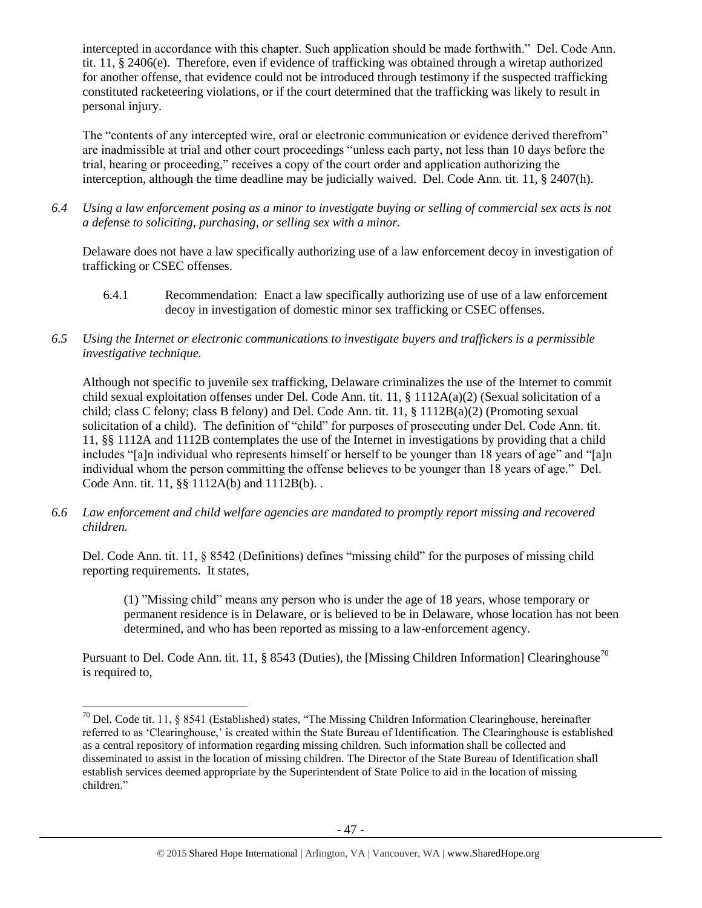intercepted in accordance with this chapter. Such application should be made forthwith." Del. Code Ann. tit. 11, § 2406(e). Therefore, even if evidence of trafficking was obtained through a wiretap authorized for another offense, that evidence could not be introduced through testimony if the suspected trafficking constituted racketeering violations, or if the court determined that the trafficking was likely to result in personal injury.

The "contents of any intercepted wire, oral or electronic communication or evidence derived therefrom" are inadmissible at trial and other court proceedings "unless each party, not less than 10 days before the trial, hearing or proceeding," receives a copy of the court order and application authorizing the interception, although the time deadline may be judicially waived. Del. Code Ann. tit. 11, § 2407(h).

*6.4 Using a law enforcement posing as a minor to investigate buying or selling of commercial sex acts is not a defense to soliciting, purchasing, or selling sex with a minor.*

Delaware does not have a law specifically authorizing use of a law enforcement decoy in investigation of trafficking or CSEC offenses.

- 6.4.1 Recommendation: Enact a law specifically authorizing use of use of a law enforcement decoy in investigation of domestic minor sex trafficking or CSEC offenses.
- *6.5 Using the Internet or electronic communications to investigate buyers and traffickers is a permissible investigative technique.*

Although not specific to juvenile sex trafficking, Delaware criminalizes the use of the Internet to commit child sexual exploitation offenses under Del. Code Ann. tit. 11, § 1112A(a)(2) (Sexual solicitation of a child; class C felony; class B felony) and Del. Code Ann. tit. 11, § 1112B(a)(2) (Promoting sexual solicitation of a child). The definition of "child" for purposes of prosecuting under Del. Code Ann. tit. 11, §§ 1112A and 1112B contemplates the use of the Internet in investigations by providing that a child includes "[a]n individual who represents himself or herself to be younger than 18 years of age" and "[a]n individual whom the person committing the offense believes to be younger than 18 years of age." Del. Code Ann. tit. 11, §§ 1112A(b) and 1112B(b). .

*6.6 Law enforcement and child welfare agencies are mandated to promptly report missing and recovered children.*

Del. Code Ann. tit. 11, § 8542 (Definitions) defines "missing child" for the purposes of missing child reporting requirements. It states,

(1) "Missing child" means any person who is under the age of 18 years, whose temporary or permanent residence is in Delaware, or is believed to be in Delaware, whose location has not been determined, and who has been reported as missing to a law-enforcement agency.

Pursuant to Del. Code Ann. tit. 11, § 8543 (Duties), the [Missing Children Information] Clearinghouse<sup>70</sup> is required to,

 $\overline{\phantom{a}}$ 

 $70$  Del. Code tit. 11, § 8541 (Established) states, "The Missing Children Information Clearinghouse, hereinafter referred to as 'Clearinghouse,' is created within the State Bureau of Identification. The Clearinghouse is established as a central repository of information regarding missing children. Such information shall be collected and disseminated to assist in the location of missing children. The Director of the State Bureau of Identification shall establish services deemed appropriate by the Superintendent of State Police to aid in the location of missing children."